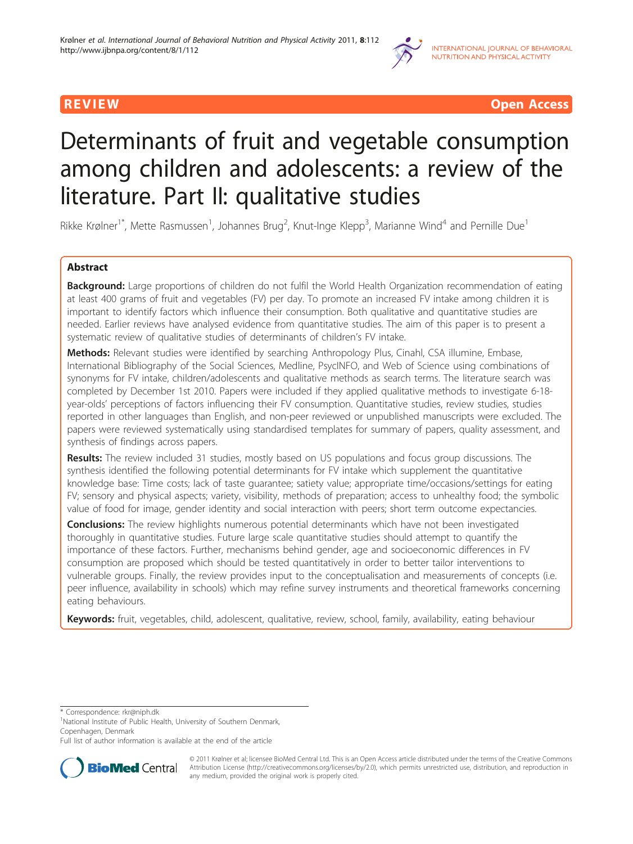

**REVIEW CONSUMING A REVIEW CONSUMING A REVIEW CONSUMING A REVIEW CONSUMING A REVIEW CONSUMING A REVIEW OPEN ACCESS** 

# Determinants of fruit and vegetable consumption among children and adolescents: a review of the literature. Part II: qualitative studies

Rikke Krølner<sup>1\*</sup>, Mette Rasmussen<sup>1</sup>, Johannes Brug<sup>2</sup>, Knut-Inge Klepp<sup>3</sup>, Marianne Wind<sup>4</sup> and Pernille Due<sup>1</sup>

# Abstract

Background: Large proportions of children do not fulfil the World Health Organization recommendation of eating at least 400 grams of fruit and vegetables (FV) per day. To promote an increased FV intake among children it is important to identify factors which influence their consumption. Both qualitative and quantitative studies are needed. Earlier reviews have analysed evidence from quantitative studies. The aim of this paper is to present a systematic review of qualitative studies of determinants of children's FV intake.

Methods: Relevant studies were identified by searching Anthropology Plus, Cinahl, CSA illumine, Embase, International Bibliography of the Social Sciences, Medline, PsycINFO, and Web of Science using combinations of synonyms for FV intake, children/adolescents and qualitative methods as search terms. The literature search was completed by December 1st 2010. Papers were included if they applied qualitative methods to investigate 6-18 year-olds' perceptions of factors influencing their FV consumption. Quantitative studies, review studies, studies reported in other languages than English, and non-peer reviewed or unpublished manuscripts were excluded. The papers were reviewed systematically using standardised templates for summary of papers, quality assessment, and synthesis of findings across papers.

**Results:** The review included 31 studies, mostly based on US populations and focus group discussions. The synthesis identified the following potential determinants for FV intake which supplement the quantitative knowledge base: Time costs; lack of taste guarantee; satiety value; appropriate time/occasions/settings for eating FV; sensory and physical aspects; variety, visibility, methods of preparation; access to unhealthy food; the symbolic value of food for image, gender identity and social interaction with peers; short term outcome expectancies.

**Conclusions:** The review highlights numerous potential determinants which have not been investigated thoroughly in quantitative studies. Future large scale quantitative studies should attempt to quantify the importance of these factors. Further, mechanisms behind gender, age and socioeconomic differences in FV consumption are proposed which should be tested quantitatively in order to better tailor interventions to vulnerable groups. Finally, the review provides input to the conceptualisation and measurements of concepts (i.e. peer influence, availability in schools) which may refine survey instruments and theoretical frameworks concerning eating behaviours.

Keywords: fruit, vegetables, child, adolescent, qualitative, review, school, family, availability, eating behaviour

\* Correspondence: [rkr@niph.dk](mailto:rkr@niph.dk)

Full list of author information is available at the end of the article



© 2011 Krølner et al; licensee BioMed Central Ltd. This is an Open Access article distributed under the terms of the Creative Commons Attribution License [\(http://creativecommons.org/licenses/by/2.0](http://creativecommons.org/licenses/by/2.0)), which permits unrestricted use, distribution, and reproduction in any medium, provided the original work is properly cited.

<sup>&</sup>lt;sup>1</sup>National Institute of Public Health, University of Southern Denmark, Copenhagen, Denmark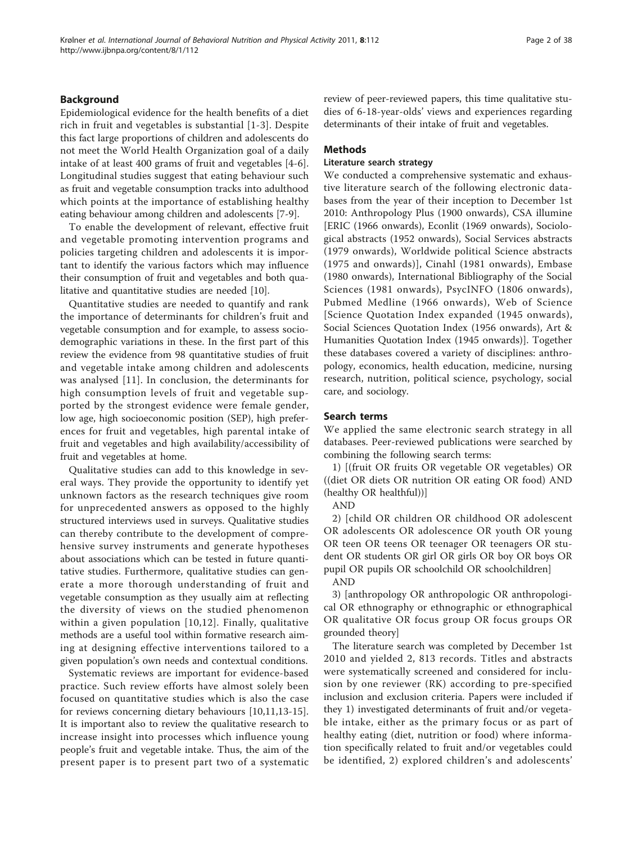#### Background

Epidemiological evidence for the health benefits of a diet rich in fruit and vegetables is substantial [[1](#page-35-0)-[3\]](#page-35-0). Despite this fact large proportions of children and adolescents do not meet the World Health Organization goal of a daily intake of at least 400 grams of fruit and vegetables [[4-6](#page-35-0)]. Longitudinal studies suggest that eating behaviour such as fruit and vegetable consumption tracks into adulthood which points at the importance of establishing healthy eating behaviour among children and adolescents [\[7](#page-35-0)-[9\]](#page-35-0).

To enable the development of relevant, effective fruit and vegetable promoting intervention programs and policies targeting children and adolescents it is important to identify the various factors which may influence their consumption of fruit and vegetables and both qualitative and quantitative studies are needed [[10\]](#page-35-0).

Quantitative studies are needed to quantify and rank the importance of determinants for children's fruit and vegetable consumption and for example, to assess sociodemographic variations in these. In the first part of this review the evidence from 98 quantitative studies of fruit and vegetable intake among children and adolescents was analysed [[11\]](#page-35-0). In conclusion, the determinants for high consumption levels of fruit and vegetable supported by the strongest evidence were female gender, low age, high socioeconomic position (SEP), high preferences for fruit and vegetables, high parental intake of fruit and vegetables and high availability/accessibility of fruit and vegetables at home.

Qualitative studies can add to this knowledge in several ways. They provide the opportunity to identify yet unknown factors as the research techniques give room for unprecedented answers as opposed to the highly structured interviews used in surveys. Qualitative studies can thereby contribute to the development of comprehensive survey instruments and generate hypotheses about associations which can be tested in future quantitative studies. Furthermore, qualitative studies can generate a more thorough understanding of fruit and vegetable consumption as they usually aim at reflecting the diversity of views on the studied phenomenon within a given population [[10,12\]](#page-35-0). Finally, qualitative methods are a useful tool within formative research aiming at designing effective interventions tailored to a given population's own needs and contextual conditions.

Systematic reviews are important for evidence-based practice. Such review efforts have almost solely been focused on quantitative studies which is also the case for reviews concerning dietary behaviours [[10](#page-35-0),[11,13-](#page-35-0)[15](#page-36-0)]. It is important also to review the qualitative research to increase insight into processes which influence young people's fruit and vegetable intake. Thus, the aim of the present paper is to present part two of a systematic review of peer-reviewed papers, this time qualitative studies of 6-18-year-olds' views and experiences regarding determinants of their intake of fruit and vegetables.

#### Methods

#### Literature search strategy

We conducted a comprehensive systematic and exhaustive literature search of the following electronic databases from the year of their inception to December 1st 2010: Anthropology Plus (1900 onwards), CSA illumine [ERIC (1966 onwards), Econlit (1969 onwards), Sociological abstracts (1952 onwards), Social Services abstracts (1979 onwards), Worldwide political Science abstracts (1975 and onwards)], Cinahl (1981 onwards), Embase (1980 onwards), International Bibliography of the Social Sciences (1981 onwards), PsycINFO (1806 onwards), Pubmed Medline (1966 onwards), Web of Science [Science Quotation Index expanded (1945 onwards), Social Sciences Quotation Index (1956 onwards), Art & Humanities Quotation Index (1945 onwards)]. Together these databases covered a variety of disciplines: anthropology, economics, health education, medicine, nursing research, nutrition, political science, psychology, social care, and sociology.

#### Search terms

We applied the same electronic search strategy in all databases. Peer-reviewed publications were searched by combining the following search terms:

1) [(fruit OR fruits OR vegetable OR vegetables) OR ((diet OR diets OR nutrition OR eating OR food) AND (healthy OR healthful))]

2) [child OR children OR childhood OR adolescent OR adolescents OR adolescence OR youth OR young OR teen OR teens OR teenager OR teenagers OR student OR students OR girl OR girls OR boy OR boys OR pupil OR pupils OR schoolchild OR schoolchildren] AND

3) [anthropology OR anthropologic OR anthropological OR ethnography or ethnographic or ethnographical OR qualitative OR focus group OR focus groups OR grounded theory]

The literature search was completed by December 1st 2010 and yielded 2, 813 records. Titles and abstracts were systematically screened and considered for inclusion by one reviewer (RK) according to pre-specified inclusion and exclusion criteria. Papers were included if they 1) investigated determinants of fruit and/or vegetable intake, either as the primary focus or as part of healthy eating (diet, nutrition or food) where information specifically related to fruit and/or vegetables could be identified, 2) explored children's and adolescents'

AND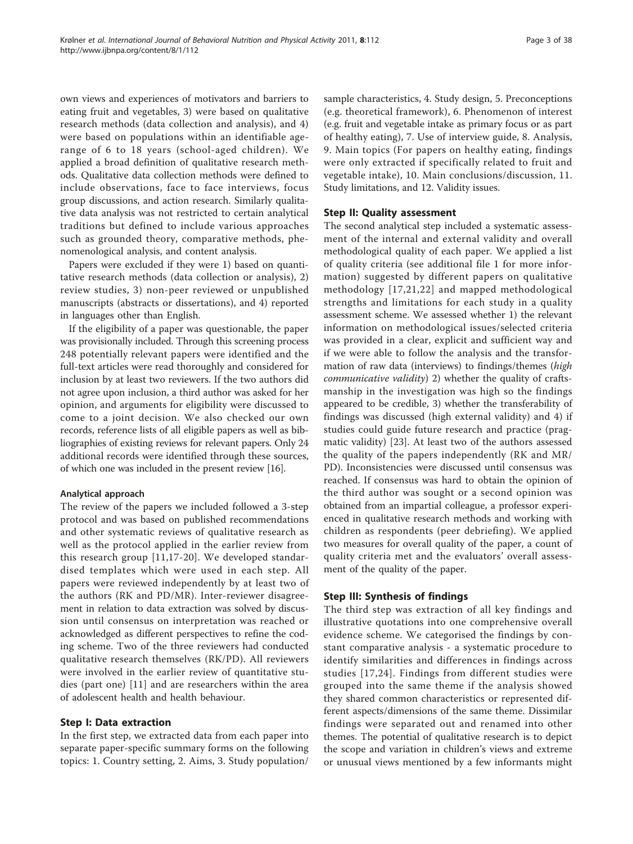own views and experiences of motivators and barriers to eating fruit and vegetables, 3) were based on qualitative research methods (data collection and analysis), and 4) were based on populations within an identifiable agerange of 6 to 18 years (school-aged children). We applied a broad definition of qualitative research methods. Qualitative data collection methods were defined to include observations, face to face interviews, focus group discussions, and action research. Similarly qualitative data analysis was not restricted to certain analytical traditions but defined to include various approaches such as grounded theory, comparative methods, phenomenological analysis, and content analysis.

Papers were excluded if they were 1) based on quantitative research methods (data collection or analysis), 2) review studies, 3) non-peer reviewed or unpublished manuscripts (abstracts or dissertations), and 4) reported in languages other than English.

If the eligibility of a paper was questionable, the paper was provisionally included. Through this screening process 248 potentially relevant papers were identified and the full-text articles were read thoroughly and considered for inclusion by at least two reviewers. If the two authors did not agree upon inclusion, a third author was asked for her opinion, and arguments for eligibility were discussed to come to a joint decision. We also checked our own records, reference lists of all eligible papers as well as bibliographies of existing reviews for relevant papers. Only 24 additional records were identified through these sources, of which one was included in the present review [\[16\]](#page-36-0).

#### Analytical approach

The review of the papers we included followed a 3-step protocol and was based on published recommendations and other systematic reviews of qualitative research as well as the protocol applied in the earlier review from this research group [[11](#page-35-0),[17-20\]](#page-36-0). We developed standardised templates which were used in each step. All papers were reviewed independently by at least two of the authors (RK and PD/MR). Inter-reviewer disagreement in relation to data extraction was solved by discussion until consensus on interpretation was reached or acknowledged as different perspectives to refine the coding scheme. Two of the three reviewers had conducted qualitative research themselves (RK/PD). All reviewers were involved in the earlier review of quantitative studies (part one) [[11](#page-35-0)] and are researchers within the area of adolescent health and health behaviour.

#### Step I: Data extraction

In the first step, we extracted data from each paper into separate paper-specific summary forms on the following topics: 1. Country setting, 2. Aims, 3. Study population/ sample characteristics, 4. Study design, 5. Preconceptions (e.g. theoretical framework), 6. Phenomenon of interest (e.g. fruit and vegetable intake as primary focus or as part of healthy eating), 7. Use of interview guide, 8. Analysis, 9. Main topics (For papers on healthy eating, findings were only extracted if specifically related to fruit and vegetable intake), 10. Main conclusions/discussion, 11. Study limitations, and 12. Validity issues.

# Step II: Quality assessment

The second analytical step included a systematic assessment of the internal and external validity and overall methodological quality of each paper. We applied a list of quality criteria (see additional file [1](#page-35-0) for more information) suggested by different papers on qualitative methodology [[17,21,22\]](#page-36-0) and mapped methodological strengths and limitations for each study in a quality assessment scheme. We assessed whether 1) the relevant information on methodological issues/selected criteria was provided in a clear, explicit and sufficient way and if we were able to follow the analysis and the transformation of raw data (interviews) to findings/themes (high communicative validity) 2) whether the quality of craftsmanship in the investigation was high so the findings appeared to be credible, 3) whether the transferability of findings was discussed (high external validity) and 4) if studies could guide future research and practice (pragmatic validity) [\[23](#page-36-0)]. At least two of the authors assessed the quality of the papers independently (RK and MR/ PD). Inconsistencies were discussed until consensus was reached. If consensus was hard to obtain the opinion of the third author was sought or a second opinion was obtained from an impartial colleague, a professor experienced in qualitative research methods and working with children as respondents (peer debriefing). We applied two measures for overall quality of the paper, a count of quality criteria met and the evaluators' overall assessment of the quality of the paper.

# Step III: Synthesis of findings

The third step was extraction of all key findings and illustrative quotations into one comprehensive overall evidence scheme. We categorised the findings by constant comparative analysis - a systematic procedure to identify similarities and differences in findings across studies [[17](#page-36-0),[24](#page-36-0)]. Findings from different studies were grouped into the same theme if the analysis showed they shared common characteristics or represented different aspects/dimensions of the same theme. Dissimilar findings were separated out and renamed into other themes. The potential of qualitative research is to depict the scope and variation in children's views and extreme or unusual views mentioned by a few informants might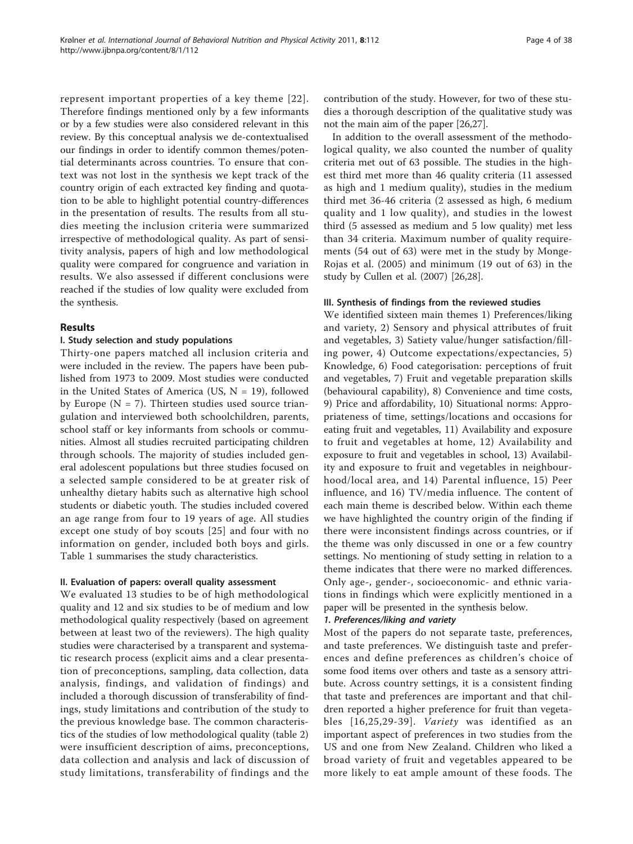represent important properties of a key theme [[22\]](#page-36-0). Therefore findings mentioned only by a few informants or by a few studies were also considered relevant in this review. By this conceptual analysis we de-contextualised our findings in order to identify common themes/potential determinants across countries. To ensure that context was not lost in the synthesis we kept track of the country origin of each extracted key finding and quotation to be able to highlight potential country-differences in the presentation of results. The results from all studies meeting the inclusion criteria were summarized irrespective of methodological quality. As part of sensitivity analysis, papers of high and low methodological quality were compared for congruence and variation in results. We also assessed if different conclusions were reached if the studies of low quality were excluded from the synthesis.

## Results

#### I. Study selection and study populations

Thirty-one papers matched all inclusion criteria and were included in the review. The papers have been published from 1973 to 2009. Most studies were conducted in the United States of America (US,  $N = 19$ ), followed by Europe  $(N = 7)$ . Thirteen studies used source triangulation and interviewed both schoolchildren, parents, school staff or key informants from schools or communities. Almost all studies recruited participating children through schools. The majority of studies included general adolescent populations but three studies focused on a selected sample considered to be at greater risk of unhealthy dietary habits such as alternative high school students or diabetic youth. The studies included covered an age range from four to 19 years of age. All studies except one study of boy scouts [[25](#page-36-0)] and four with no information on gender, included both boys and girls. Table [1](#page-4-0) summarises the study characteristics.

#### II. Evaluation of papers: overall quality assessment

We evaluated 13 studies to be of high methodological quality and 12 and six studies to be of medium and low methodological quality respectively (based on agreement between at least two of the reviewers). The high quality studies were characterised by a transparent and systematic research process (explicit aims and a clear presentation of preconceptions, sampling, data collection, data analysis, findings, and validation of findings) and included a thorough discussion of transferability of findings, study limitations and contribution of the study to the previous knowledge base. The common characteristics of the studies of low methodological quality (table [2](#page-11-0)) were insufficient description of aims, preconceptions, data collection and analysis and lack of discussion of study limitations, transferability of findings and the contribution of the study. However, for two of these studies a thorough description of the qualitative study was not the main aim of the paper [\[26,27](#page-36-0)].

In addition to the overall assessment of the methodological quality, we also counted the number of quality criteria met out of 63 possible. The studies in the highest third met more than 46 quality criteria (11 assessed as high and 1 medium quality), studies in the medium third met 36-46 criteria (2 assessed as high, 6 medium quality and 1 low quality), and studies in the lowest third (5 assessed as medium and 5 low quality) met less than 34 criteria. Maximum number of quality requirements (54 out of 63) were met in the study by Monge-Rojas et al. (2005) and minimum (19 out of 63) in the study by Cullen et al. (2007) [[26](#page-36-0),[28](#page-36-0)].

## III. Synthesis of findings from the reviewed studies

We identified sixteen main themes 1) Preferences/liking and variety, 2) Sensory and physical attributes of fruit and vegetables, 3) Satiety value/hunger satisfaction/filling power, 4) Outcome expectations/expectancies, 5) Knowledge, 6) Food categorisation: perceptions of fruit and vegetables, 7) Fruit and vegetable preparation skills (behavioural capability), 8) Convenience and time costs, 9) Price and affordability, 10) Situational norms: Appropriateness of time, settings/locations and occasions for eating fruit and vegetables, 11) Availability and exposure to fruit and vegetables at home, 12) Availability and exposure to fruit and vegetables in school, 13) Availability and exposure to fruit and vegetables in neighbourhood/local area, and 14) Parental influence, 15) Peer influence, and 16) TV/media influence. The content of each main theme is described below. Within each theme we have highlighted the country origin of the finding if there were inconsistent findings across countries, or if the theme was only discussed in one or a few country settings. No mentioning of study setting in relation to a theme indicates that there were no marked differences. Only age-, gender-, socioeconomic- and ethnic variations in findings which were explicitly mentioned in a paper will be presented in the synthesis below.

# 1. Preferences/liking and variety

Most of the papers do not separate taste, preferences, and taste preferences. We distinguish taste and preferences and define preferences as children's choice of some food items over others and taste as a sensory attribute. Across country settings, it is a consistent finding that taste and preferences are important and that children reported a higher preference for fruit than vegetables [[16,25](#page-36-0),[29-39](#page-36-0)]. Variety was identified as an important aspect of preferences in two studies from the US and one from New Zealand. Children who liked a broad variety of fruit and vegetables appeared to be more likely to eat ample amount of these foods. The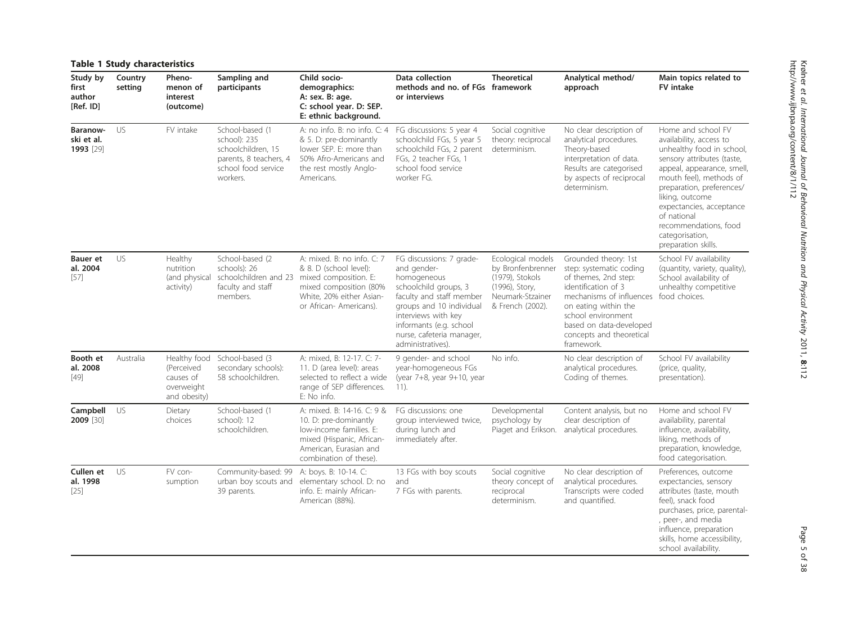<span id="page-4-0"></span>

|                                          | <b>Table 1 Study characteristics</b> |                                                                                                                                                                       |                                                                                                                                                                                                                      |                                                                                                                                                     |                                                                                                                                                                                                                                             |                                                                                                                     |                                                                                                                                                                                                                                               |                                                                                                                                                                                                                                                                                                                                 |  |
|------------------------------------------|--------------------------------------|-----------------------------------------------------------------------------------------------------------------------------------------------------------------------|----------------------------------------------------------------------------------------------------------------------------------------------------------------------------------------------------------------------|-----------------------------------------------------------------------------------------------------------------------------------------------------|---------------------------------------------------------------------------------------------------------------------------------------------------------------------------------------------------------------------------------------------|---------------------------------------------------------------------------------------------------------------------|-----------------------------------------------------------------------------------------------------------------------------------------------------------------------------------------------------------------------------------------------|---------------------------------------------------------------------------------------------------------------------------------------------------------------------------------------------------------------------------------------------------------------------------------------------------------------------------------|--|
| Study by<br>first<br>author<br>[Ref. ID] | Country<br>setting                   | Pheno-<br>menon of<br>interest<br>(outcome)                                                                                                                           | Sampling and<br>participants                                                                                                                                                                                         | Child socio-<br>demographics:<br>A: sex. B: age.<br>C: school year. D: SEP.<br>E: ethnic background.                                                | Data collection<br>methods and no. of FGs framework<br>or interviews                                                                                                                                                                        | <b>Theoretical</b>                                                                                                  | Analytical method/<br>approach                                                                                                                                                                                                                | Main topics related to<br><b>FV</b> intake                                                                                                                                                                                                                                                                                      |  |
| Baranow-<br>ski et al.<br>1993 [29]      | <b>US</b>                            | FV intake                                                                                                                                                             | School-based (1<br>school): 235<br>schoolchildren. 15<br>parents, 8 teachers, 4<br>school food service<br>workers.                                                                                                   | A: no info. B: no info. C: 4<br>& 5. D: pre-dominantly<br>lower SEP. E: more than<br>50% Afro-Americans and<br>the rest mostly Anglo-<br>Americans. | FG discussions: 5 year 4<br>schoolchild FGs, 5 year 5<br>schoolchild FGs, 2 parent<br>FGs, 2 teacher FGs, 1<br>school food service<br>worker FG.                                                                                            | Social cognitive<br>theory: reciprocal<br>determinism.                                                              | No clear description of<br>analytical procedures.<br>Theory-based<br>interpretation of data.<br>Results are categorised<br>by aspects of reciprocal<br>determinism.                                                                           | Home and school FV<br>availability, access to<br>unhealthy food in school,<br>sensory attributes (taste,<br>appeal, appearance, smell,<br>mouth feel), methods of<br>preparation, preferences/<br>liking, outcome<br>expectancies, acceptance<br>of national<br>recommendations, food<br>categorisation,<br>preparation skills. |  |
| <b>Bauer</b> et<br>al. 2004<br>$[57]$    | US.                                  | Healthy<br>School-based (2<br>nutrition<br>schools): 26<br>(and physical<br>schoolchildren and 23 mixed composition. E:<br>faculty and staff<br>activity)<br>members. |                                                                                                                                                                                                                      | A: mixed, B: no info, C: 7<br>& 8. D (school level):<br>mixed composition (80%<br>White, 20% either Asian-<br>or African- Americans).               | FG discussions: 7 grade-<br>and gender-<br>homogeneous<br>schoolchild groups, 3<br>faculty and staff member<br>groups and 10 individual<br>interviews with key<br>informants (e.g. school<br>nurse, cafeteria manager,<br>administratives). | Ecological models<br>by Bronfenbrenner<br>(1979), Stokols<br>(1996), Story,<br>Neumark-Stzainer<br>& French (2002). | Grounded theory: 1st<br>step: systematic coding<br>of themes, 2nd step:<br>identification of 3<br>mechanisms of influences<br>on eating within the<br>school environment<br>based on data-developed<br>concepts and theoretical<br>framework. | School FV availability<br>(quantity, variety, quality),<br>School availability of<br>unhealthy competitive<br>food choices.                                                                                                                                                                                                     |  |
| Booth et<br>al. 2008<br>$[49]$           | Australia                            | (Perceived<br>causes of<br>overweight<br>and obesity)                                                                                                                 | Healthy food School-based (3<br>secondary schools):<br>58 schoolchildren.                                                                                                                                            | A: mixed, B: 12-17. C: 7-<br>11. D (area level): areas<br>selected to reflect a wide<br>range of SEP differences.<br>E: No info.                    | No info.<br>9 gender- and school<br>year-homogeneous FGs<br>(year 7+8, year 9+10, year<br>$11$ ).                                                                                                                                           |                                                                                                                     | No clear description of<br>analytical procedures.<br>Coding of themes.                                                                                                                                                                        | School FV availability<br>(price, quality,<br>presentation).                                                                                                                                                                                                                                                                    |  |
| Campbell<br>2009 [30]                    | <b>US</b>                            | Dietary<br>choices                                                                                                                                                    | A: mixed, B: 14-16, C: 9 &<br>School-based (1<br>school): 12<br>10. D: pre-dominantly<br>schoolchildren.<br>low-income families. E:<br>mixed (Hispanic, African-<br>American, Eurasian and<br>combination of these). |                                                                                                                                                     | FG discussions: one<br>group interviewed twice,<br>during lunch and<br>immediately after.                                                                                                                                                   | Developmental<br>psychology by<br>Piaget and Erikson.                                                               | Content analysis, but no<br>clear description of<br>analytical procedures.                                                                                                                                                                    | Home and school FV<br>availability, parental<br>influence, availability,<br>liking, methods of<br>preparation, knowledge,<br>food categorisation.                                                                                                                                                                               |  |
| Cullen et<br>al. 1998<br>$[25]$          | US                                   | Community-based: 99<br>FV con-<br>A: boys. B: 10-14. C:<br>urban boy scouts and<br>sumption<br>39 parents.<br>American (88%).                                         |                                                                                                                                                                                                                      | elementary school. D: no<br>info. E: mainly African-                                                                                                | 13 FGs with boy scouts<br>and<br>7 FGs with parents.                                                                                                                                                                                        | Social cognitive<br>theory concept of<br>reciprocal<br>determinism.                                                 | No clear description of<br>analytical procedures.<br>Transcripts were coded<br>and quantified.                                                                                                                                                | Preferences, outcome<br>expectancies, sensory<br>attributes (taste, mouth<br>feel), snack food<br>purchases, price, parental-<br>, peer-, and media<br>influence, preparation<br>skills, home accessibility,<br>school availability.                                                                                            |  |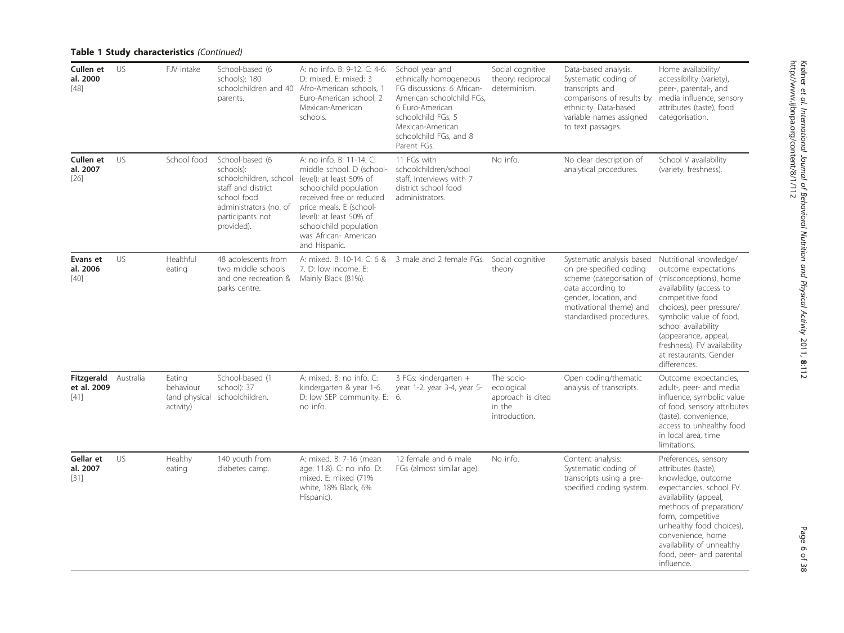| Cullen et<br>al. 2000<br>$[48]$     | US        | FJV intake<br>School-based (6<br>schools): 180<br>D: mixed. E: mixed: 3<br>schoolchildren and 40 Afro-American schools. 1<br>parents.<br>Mexican-American<br>schools. |                                                                                                                                                                                 | A: no info. B: 9-12. C: 4-6.<br>Euro-American school, 2                                                                                                                                                                               | School year and<br>ethnically homogeneous<br>FG discussions: 6 African-<br>American schoolchild FGs,<br>6 Euro-American<br>schoolchild FGs, 5<br>Mexican-American<br>schoolchild FGs, and 8<br>Parent FGs. | Social cognitive<br>theory: reciprocal<br>determinism.                   | Data-based analysis.<br>Systematic coding of<br>transcripts and<br>comparisons of results by<br>ethnicity. Data-based<br>variable names assigned<br>to text passages.                  | Home availability/<br>accessibility (variety),<br>peer-, parental-, and<br>media influence, sensory<br>attributes (taste), food<br>categorisation.                                                                                                                                                     |
|-------------------------------------|-----------|-----------------------------------------------------------------------------------------------------------------------------------------------------------------------|---------------------------------------------------------------------------------------------------------------------------------------------------------------------------------|---------------------------------------------------------------------------------------------------------------------------------------------------------------------------------------------------------------------------------------|------------------------------------------------------------------------------------------------------------------------------------------------------------------------------------------------------------|--------------------------------------------------------------------------|----------------------------------------------------------------------------------------------------------------------------------------------------------------------------------------|--------------------------------------------------------------------------------------------------------------------------------------------------------------------------------------------------------------------------------------------------------------------------------------------------------|
| Cullen et<br>al. 2007<br>$[26]$     | <b>US</b> | School food                                                                                                                                                           | School-based (6<br>schools):<br>schoolchildren, school level): at least 50% of<br>staff and district<br>school food<br>administrators (no. of<br>participants not<br>provided). | A: no info. B: 11-14. C:<br>middle school. D (school-<br>schoolchild population<br>received free or reduced<br>price meals. E (school-<br>level): at least 50% of<br>schoolchild population<br>was African- American<br>and Hispanic. | 11 FGs with<br>schoolchildren/school<br>staff. Interviews with 7<br>district school food<br>administrators.                                                                                                | No info.                                                                 | No clear description of<br>analytical procedures.                                                                                                                                      | School V availability<br>(variety, freshness).                                                                                                                                                                                                                                                         |
| Evans et<br>al. 2006<br>$[40]$      | US        | Healthful<br>eating                                                                                                                                                   | 48 adolescents from<br>two middle schools<br>and one recreation &<br>parks centre.                                                                                              | A: mixed. B: 10-14. C: 6 &<br>7. D: low income. E:<br>Mainly Black (81%).                                                                                                                                                             | 3 male and 2 female FGs. Social cognitive                                                                                                                                                                  | theory                                                                   | Systematic analysis based<br>on pre-specified coding<br>scheme (categorisation of<br>data according to<br>gender, location, and<br>motivational theme) and<br>standardised procedures. | Nutritional knowledge/<br>outcome expectations<br>(misconceptions), home<br>availability (access to<br>competitive food<br>choices), peer pressure/<br>symbolic value of food,<br>school availability<br>(appearance, appeal,<br>freshness), FV availability<br>at restaurants. Gender<br>differences. |
| Fitzgerald<br>et al. 2009<br>$[41]$ | Australia | Eating<br>behaviour<br>activity)                                                                                                                                      | School-based (1<br>school): 37<br>(and physical schoolchildren.                                                                                                                 | A: mixed. B: no info. C:<br>kindergarten & year 1-6.<br>D: low SEP community. E: 6.<br>no info.                                                                                                                                       | 3 FGs: kindergarten +<br>year 1-2, year 3-4, year 5-                                                                                                                                                       | The socio-<br>ecological<br>approach is cited<br>in the<br>introduction. | Open coding/thematic<br>analysis of transcripts.                                                                                                                                       | Outcome expectancies,<br>adult-, peer- and media<br>influence, symbolic value<br>of food, sensory attributes<br>(taste), convenience,<br>access to unhealthy food<br>in local area, time<br>limitations.                                                                                               |
| Gellar et<br>al. 2007<br>$[31]$     | <b>US</b> | Healthy<br>eating                                                                                                                                                     | 140 youth from<br>diabetes camp.                                                                                                                                                | A: mixed. B: 7-16 (mean<br>age: 11.8). C: no info. D:<br>mixed. E: mixed (71%<br>white, 18% Black, 6%<br>Hispanic).                                                                                                                   | 12 female and 6 male<br>FGs (almost similar age).                                                                                                                                                          | No info.                                                                 | Content analysis:<br>Systematic coding of<br>transcripts using a pre-<br>specified coding system.                                                                                      | Preferences, sensory<br>attributes (taste),<br>knowledge, outcome<br>expectancies, school FV<br>availability (appeal,<br>methods of preparation/<br>form, competitive<br>unhealthy food choices),<br>convenience, home<br>availability of unhealthy<br>food, peer- and parental<br>influence.          |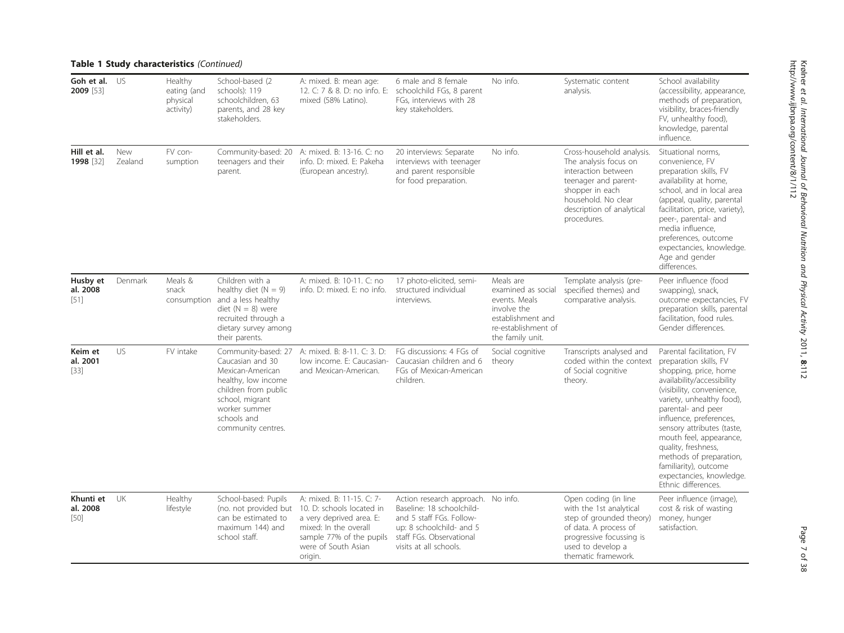| Goh et al. US<br>2009 [53]      |                | Healthy<br>eating (and<br>physical<br>activity) | School-based (2<br>schools): 119<br>schoolchildren, 63<br>parents, and 28 key<br>stakeholders.                                                                                      | A: mixed. B: mean age:<br>12. C: 7 & 8. D: no info. E:<br>mixed (58% Latino).                                                                                                                      | 6 male and 8 female<br>schoolchild FGs, 8 parent<br>FGs, interviews with 28<br>key stakeholders.                                         | No info.                                                                                                                        | Systematic content<br>analysis.                                                                                                                                                         | School availability<br>(accessibility, appearance,<br>methods of preparation,<br>visibility, braces-friendly<br>FV, unhealthy food),<br>knowledge, parental<br>influence.                                                                                                                                                                                                                                    |
|---------------------------------|----------------|-------------------------------------------------|-------------------------------------------------------------------------------------------------------------------------------------------------------------------------------------|----------------------------------------------------------------------------------------------------------------------------------------------------------------------------------------------------|------------------------------------------------------------------------------------------------------------------------------------------|---------------------------------------------------------------------------------------------------------------------------------|-----------------------------------------------------------------------------------------------------------------------------------------------------------------------------------------|--------------------------------------------------------------------------------------------------------------------------------------------------------------------------------------------------------------------------------------------------------------------------------------------------------------------------------------------------------------------------------------------------------------|
| Hill et al.<br>1998 [32]        | New<br>Zealand | FV con-<br>sumption                             | Community-based: 20<br>teenagers and their<br>parent.                                                                                                                               | A: mixed, B: 13-16, C: no<br>info. D: mixed. E: Pakeha<br>(European ancestry).                                                                                                                     | 20 interviews: Separate<br>interviews with teenager<br>and parent responsible<br>for food preparation.                                   | No info.                                                                                                                        | Cross-household analysis.<br>The analysis focus on<br>interaction between<br>teenager and parent-<br>shopper in each<br>household. No clear<br>description of analytical<br>procedures. | Situational norms.<br>convenience. FV<br>preparation skills, FV<br>availability at home,<br>school, and in local area<br>(appeal, quality, parental<br>facilitation, price, variety),<br>peer-, parental- and<br>media influence.<br>preferences, outcome<br>expectancies, knowledge.<br>Age and gender<br>differences.                                                                                      |
| Husby et<br>al. 2008<br>[51]    | Denmark        | Meals &<br>snack<br>consumption                 | Children with a<br>healthy diet $(N = 9)$<br>and a less healthy<br>diet $(N = 8)$ were<br>recruited through a<br>dietary survey among<br>their parents.                             | A: mixed, B: 10-11, C: no<br>info. D: mixed. E: no info.                                                                                                                                           | 17 photo-elicited, semi-<br>structured individual<br>interviews.                                                                         | Meals are<br>examined as social<br>events. Meals<br>involve the<br>establishment and<br>re-establishment of<br>the family unit. | Template analysis (pre-<br>specified themes) and<br>comparative analysis.                                                                                                               | Peer influence (food<br>swapping), snack,<br>outcome expectancies, FV<br>preparation skills, parental<br>facilitation, food rules.<br>Gender differences.                                                                                                                                                                                                                                                    |
| Keim et<br>al. 2001<br>$[33]$   | US             | FV intake                                       | Community-based: 27<br>Caucasian and 30<br>Mexican-American<br>healthy, low income<br>children from public<br>school, migrant<br>worker summer<br>schools and<br>community centres. | A: mixed. B: 8-11. C: 3. D:<br>low income. E: Caucasian-<br>and Mexican-American.                                                                                                                  | FG discussions: 4 FGs of<br>Caucasian children and 6<br>FGs of Mexican-American<br>children.                                             | Social cognitive<br>theory                                                                                                      | Transcripts analysed and<br>coded within the context<br>of Social cognitive<br>theory.                                                                                                  | Parental facilitation, FV<br>preparation skills, FV<br>shopping, price, home<br>availability/accessibility<br>(visibility, convenience,<br>variety, unhealthy food),<br>parental- and peer<br>influence, preferences,<br>sensory attributes (taste,<br>mouth feel, appearance,<br>quality, freshness,<br>methods of preparation,<br>familiarity), outcome<br>expectancies, knowledge.<br>Ethnic differences. |
| Khunti et<br>al. 2008<br>$[50]$ | <b>UK</b>      | Healthy<br>lifestyle                            | School-based: Pupils<br>(no. not provided but<br>can be estimated to<br>maximum 144) and<br>school staff.                                                                           | A: mixed. B: 11-15. C: 7-<br>10. D: schools located in<br>a very deprived area. E:<br>mixed: In the overall<br>sample 77% of the pupils staff FGs. Observational<br>were of South Asian<br>origin. | Action research approach.<br>Baseline: 18 schoolchild-<br>and 5 staff FGs. Follow-<br>up: 8 schoolchild- and 5<br>visits at all schools. | No info.                                                                                                                        | Open coding (in line<br>with the 1st analytical<br>step of grounded theory)<br>of data. A process of<br>progressive focussing is<br>used to develop a<br>thematic framework.            | Peer influence (image),<br>cost & risk of wasting<br>money, hunger<br>satisfaction.                                                                                                                                                                                                                                                                                                                          |

Table 1 Study characteristics (Continued)

2011, 8:112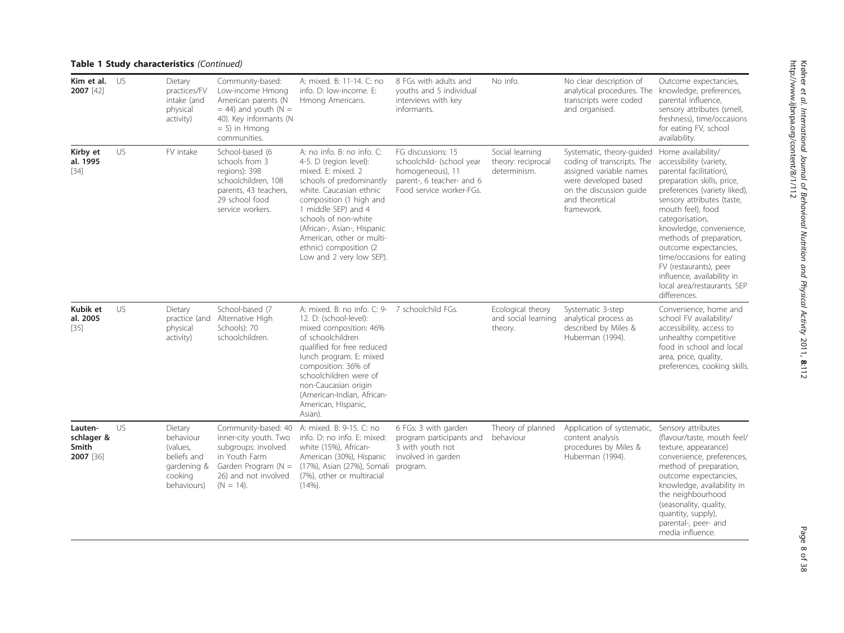| Kim et al.<br>2007 [42]                     | US. | Dietary<br>practices/FV<br>intake (and<br>physical<br>activity)                                                                                       | Community-based:<br>Low-income Hmong<br>American parents (N<br>$=$ 44) and youth (N =<br>40). Key informants (N<br>$= 5$ ) in Hmong<br>communities.    | A: mixed, B: 11-14, C: no<br>info. D: low-income. E:<br>Hmong Americans.                                                                                                                                                                                                                                                      | 8 FGs with adults and<br>youths and 5 individual<br>interviews with key<br>informants.                                       | No info.                                              | No clear description of<br>analytical procedures. The<br>transcripts were coded<br>and organised.                                                                      | Outcome expectancies,<br>knowledge, preferences,<br>parental influence.<br>sensory attributes (smell,<br>freshness), time/occasions<br>for eating FV, school<br>availability.                                                                                                                                                                                                                                                   |
|---------------------------------------------|-----|-------------------------------------------------------------------------------------------------------------------------------------------------------|--------------------------------------------------------------------------------------------------------------------------------------------------------|-------------------------------------------------------------------------------------------------------------------------------------------------------------------------------------------------------------------------------------------------------------------------------------------------------------------------------|------------------------------------------------------------------------------------------------------------------------------|-------------------------------------------------------|------------------------------------------------------------------------------------------------------------------------------------------------------------------------|---------------------------------------------------------------------------------------------------------------------------------------------------------------------------------------------------------------------------------------------------------------------------------------------------------------------------------------------------------------------------------------------------------------------------------|
| Kirby et<br>al. 1995<br>$[34]$              | US  | FV intake<br>School-based (6<br>schools from 3<br>regions): 398<br>schoolchildren, 108<br>parents, 43 teachers,<br>29 school food<br>service workers. |                                                                                                                                                        | A: no info. B: no info. C:<br>4-5. D (region level):<br>mixed. E: mixed. 2<br>schools of predominantly<br>white. Caucasian ethnic<br>composition (1 high and<br>1 middle SEP) and 4<br>schools of non-white<br>(African-, Asian-, Hispanic<br>American, other or multi-<br>ethnic) composition (2<br>Low and 2 very low SEP). | FG discussions: 15<br>schoolchild- (school year<br>homogeneous), 11<br>parent-, 6 teacher- and 6<br>Food service worker-FGs. | Social learning<br>theory: reciprocal<br>determinism. | Systematic, theory-guided<br>coding of transcripts. The<br>assigned variable names<br>were developed based<br>on the discussion guide<br>and theoretical<br>framework. | Home availability/<br>accessibility (variety,<br>parental facilitation),<br>preparation skills, price,<br>preferences (variety liked),<br>sensory attributes (taste,<br>mouth feel), food<br>categorisation,<br>knowledge, convenience,<br>methods of preparation,<br>outcome expectancies,<br>time/occasions for eating<br>FV (restaurants), peer<br>influence, availability in<br>local area/restaurants. SEP<br>differences. |
| Kubik et<br>al. 2005<br>$[35]$              | US. | Dietary<br>practice (and<br>physical<br>activity)                                                                                                     | School-based (7<br>Alternative High<br>Schools): 70<br>schoolchildren.                                                                                 | A: mixed. B: no info. C: 9-<br>12. D: (school-level):<br>mixed composition: 46%<br>of schoolchildren<br>qualified for free reduced<br>lunch program. E: mixed<br>composition: 36% of<br>schoolchildren were of<br>non-Caucasian origin<br>(American-Indian, African-<br>American, Hispanic,<br>Asian).                        | 7 schoolchild FGs.                                                                                                           | Ecological theory<br>and social learning<br>theory.   | Systematic 3-step<br>analytical process as<br>described by Miles &<br>Huberman (1994).                                                                                 | Convenience, home and<br>school FV availability/<br>accessibility, access to<br>unhealthy competitive<br>food in school and local<br>area, price, quality,<br>preferences, cooking skills.                                                                                                                                                                                                                                      |
| Lauten-<br>schlager &<br>Smith<br>2007 [36] | US  | Dietary<br>behaviour<br>(values,<br>beliefs and<br>gardening &<br>cooking<br>behaviours)                                                              | Community-based: 40<br>inner-city youth. Two<br>subgroups: involved<br>in Youth Farm<br>Garden Program ( $N =$<br>26) and not involved<br>$(N = 14)$ . | A: mixed, B: 9-15, C: no<br>info. D: no info. E: mixed:<br>white (15%), African-<br>American (30%), Hispanic<br>(17%), Asian (27%), Somali<br>(7%), other or multiracial<br>(14%).                                                                                                                                            | 6 FGs: 3 with garden<br>program participants and<br>3 with youth not<br>involved in garden<br>program.                       | Theory of planned<br>behaviour                        | Application of systematic,<br>content analysis<br>procedures by Miles &<br>Huberman (1994).                                                                            | Sensory attributes<br>(flavour/taste, mouth feel/<br>texture, appearance)<br>convenience, preferences,<br>method of preparation,<br>outcome expectancies,<br>knowledge, availability in<br>the neighbourhood<br>(seasonality, quality,<br>quantity, supply),<br>parental-, peer- and<br>media influence.                                                                                                                        |

# Table 1 Study characteristics (Continued)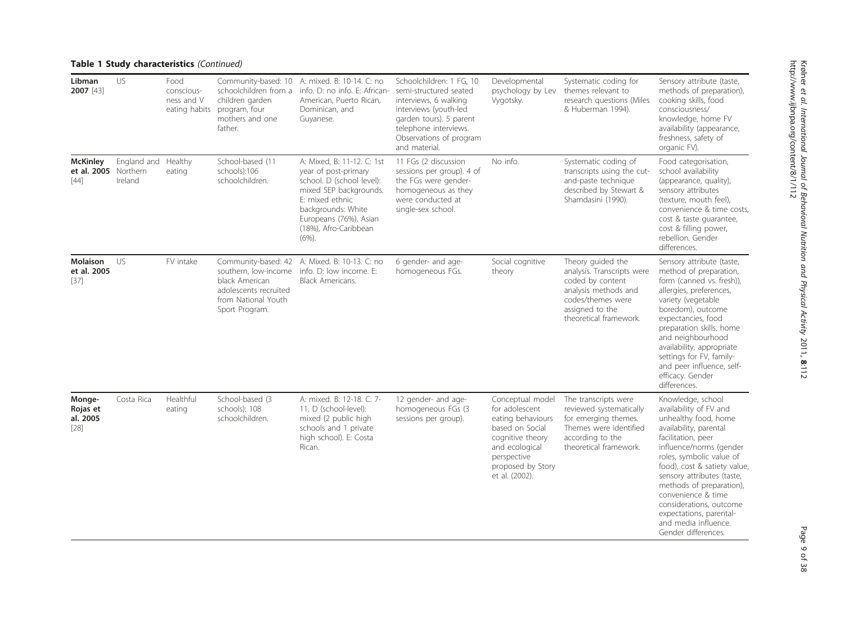| Libman<br>2007 [43]                      | US                                 | Food<br>conscious-<br>ness and V                                         | schoolchildren from a<br>children garden<br>eating habits program, four<br>mothers and one<br>father.                           | Community-based: 10 A: mixed. B: 10-14. C: no<br>info. D: no info. E: African-<br>American, Puerto Rican,<br>Dominican, and<br>Guyanese.                                                                       | Schoolchildren: 1 FG, 10<br>semi-structured seated<br>interviews, 6 walking<br>interviews (youth-led<br>garden tours). 5 parent<br>telephone interviews.<br>Observations of program<br>and material. | Developmental<br>psychology by Lev<br>Vygotsky.                                                                                                                        | Systematic coding for<br>themes relevant to<br>research questions (Miles<br>& Huberman 1994).                                                                 | Sensory attribute (taste,<br>methods of preparation),<br>cooking skills, food<br>consciousness/<br>knowledge, home FV<br>availability (appearance,<br>freshness, safety of<br>organic FV).                                                                                                                                                                                                      |  |
|------------------------------------------|------------------------------------|--------------------------------------------------------------------------|---------------------------------------------------------------------------------------------------------------------------------|----------------------------------------------------------------------------------------------------------------------------------------------------------------------------------------------------------------|------------------------------------------------------------------------------------------------------------------------------------------------------------------------------------------------------|------------------------------------------------------------------------------------------------------------------------------------------------------------------------|---------------------------------------------------------------------------------------------------------------------------------------------------------------|-------------------------------------------------------------------------------------------------------------------------------------------------------------------------------------------------------------------------------------------------------------------------------------------------------------------------------------------------------------------------------------------------|--|
| <b>McKinley</b><br>et al. 2005<br>$[44]$ | England and<br>Northern<br>Ireland | School-based (11<br>Healthy<br>schools):106<br>eating<br>schoolchildren. |                                                                                                                                 | A: Mixed, B: 11-12. C: 1st<br>year of post-primary<br>school. D (school level):<br>mixed SEP backgrounds.<br>E: mixed ethnic<br>backgrounds: White<br>Europeans (76%), Asian<br>(18%), Afro-Caribbean<br>(6%). | 11 FGs (2 discussion<br>sessions per group). 4 of<br>the FGs were gender-<br>homogeneous as they<br>were conducted at<br>single-sex school.                                                          | No info.                                                                                                                                                               | Systematic coding of<br>transcripts using the cut-<br>and-paste technique<br>described by Stewart &<br>Shamdasini (1990).                                     | Food categorisation,<br>school availability<br>(appearance, quality),<br>sensory attributes<br>(texture, mouth feel),<br>convenience & time costs,<br>cost & taste quarantee,<br>cost & filling power,<br>rebellion. Gender<br>differences.                                                                                                                                                     |  |
| <b>Molaison</b><br>et al. 2005<br>$[37]$ | US                                 | FV intake                                                                | Community-based: 42<br>southern, low-income<br>black American<br>adolescents recruited<br>from National Youth<br>Sport Program. | A: Mixed, B: 10-13, C: no<br>info. D: low income. E:<br><b>Black Americans.</b>                                                                                                                                | 6 gender- and age-<br>homogeneous FGs.                                                                                                                                                               | Social cognitive<br>theory                                                                                                                                             | Theory guided the<br>analysis. Transcripts were<br>coded by content<br>analysis methods and<br>codes/themes were<br>assigned to the<br>theoretical framework. | Sensory attribute (taste,<br>method of preparation,<br>form (canned vs. fresh)),<br>allergies, preferences,<br>variety (vegetable<br>boredom), outcome<br>expectancies, food<br>preparation skills, home<br>and neighbourhood<br>availability, appropriate<br>settings for FV, family-<br>and peer influence, self-<br>efficacy. Gender<br>differences.                                         |  |
| Monge-<br>Rojas et<br>al. 2005<br>$[28]$ | Costa Rica                         | Healthful<br>eating                                                      | School-based (3<br>schools): 108<br>schoolchildren.                                                                             | A: mixed. B: 12-18. C: 7-<br>11. D (school-level):<br>mixed (2 public high<br>schools and 1 private<br>high school). E: Costa<br>Rican.                                                                        | 12 gender- and age-<br>homogeneous FGs (3<br>sessions per group).                                                                                                                                    | Conceptual model<br>for adolescent<br>eating behaviours<br>based on Social<br>cognitive theory<br>and ecological<br>perspective<br>proposed by Story<br>et al. (2002). | The transcripts were<br>reviewed systematically<br>for emerging themes.<br>Themes were identified<br>according to the<br>theoretical framework.               | Knowledge, school<br>availability of FV and<br>unhealthy food, home<br>availability, parental<br>facilitation, peer<br>influence/norms (gender<br>roles, symbolic value of<br>food), cost & satiety value,<br>sensory attributes (taste,<br>methods of preparation),<br>convenience & time<br>considerations, outcome<br>expectations, parental-<br>and media influence.<br>Gender differences. |  |

Table 1 Study characteristics (Continued)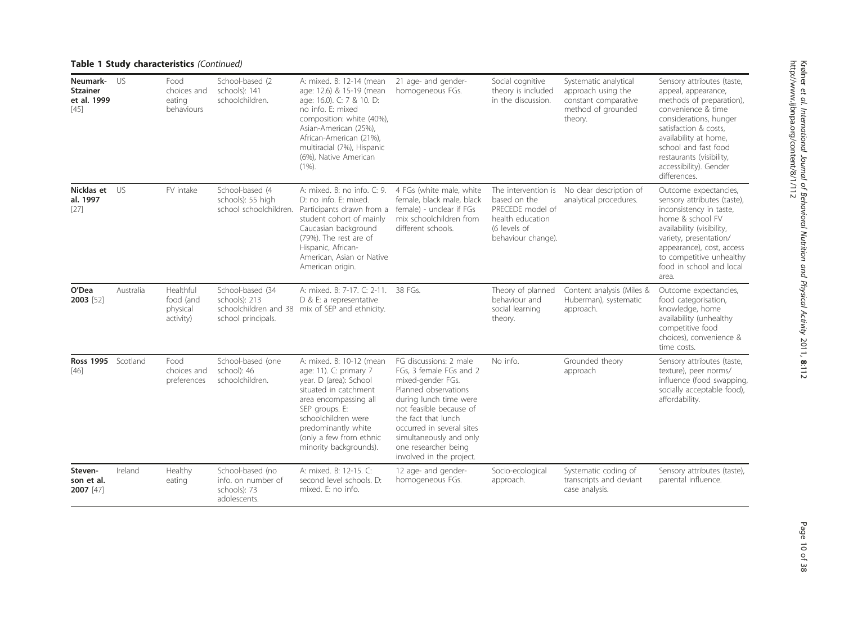|  |  |  | Table 1 Study characteristics (Continued) |  |
|--|--|--|-------------------------------------------|--|
|--|--|--|-------------------------------------------|--|

| Neumark- US<br><b>Stzainer</b><br>et al. 1999<br>$[45]$ |           | Food<br>choices and<br>eating<br>behaviours     | School-based (2<br>schools): 141<br>schoolchildren.                    | A: mixed. B: 12-14 (mean<br>age: 12.6) & 15-19 (mean<br>age: 16.0). C: 7 & 10. D:<br>no info. E: mixed<br>composition: white (40%),<br>Asian-American (25%),<br>African-American (21%),<br>multiracial (7%), Hispanic<br>(6%), Native American<br>$(1\%)$ .   | 21 age- and gender-<br>homogeneous FGs.                                                                                                                                                                                                                                                | Social cognitive<br>theory is included<br>in the discussion.                                                      | Systematic analytical<br>approach using the<br>constant comparative<br>method of grounded<br>theory. | Sensory attributes (taste,<br>appeal, appearance,<br>methods of preparation),<br>convenience & time<br>considerations, hunger<br>satisfaction & costs.<br>availability at home,<br>school and fast food<br>restaurants (visibility,<br>accessibility). Gender<br>differences. |
|---------------------------------------------------------|-----------|-------------------------------------------------|------------------------------------------------------------------------|---------------------------------------------------------------------------------------------------------------------------------------------------------------------------------------------------------------------------------------------------------------|----------------------------------------------------------------------------------------------------------------------------------------------------------------------------------------------------------------------------------------------------------------------------------------|-------------------------------------------------------------------------------------------------------------------|------------------------------------------------------------------------------------------------------|-------------------------------------------------------------------------------------------------------------------------------------------------------------------------------------------------------------------------------------------------------------------------------|
| Nicklas et US<br>al. 1997<br>$[27]$                     |           | FV intake                                       | School-based (4<br>schools): 55 high                                   | A: mixed. B: no info. C: 9.<br>D: no info. E: mixed.<br>school schoolchildren. Participants drawn from a<br>student cohort of mainly<br>Caucasian background<br>(79%). The rest are of<br>Hispanic, African-<br>American, Asian or Native<br>American origin. | 4 FGs (white male, white<br>female, black male, black<br>female) - unclear if FGs<br>mix schoolchildren from<br>different schools.                                                                                                                                                     | The intervention is<br>based on the<br>PRECEDE model of<br>health education<br>(6 levels of<br>behaviour change). | No clear description of<br>analytical procedures.                                                    | Outcome expectancies,<br>sensory attributes (taste),<br>inconsistency in taste,<br>home & school FV<br>availability (visibility,<br>variety, presentation/<br>appearance), cost, access<br>to competitive unhealthy<br>food in school and local<br>area.                      |
| O'Dea<br>2003 [52]                                      | Australia | Healthful<br>food (and<br>physical<br>activity) | School-based (34<br>schools): 213<br>school principals.                | A: mixed. B: 7-17. C: 2-11.<br>D & E: a representative<br>schoolchildren and 38 mix of SEP and ethnicity.                                                                                                                                                     | 38 FGs.                                                                                                                                                                                                                                                                                | Theory of planned<br>behaviour and<br>social learning<br>theory.                                                  | Content analysis (Miles &<br>Huberman), systematic<br>approach.                                      | Outcome expectancies,<br>food categorisation,<br>knowledge, home<br>availability (unhealthy<br>competitive food<br>choices), convenience &<br>time costs.                                                                                                                     |
| <b>Ross 1995</b><br>$[46]$                              | Scotland  | Food<br>choices and<br>preferences              | School-based (one<br>school): 46<br>schoolchildren.                    | A: mixed. B: 10-12 (mean<br>age: 11). C: primary 7<br>year. D (area): School<br>situated in catchment<br>area encompassing all<br>SEP groups. E:<br>schoolchildren were<br>predominantly white<br>(only a few from ethnic<br>minority backgrounds).           | FG discussions: 2 male<br>FGs, 3 female FGs and 2<br>mixed-gender FGs.<br>Planned observations<br>during lunch time were<br>not feasible because of<br>the fact that lunch<br>occurred in several sites<br>simultaneously and only<br>one researcher being<br>involved in the project. | No info.                                                                                                          | Grounded theory<br>approach                                                                          | Sensory attributes (taste,<br>texture), peer norms/<br>influence (food swapping,<br>socially acceptable food),<br>affordability.                                                                                                                                              |
| Steven-<br>son et al.<br>2007 [47]                      | Ireland   | Healthy<br>eating                               | School-based (no<br>info, on number of<br>schools): 73<br>adolescents. | A: mixed. B: 12-15. C:<br>second level schools. D:<br>mixed. E: no info.                                                                                                                                                                                      | 12 age- and gender-<br>homogeneous FGs.                                                                                                                                                                                                                                                | Socio-ecological<br>approach.                                                                                     | Systematic coding of<br>transcripts and deviant<br>case analysis.                                    | Sensory attributes (taste),<br>parental influence.                                                                                                                                                                                                                            |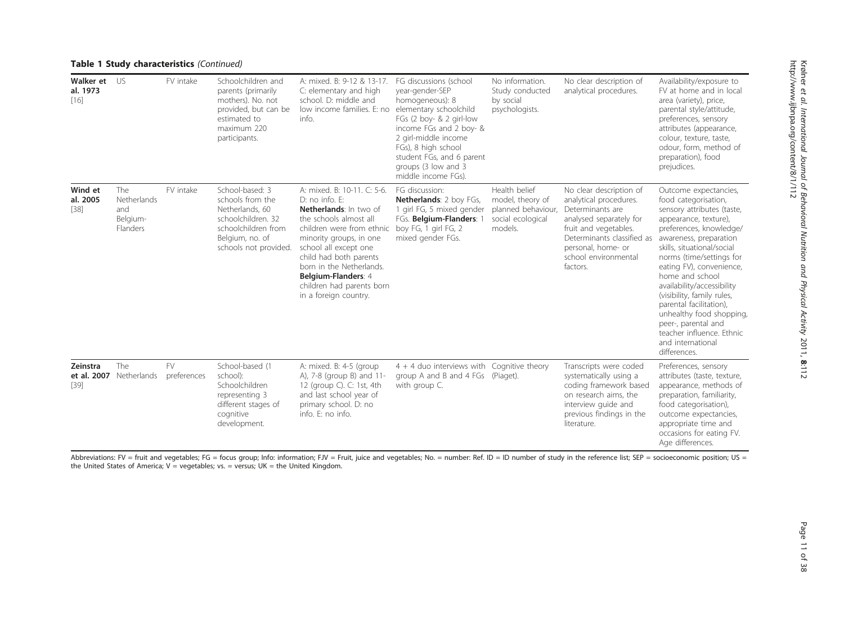|  |  |  | Table 1 Study characteristics (Continued) |  |
|--|--|--|-------------------------------------------|--|
|--|--|--|-------------------------------------------|--|

| Walker et US<br>al. 1973<br>[16]  |                                                   | FV intake                | Schoolchildren and<br>parents (primarily<br>mothers). No. not<br>provided, but can be<br>estimated to<br>maximum 220<br>participants.           | A: mixed. B: 9-12 & 13-17.<br>C: elementary and high<br>school. D: middle and<br>low income families. E: no<br>info.                                                                                                                                                                                                         | FG discussions (school<br>year-gender-SEP<br>homogeneous): 8<br>elementary schoolchild<br>FGs (2 boy- & 2 girl-low<br>income FGs and 2 boy- &<br>2 girl-middle income<br>FGs), 8 high school<br>student FGs, and 6 parent<br>groups (3 low and 3<br>middle income FGs). | No information.<br>Study conducted<br>by social<br>psychologists.                      | No clear description of<br>analytical procedures.                                                                                                                                                                 | Availability/exposure to<br>FV at home and in local<br>area (variety), price,<br>parental style/attitude,<br>preferences, sensory<br>attributes (appearance,<br>colour, texture, taste,<br>odour, form, method of<br>preparation), food<br>prejudices.                                                                                                                                                                                                                         |
|-----------------------------------|---------------------------------------------------|--------------------------|-------------------------------------------------------------------------------------------------------------------------------------------------|------------------------------------------------------------------------------------------------------------------------------------------------------------------------------------------------------------------------------------------------------------------------------------------------------------------------------|-------------------------------------------------------------------------------------------------------------------------------------------------------------------------------------------------------------------------------------------------------------------------|----------------------------------------------------------------------------------------|-------------------------------------------------------------------------------------------------------------------------------------------------------------------------------------------------------------------|--------------------------------------------------------------------------------------------------------------------------------------------------------------------------------------------------------------------------------------------------------------------------------------------------------------------------------------------------------------------------------------------------------------------------------------------------------------------------------|
| Wind et<br>al. 2005<br>$[38]$     | The<br>Netherlands<br>and<br>Belgium-<br>Flanders | FV intake                | School-based: 3<br>schools from the<br>Netherlands, 60<br>schoolchildren. 32<br>schoolchildren from<br>Belgium, no. of<br>schools not provided. | A: mixed, B: 10-11, C: 5-6.<br>D: no info. E:<br><b>Netherlands:</b> In two of<br>the schools almost all<br>children were from ethnic<br>minority groups, in one<br>school all except one<br>child had both parents<br>born in the Netherlands.<br>Belgium-Flanders: 4<br>children had parents born<br>in a foreign country. | FG discussion:<br>Netherlands: 2 boy FGs,<br>1 girl FG, 5 mixed gender<br>FGs. Belgium-Flanders:<br>boy FG, 1 girl FG, 2<br>mixed gender FGs.                                                                                                                           | Health belief<br>model, theory of<br>planned behaviour<br>social ecological<br>models. | No clear description of<br>analytical procedures.<br>Determinants are<br>analysed separately for<br>fruit and vegetables.<br>Determinants classified as<br>personal, home- or<br>school environmental<br>factors. | Outcome expectancies,<br>food categorisation,<br>sensory attributes (taste,<br>appearance, texture),<br>preferences, knowledge/<br>awareness, preparation<br>skills, situational/social<br>norms (time/settings for<br>eating FV), convenience,<br>home and school<br>availability/accessibility<br>(visibility, family rules,<br>parental facilitation),<br>unhealthy food shopping,<br>peer-, parental and<br>teacher influence. Ethnic<br>and international<br>differences. |
| Zeinstra<br>et al. 2007<br>$[39]$ | The<br>Netherlands                                | <b>FV</b><br>preferences | School-based (1<br>school):<br>Schoolchildren<br>representing 3<br>different stages of<br>cognitive<br>development.                             | A: mixed. B: 4-5 (group<br>A), 7-8 (group B) and 11-<br>12 (group C). C: 1st, 4th<br>and last school year of<br>primary school. D: no<br>info. E: no info.                                                                                                                                                                   | $4 + 4$ duo interviews with<br>group A and B and 4 FGs<br>with group C.                                                                                                                                                                                                 | Cognitive theory<br>(Piaget).                                                          | Transcripts were coded<br>systematically using a<br>coding framework based<br>on research aims, the<br>interview guide and<br>previous findings in the<br>literature.                                             | Preferences, sensory<br>attributes (taste, texture,<br>appearance, methods of<br>preparation, familiarity,<br>food categorisation),<br>outcome expectancies,<br>appropriate time and<br>occasions for eating FV.<br>Age differences.                                                                                                                                                                                                                                           |

Abbreviations: FV = fruit and vegetables; FG = focus group; Info: information; FJV = Fruit, juice and vegetables; No. = number: Ref. ID = ID number of study in the reference list; SEP = socioeconomic position; US = the United States of America;  $V =$  vegetables; vs. = versus; UK = the United Kingdom.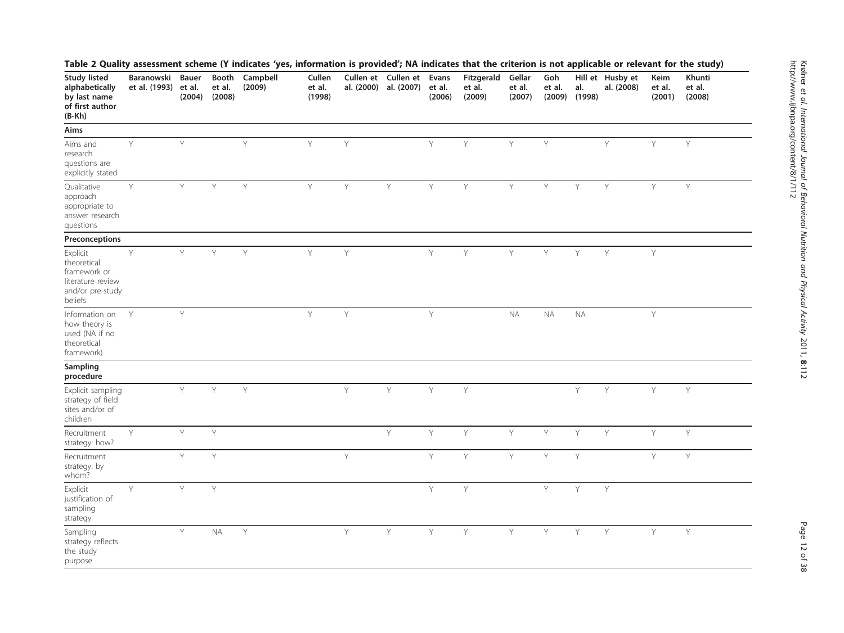| Table 2 Quality assessment scheme (1 indicates 'yes, information is provided'; NA indicates that the criterion is not applicable or relevant for the study)<br><b>Study listed</b><br>alphabetically<br>by last name<br>of first author<br>$(B-Kh)$ | Baranowski<br>et al. (1993) | <b>Bauer</b><br>et al.<br>(2004) | Booth<br>et al.<br>(2008) | Campbell<br>(2009) | Cullen<br>et al.<br>(1998) |   | Cullen et Cullen et<br>al. (2000) al. (2007) | Evans<br>et al.<br>(2006) | Fitzgerald<br>et al.<br>(2009) | Gellar<br>et al.<br>(2007) | Goh<br>et al.<br>(2009) | al.<br>(1998) | Hill et Husby et<br>al. (2008) | Keim<br>et al.<br>(2001) | Khunti<br>et al.<br>(2008) |
|-----------------------------------------------------------------------------------------------------------------------------------------------------------------------------------------------------------------------------------------------------|-----------------------------|----------------------------------|---------------------------|--------------------|----------------------------|---|----------------------------------------------|---------------------------|--------------------------------|----------------------------|-------------------------|---------------|--------------------------------|--------------------------|----------------------------|
| Aims                                                                                                                                                                                                                                                |                             |                                  |                           |                    |                            |   |                                              |                           |                                |                            |                         |               |                                |                          |                            |
| Aims and<br>research<br>questions are<br>explicitly stated                                                                                                                                                                                          | Y                           | Y                                |                           | Y                  | Y                          | Y |                                              | Y                         | Y                              | Y                          | Y                       |               | Y                              | Y                        | Y                          |
| Qualitative<br>approach<br>appropriate to<br>answer research<br>questions                                                                                                                                                                           | Y                           | Y                                | Y                         | Y                  | Y                          | Y | Y                                            | Y                         | Y                              | Y                          | Y                       | Y             | Y                              | Y                        | Y                          |
| Preconceptions                                                                                                                                                                                                                                      |                             |                                  |                           |                    |                            |   |                                              |                           |                                |                            |                         |               |                                |                          |                            |
| Explicit<br>theoretical<br>framework or<br>literature review<br>and/or pre-study<br>beliefs                                                                                                                                                         | Y                           | Y                                | $\vee$                    | Y                  | Y                          | Y |                                              | Y                         | Y                              | Y                          | Y                       | Y             | Y                              | Y                        |                            |
| Information on<br>how theory is<br>used (NA if no<br>theoretical<br>framework)                                                                                                                                                                      | Y                           | Y                                |                           |                    | Y                          | Y |                                              | Y                         |                                | <b>NA</b>                  | <b>NA</b>               | <b>NA</b>     |                                | Y                        |                            |
| Sampling<br>procedure                                                                                                                                                                                                                               |                             |                                  |                           |                    |                            |   |                                              |                           |                                |                            |                         |               |                                |                          |                            |
| Explicit sampling<br>strategy of field<br>sites and/or of<br>children                                                                                                                                                                               |                             | Y                                | Y                         | Y                  |                            | Y | Y                                            | Y                         | Y                              |                            |                         | Y             | Y                              | Y                        | Y                          |
| Recruitment<br>strategy: how?                                                                                                                                                                                                                       | Y.                          | Y                                | Y                         |                    |                            |   | Y                                            | Y                         | Y                              | Y                          | Y                       | Y             | Y                              | Y                        | Y                          |
| Recruitment<br>strategy: by<br>whom?                                                                                                                                                                                                                |                             | Y                                | Y                         |                    |                            | Y |                                              | Y                         | Y                              | Y                          | Y                       | Y             |                                | Y                        | Y                          |
| Explicit<br>justification of<br>sampling<br>strategy                                                                                                                                                                                                | Y                           | Y                                | Y                         |                    |                            |   |                                              | Y                         | Y                              |                            | Y                       | Y             | Y                              |                          |                            |
| Sampling<br>strategy reflects<br>the study<br>purpose                                                                                                                                                                                               |                             | Y                                | $\sf NA$                  | Y                  |                            | Y | Y                                            | Y                         | Y                              | Y                          | Y                       | Y             | Y                              | Y                        | Y                          |

<span id="page-11-0"></span>

|  |  |  | Table 2 Quality assessment scheme (Y indicates 'yes, information is provided'; NA indicates that the criterion is not applicable or relevant for the study) |  |
|--|--|--|-------------------------------------------------------------------------------------------------------------------------------------------------------------|--|
|--|--|--|-------------------------------------------------------------------------------------------------------------------------------------------------------------|--|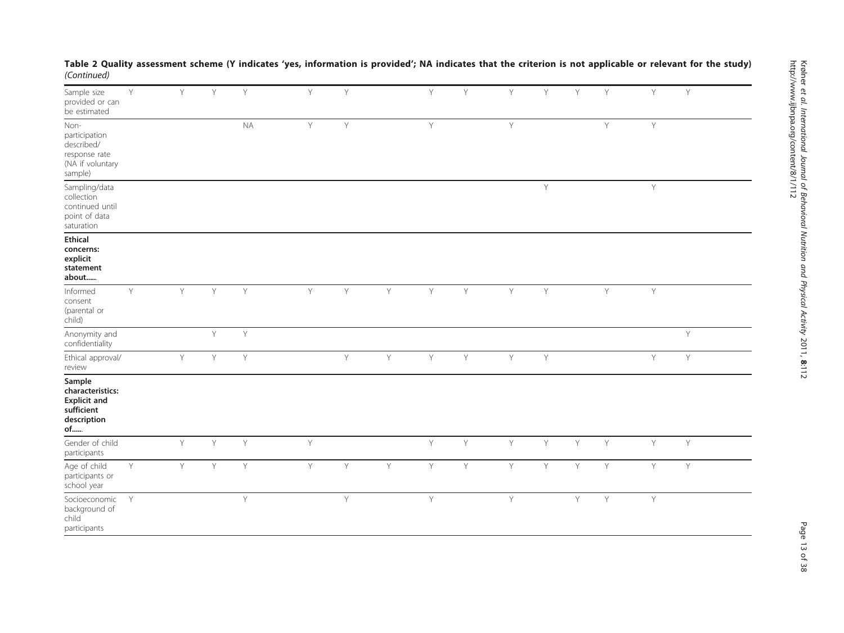| $\omega$                                                                             |   |   |   |           |              |             |              |             |             |             |             |   |   |    |   |
|--------------------------------------------------------------------------------------|---|---|---|-----------|--------------|-------------|--------------|-------------|-------------|-------------|-------------|---|---|----|---|
| Sample size<br>provided or can<br>be estimated                                       | Y | Y | Y | Y         | Y            | Y           |              | Y           | Y           | Y           | Y           | Y | Y | Y  | Y |
| Non-<br>participation<br>described/<br>response rate<br>(NA if voluntary<br>sample)  |   |   |   | <b>NA</b> | Y            | Y           |              | $\mathsf Y$ |             | $\mathsf Y$ |             |   | Y | Y  |   |
| Sampling/data<br>collection<br>continued until<br>point of data<br>saturation        |   |   |   |           |              |             |              |             |             |             | Y           |   |   | Y. |   |
| <b>Ethical</b><br>concerns:<br>explicit<br>statement<br>about                        |   |   |   |           |              |             |              |             |             |             |             |   |   |    |   |
| Informed<br>consent<br>(parental or<br>child)                                        | Y | Y | Y | Y         | $\mathsf{Y}$ | Y           | $\mathsf{Y}$ | Y           | Y           | Y           | Y           |   | Y | Y  |   |
| Anonymity and<br>confidentiality                                                     |   |   | Y | Y         |              |             |              |             |             |             |             |   |   |    | Y |
| Ethical approval/<br>review                                                          |   | Y | Y | Y         |              | Y           | Y            | Y           | $\mathsf Y$ | Y           | $\mathsf Y$ |   |   | Y  | Y |
| Sample<br>characteristics:<br><b>Explicit and</b><br>sufficient<br>description<br>of |   |   |   |           |              |             |              |             |             |             |             |   |   |    |   |
| Gender of child<br>participants                                                      |   | Y | Y | Y         | Y            |             |              | Y           | Y           | $\mathsf Y$ | Y           | Y | Y | Y  | Y |
| Age of child<br>participants or<br>school year                                       | Y | Y | Y | Y         | $\mathsf{Y}$ | $\mathsf Y$ | Y            | Y           | Y           | Y           | Y           | Y | Y | Y  | Y |
| Socioeconomic<br>background of<br>child<br>participants                              | Y |   |   | Y         |              | Y           |              | Y           |             | Y           |             | Y | Y | Y. |   |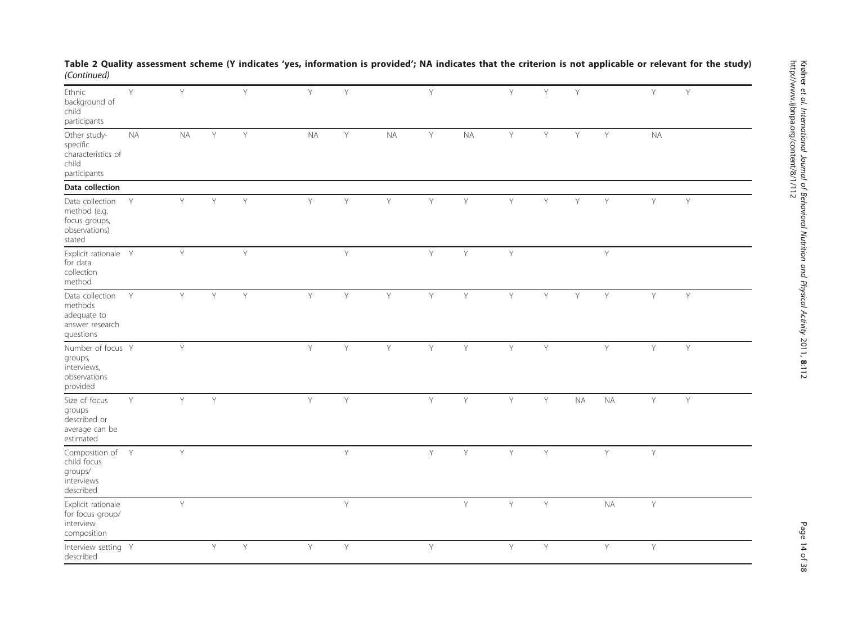| $\overline{\mathcal{C}}$                                                    |           |           |              |             |             |             |           |    |             |              |              |           |             |              |              |
|-----------------------------------------------------------------------------|-----------|-----------|--------------|-------------|-------------|-------------|-----------|----|-------------|--------------|--------------|-----------|-------------|--------------|--------------|
| Ethnic<br>background of<br>child<br>participants                            | Y         | Y         |              | Y           | Y           | Y           |           | Y  |             | Y            | Y            | Y         |             | Y            | Y            |
| Other study-<br>specific<br>characteristics of<br>child<br>participants     | <b>NA</b> | <b>NA</b> | Y            | Y           | <b>NA</b>   | Y           | <b>NA</b> | Y  | <b>NA</b>   | $\mathsf{Y}$ | $\mathsf{Y}$ | Y         | Y           | <b>NA</b>    |              |
| Data collection                                                             |           |           |              |             |             |             |           |    |             |              |              |           |             |              |              |
| Data collection<br>method (e.g.<br>focus groups,<br>observations)<br>stated | Y         | Y         | Y            | Y           | Y           | Y           | Y         | Y. | Y           | Y            | Y            | Y         | Y           | Y            | Y            |
| Explicit rationale Y<br>for data<br>collection<br>method                    |           | Y         |              | Y           |             | Y           |           | Y  | Y           | Y            |              |           | Y           |              |              |
| Data collection<br>methods<br>adequate to<br>answer research<br>questions   | Y         | Y         | $\mathsf{Y}$ | $\mathsf Y$ | $\mathsf Y$ | $\mathsf Y$ | Y         | Y  | $\mathsf Y$ | $\mathsf{Y}$ | Y            | Y         | $\mathsf Y$ | Y            | Y            |
| Number of focus Y<br>groups,<br>interviews,<br>observations<br>provided     |           | Y         |              |             | $\mathsf Y$ | $\mathsf Y$ | Y         | Y  | $\mathsf Y$ | $\mathsf{Y}$ | Y            |           | Y           | Y            | $\mathsf{Y}$ |
| Size of focus<br>groups<br>described or<br>average can be<br>estimated      | Y         | Y         | Y            |             | Y           | Y           |           | Y  | Y           | Y            | Y            | <b>NA</b> | <b>NA</b>   | Y            | Y            |
| Composition of Y<br>child focus<br>groups/<br>interviews<br>described       |           | Y         |              |             |             | Y           |           | Y  | Y           | Y            | Y            |           | Y           | Y            |              |
| Explicit rationale<br>for focus group/<br>interview<br>composition          |           | Y         |              |             |             | $\mathsf Y$ |           |    | Y           | $\mathsf{Y}$ | Y            |           | <b>NA</b>   | $\mathsf{Y}$ |              |
| Interview setting Y<br>described                                            |           |           | Y            | Y           | Y           | Y           |           | Y  |             | Y            | Y            |           | Y           | Y            |              |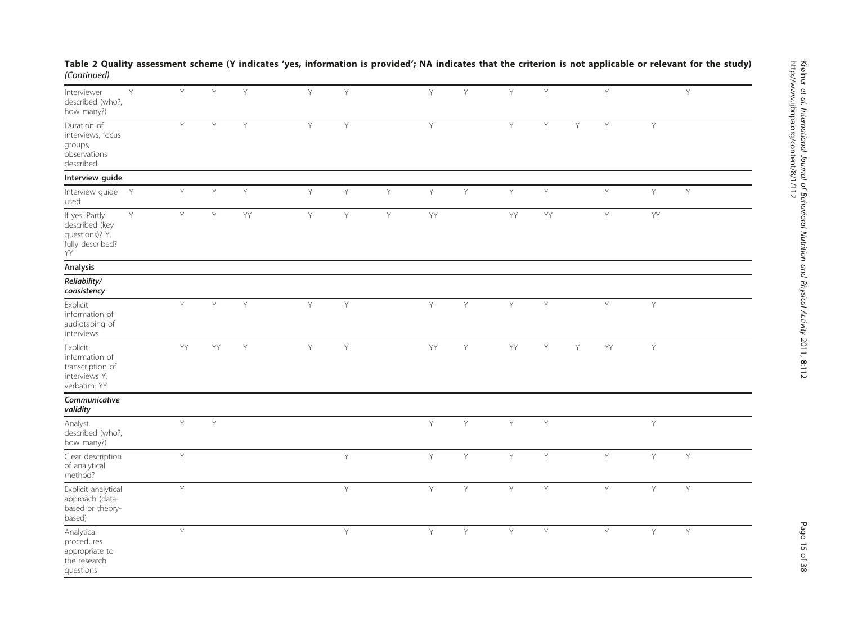| (Communed)                                                                      |             |    |                    |    |              |              |   |    |   |              |    |   |    |             |             |
|---------------------------------------------------------------------------------|-------------|----|--------------------|----|--------------|--------------|---|----|---|--------------|----|---|----|-------------|-------------|
| Interviewer<br>described (who?,<br>how many?)                                   | Y           | Y  | Y                  | Y  | Y            | Y            |   | Y  | Y | Y            | Y  |   | Y  |             | Y           |
| Duration of<br>interviews, focus<br>groups,<br>observations<br>described        |             | Y  | Y                  | Y  | $\mathsf{Y}$ | Y            |   | Y  |   | Y            | Y  | Y | Y  | Y           |             |
| Interview guide                                                                 |             |    |                    |    |              |              |   |    |   |              |    |   |    |             |             |
| Interview guide Y<br>used                                                       |             | Y  | Y                  | Y  | Y            | Y            | Y | Y  | Y | Y            | Y  |   | Y  | Y           | Y           |
| If yes: Partly<br>described (key<br>questions)? Y,<br>fully described?<br>YY    | $\mathsf Y$ | Y  | $\bar{\mathsf{Y}}$ | YY | $\mathsf{Y}$ | $\mathsf Y$  | Y | YY |   | YY           | YY |   | Y. | YY          |             |
| Analysis                                                                        |             |    |                    |    |              |              |   |    |   |              |    |   |    |             |             |
| Reliability/<br>consistency                                                     |             |    |                    |    |              |              |   |    |   |              |    |   |    |             |             |
| Explicit<br>information of<br>audiotaping of<br>interviews                      |             | Y  | Y                  | Y  | $\mathsf Y$  | $\mathsf{Y}$ |   | Y  | Y | $\mathsf{Y}$ | Y  |   | Y  | $\mathsf Y$ |             |
| Explicit<br>information of<br>transcription of<br>interviews Y,<br>verbatim: YY |             | YY | YY                 | Y  | Y            | Y            |   | YY | Y | YY           | Y  | Y | YY | Y           |             |
| Communicative<br>validity                                                       |             |    |                    |    |              |              |   |    |   |              |    |   |    |             |             |
| Analyst<br>described (who?,<br>how many?)                                       |             | Y  | Y                  |    |              |              |   | Y  | Y | $\bar{Y}$    | Y  |   |    | Y           |             |
| Clear description<br>of analytical<br>method?                                   |             | Y  |                    |    |              | $\mathsf Y$  |   | Y  | Y | $\mathsf{Y}$ | Y  |   | Y. | Y           | $\mathsf Y$ |
| Explicit analytical<br>approach (data-<br>based or theory-<br>based)            |             | Y  |                    |    |              | Y            |   | Y  | Y | Y            | Y  |   | Y  | Y           | Y           |
| Analytical<br>procedures<br>appropriate to<br>the research<br>questions         |             | Y  |                    |    |              | $\mathsf Y$  |   | Y  | Y | Y            | Y  |   | Y  | Y           | Y           |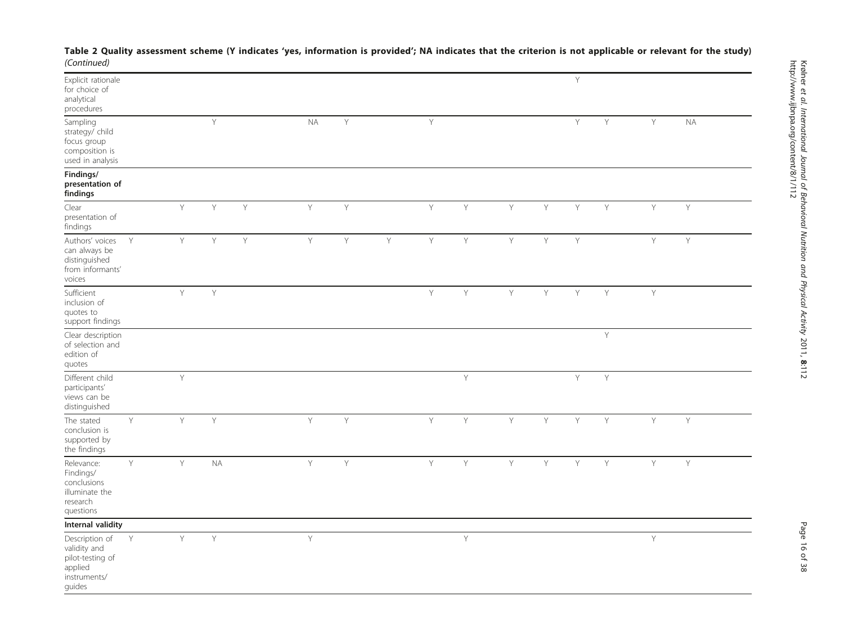| $\sim$                                                                                  |   |              |              |   |              |             |   |              |             |              |              |             |   |   |           |  |
|-----------------------------------------------------------------------------------------|---|--------------|--------------|---|--------------|-------------|---|--------------|-------------|--------------|--------------|-------------|---|---|-----------|--|
| Explicit rationale<br>for choice of<br>analytical<br>procedures                         |   |              |              |   |              |             |   |              |             |              |              | Y           |   |   |           |  |
| Sampling<br>strategy/ child<br>focus group<br>composition is<br>used in analysis        |   |              | $\mathsf Y$  |   | <b>NA</b>    | $\mathsf Y$ |   | $\mathsf Y$  |             |              |              | Y           | Y | Y | <b>NA</b> |  |
| Findings/<br>presentation of<br>findings                                                |   |              |              |   |              |             |   |              |             |              |              |             |   |   |           |  |
| Clear<br>presentation of<br>findings                                                    |   | $\mathsf Y$  | Y            | Y | $\mathsf Y$  | Y           |   | $\mathsf{Y}$ | Y           | $\mathsf{Y}$ | $\mathsf{Y}$ | Y           | Y | Y | Y         |  |
| Authors' voices<br>can always be<br>distinguished<br>from informants'<br>voices         | Y | $\mathsf{Y}$ | $\mathsf{Y}$ | Y | $\mathsf{Y}$ | Y           | Y | Y            | Y           | $\mathsf Y$  | $\mathsf{Y}$ | Y           |   | Y | Y         |  |
| Sufficient<br>inclusion of<br>quotes to<br>support findings                             |   | $\mathsf{Y}$ | $\mathsf Y$  |   |              |             |   | Y            | Y           | $\mathsf{Y}$ | $\mathsf{Y}$ | Y           | Y | Y |           |  |
| Clear description<br>of selection and<br>edition of<br>quotes                           |   |              |              |   |              |             |   |              |             |              |              |             | Y |   |           |  |
| Different child<br>participants'<br>views can be<br>distinguished                       |   | $\mathsf Y$  |              |   |              |             |   |              | $\mathsf Y$ |              |              | $\mathsf Y$ | Y |   |           |  |
| The stated<br>conclusion is<br>supported by<br>the findings                             | Y | Y            | $\mathsf Y$  |   | Y            | $\mathsf Y$ |   | $\mathsf{Y}$ | Y           | $\mathsf{Y}$ | $\mathsf{Y}$ | $\mathsf Y$ | Y | Y | Y         |  |
| Relevance:<br>Findings/<br>conclusions<br>illuminate the<br>research<br>questions       | Y | Y            | <b>NA</b>    |   | Y            | $\mathsf Y$ |   | $\mathsf{Y}$ | Y           | $\mathsf{Y}$ | $\mathsf{Y}$ | Y           | Y | Y | Y         |  |
| <b>Internal validity</b>                                                                |   |              |              |   |              |             |   |              |             |              |              |             |   |   |           |  |
| Description of<br>validity and<br>pilot-testing of<br>applied<br>instruments/<br>guides | Y | Y            | $\mathsf Y$  |   | $\mathsf Y$  |             |   |              | Y           |              |              |             |   | Y |           |  |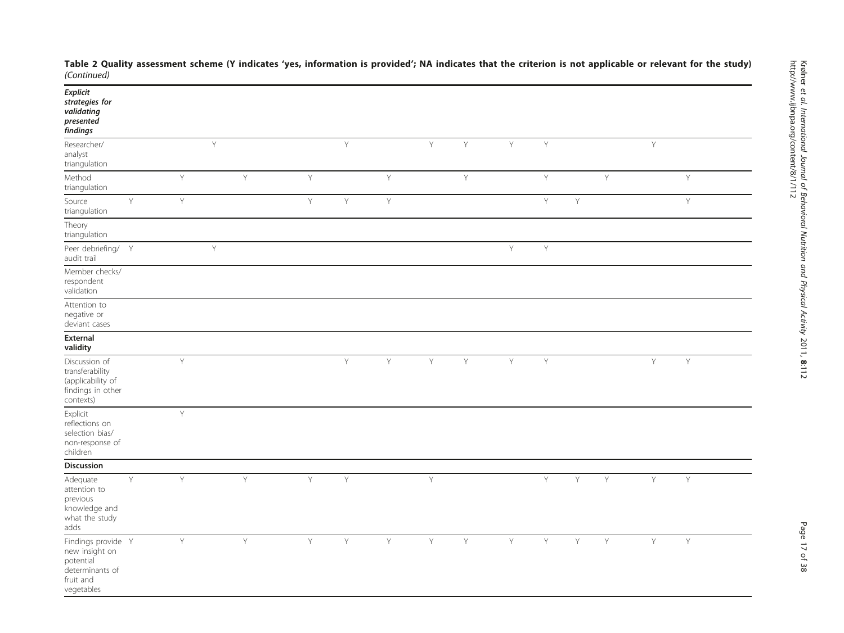| (Continued)                                                                                     |   |   |             |              |                |   |   |              |             |                   |             |   |                    |             |  |
|-------------------------------------------------------------------------------------------------|---|---|-------------|--------------|----------------|---|---|--------------|-------------|-------------------|-------------|---|--------------------|-------------|--|
| <b>Explicit</b><br>strategies for<br>validating<br>presented<br>findings                        |   |   |             |              |                |   |   |              |             |                   |             |   |                    |             |  |
| Researcher/<br>analyst<br>triangulation                                                         |   |   | $\mathsf Y$ |              |                | Y |   | $\mathsf{Y}$ | Y           | Y<br>$\mathsf Y$  |             |   | $\mathsf Y$        |             |  |
| Method<br>triangulation                                                                         |   | Y |             | Y            | Y              |   | Y |              | Y           | Y                 |             | Y |                    | Y           |  |
| Source<br>triangulation                                                                         | Y | Y |             |              | Y              | Y | Y |              |             | Y                 | $\mathsf Y$ |   |                    | Y           |  |
| Theory<br>triangulation                                                                         |   |   |             |              |                |   |   |              |             |                   |             |   |                    |             |  |
| Peer debriefing/ Y<br>audit trail                                                               |   |   | Y           |              |                |   |   |              |             | Y<br>$\mathsf{Y}$ |             |   |                    |             |  |
| Member checks/<br>respondent<br>validation                                                      |   |   |             |              |                |   |   |              |             |                   |             |   |                    |             |  |
| Attention to<br>negative or<br>deviant cases                                                    |   |   |             |              |                |   |   |              |             |                   |             |   |                    |             |  |
| External<br>validity                                                                            |   |   |             |              |                |   |   |              |             |                   |             |   |                    |             |  |
| Discussion of<br>transferability<br>(applicability of<br>findings in other<br>contexts)         |   | Y |             |              |                | Y | Y | Y            | $\mathsf Y$ | Y<br>$\mathsf Y$  |             |   | Y                  | $\mathsf Y$ |  |
| Explicit<br>reflections on<br>selection bias/<br>non-response of<br>children                    |   | Y |             |              |                |   |   |              |             |                   |             |   |                    |             |  |
| Discussion                                                                                      |   |   |             |              |                |   |   |              |             |                   |             |   |                    |             |  |
| Adequate<br>attention to<br>previous<br>knowledge and<br>what the study<br>adds                 | Y | Y |             | $\mathsf{Y}$ | $\overline{Y}$ | Y |   | $\mathsf Y$  |             | $\bar{\rm Y}$     | Y           | Y | $\bar{\mathsf{Y}}$ | $\mathsf Y$ |  |
| Findings provide Y<br>new insight on<br>potential<br>determinants of<br>fruit and<br>vegetables |   | Y |             | Y            | Y              | Y | Y | Y            | Y           | Y<br>Y            | Y           | Y | Y                  | Y           |  |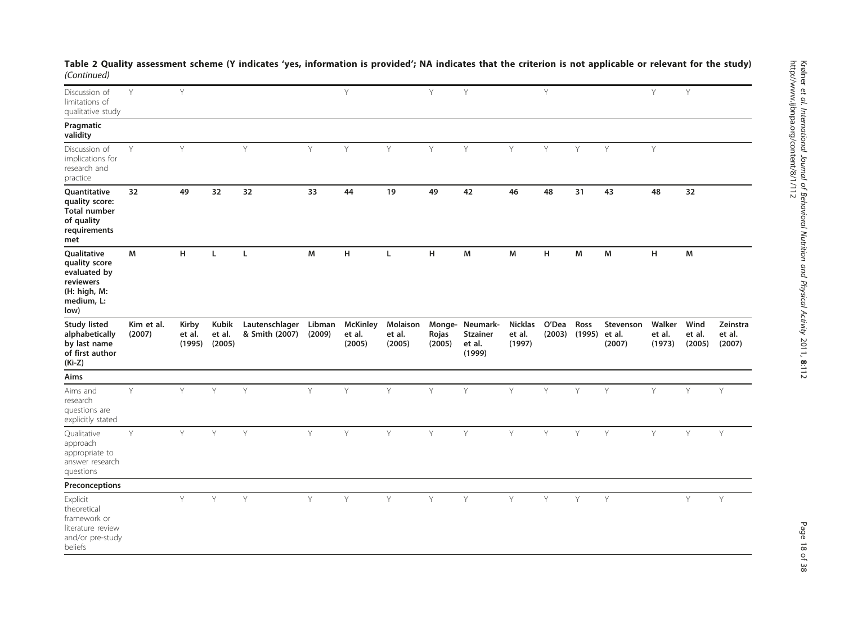| Discussion of<br>limitations of<br>qualitative study                                            | Y                    | Y                         |                                  |                                  |                  | Y                                   |                              | Y               | Y                                                      |                                    | Y     |                                                                                                            |                     | Y                          | Y                        |                              |
|-------------------------------------------------------------------------------------------------|----------------------|---------------------------|----------------------------------|----------------------------------|------------------|-------------------------------------|------------------------------|-----------------|--------------------------------------------------------|------------------------------------|-------|------------------------------------------------------------------------------------------------------------|---------------------|----------------------------|--------------------------|------------------------------|
| Pragmatic<br>validity                                                                           |                      |                           |                                  |                                  |                  |                                     |                              |                 |                                                        |                                    |       |                                                                                                            |                     |                            |                          |                              |
| Discussion of<br>implications for<br>research and<br>practice                                   | Y                    | Y                         |                                  | Y                                | Y                | Y                                   | Y                            | Y               | Y                                                      | Y                                  | Y     | Y                                                                                                          | Y                   | Y                          |                          |                              |
| Quantitative<br>quality score:<br><b>Total number</b><br>of quality<br>requirements<br>met      | 32                   | 49                        | 32                               | 32                               | 33               | 44                                  | 19                           | 49              | 42                                                     | 46                                 | 48    | 31                                                                                                         | 43                  | 48                         | 32                       |                              |
| Qualitative<br>quality score<br>evaluated by<br>reviewers<br>(H: high, M:<br>medium, L:<br>low) | M                    | $\mathsf H$               | L                                | L                                | M                | н                                   | L                            | н               | M                                                      | M                                  | H     | $\mathsf{M}% _{T}=\mathsf{M}_{T}\!\left( a,b\right) ,\ \mathsf{M}_{T}=\mathsf{M}_{T}\!\left( a,b\right) ,$ | M                   | $\boldsymbol{\mathsf{H}}$  | M                        |                              |
| <b>Study listed</b><br>alphabetically<br>by last name<br>of first author<br>$(Ki-Z)$            | Kim et al.<br>(2007) | Kirby<br>et al.<br>(1995) | <b>Kubik</b><br>et al.<br>(2005) | Lautenschlager<br>& Smith (2007) | Libman<br>(2009) | <b>McKinley</b><br>et al.<br>(2005) | Molaison<br>et al.<br>(2005) | Rojas<br>(2005) | Monge- Neumark-<br><b>Stzainer</b><br>et al.<br>(1999) | <b>Nicklas</b><br>et al.<br>(1997) | O'Dea | Ross<br>(2003) (1995) et al.                                                                               | Stevenson<br>(2007) | Walker<br>et al.<br>(1973) | Wind<br>et al.<br>(2005) | Zeinstra<br>et al.<br>(2007) |
| Aims                                                                                            |                      |                           |                                  |                                  |                  |                                     |                              |                 |                                                        |                                    |       |                                                                                                            |                     |                            |                          |                              |
| Aims and<br>research<br>questions are<br>explicitly stated                                      | Y                    | Y                         | Y                                | Y                                | Y                | Y                                   | Y                            | Y               | Y                                                      | Y                                  | Y     | Y                                                                                                          | Y                   | Y                          | Y                        | Y                            |
| Qualitative<br>approach<br>appropriate to<br>answer research<br>questions                       | Y                    | Y                         | Y                                | Y                                | Y                | $\mathsf Y$                         | Y                            | Y               | Y                                                      | Y                                  | Y     | Y                                                                                                          | Y                   | Y                          | Y                        | Y                            |
| Preconceptions                                                                                  |                      |                           |                                  |                                  |                  |                                     |                              |                 |                                                        |                                    |       |                                                                                                            |                     |                            |                          |                              |
| Explicit<br>theoretical<br>framework or<br>literature review<br>and/or pre-study<br>beliefs     |                      | Y                         | Y                                | Y                                | Y                | Y                                   | Y                            | Y               | Y                                                      | $\mathsf Y$                        | Y     | Y                                                                                                          | Y                   |                            | Y                        | Y                            |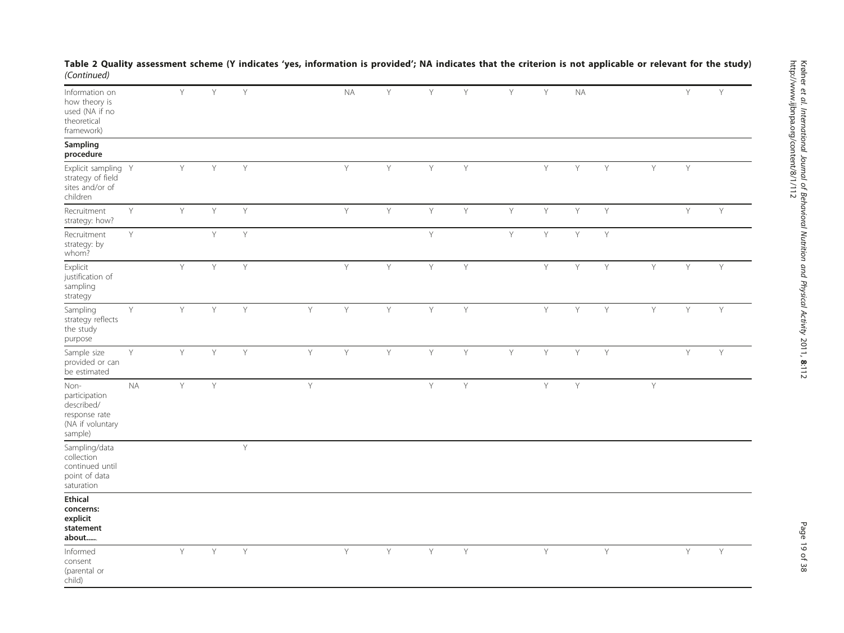| Information on<br>how theory is<br>used (NA if no<br>theoretical<br>framework)      |           | Y | Y | Y            |             | <b>NA</b>   | Y | Y | Y            | Y           | Y            | <b>NA</b> |   |   | Y | Y |
|-------------------------------------------------------------------------------------|-----------|---|---|--------------|-------------|-------------|---|---|--------------|-------------|--------------|-----------|---|---|---|---|
| Sampling<br>procedure                                                               |           |   |   |              |             |             |   |   |              |             |              |           |   |   |   |   |
| Explicit sampling Y<br>strategy of field<br>sites and/or of<br>children             |           | Y | Y | Y            |             | Y           | Y | Y | Y            |             | $\mathsf{Y}$ | Y         | Y | Y | Y |   |
| Recruitment<br>strategy: how?                                                       | Y         | Y | Y | Y            |             | Y           | Y | Y | Y            | $\mathsf Y$ | $\mathsf{Y}$ | Y         | Y |   | Y | Y |
| Recruitment<br>strategy: by<br>whom?                                                | Y         |   | Y | Y            |             |             |   | Y |              | Y           | Y            | Y         | Y |   |   |   |
| Explicit<br>justification of<br>sampling<br>strategy                                |           | Y | Y | $\mathsf{Y}$ |             | Y           | Y | Y | $\mathsf{Y}$ |             | $\mathsf{Y}$ | Y         | Y | Y | Y | Y |
| Sampling<br>strategy reflects<br>the study<br>purpose                               | Y         | Y | Y | Y            | Y           | $\mathsf Y$ | Y | Y | Y            |             | Y            | Y         | Y | Y | Y | Y |
| Sample size<br>provided or can<br>be estimated                                      | Y         | Y | Y | Y            | Y           | Y           | Y | Y | Y            | Y           | $\mathsf{Y}$ | Y         | Y |   | Y | Y |
| Non-<br>participation<br>described/<br>response rate<br>(NA if voluntary<br>sample) | <b>NA</b> | Y | Y |              | $\mathsf Y$ |             |   | Y | $\mathsf Y$  |             | $\mathsf{Y}$ | Y         |   | Y |   |   |
| Sampling/data<br>collection<br>continued until<br>point of data<br>saturation       |           |   |   | $\mathsf Y$  |             |             |   |   |              |             |              |           |   |   |   |   |
| <b>Ethical</b><br>concerns:<br>explicit<br>statement<br>about                       |           |   |   |              |             |             |   |   |              |             |              |           |   |   |   |   |
| Informed<br>consent<br>(parental or<br>child)                                       |           | Y | Y | $\mathsf Y$  |             | Y           | Y | Y | Y            |             | Y            |           | Y |   | Y | Y |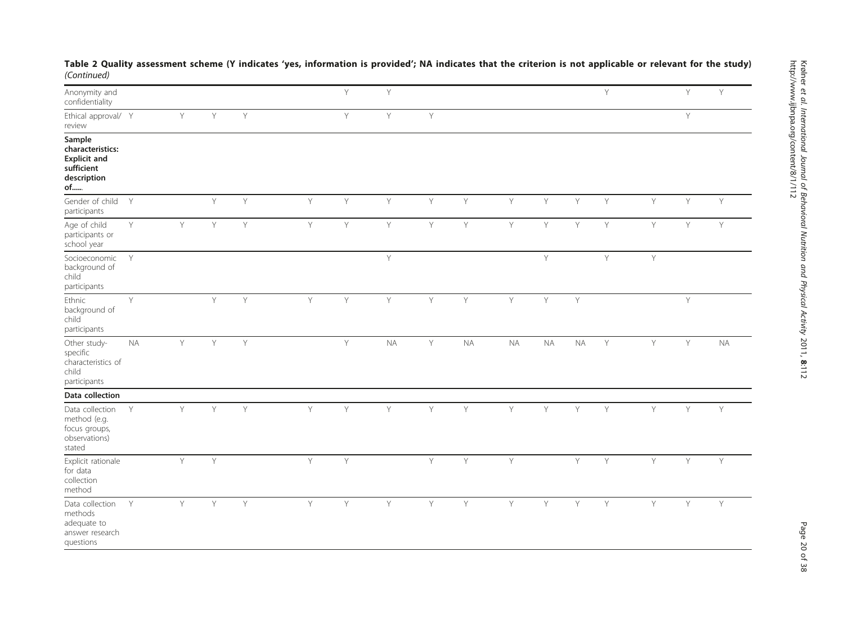| $($ Communical                                                                       |           |   |   |             |             |             |           |   |          |              |              |           |   |   |   |           |
|--------------------------------------------------------------------------------------|-----------|---|---|-------------|-------------|-------------|-----------|---|----------|--------------|--------------|-----------|---|---|---|-----------|
| Anonymity and<br>confidentiality                                                     |           |   |   |             |             | Y           | Y         |   |          |              |              |           | Y |   | Y | Y         |
| Ethical approval/ Y<br>review                                                        |           | Y | Y | Y           |             | Y           | Y         | Y |          |              |              |           |   |   | Y |           |
| Sample<br>characteristics:<br><b>Explicit and</b><br>sufficient<br>description<br>of |           |   |   |             |             |             |           |   |          |              |              |           |   |   |   |           |
| Gender of child<br>participants                                                      | Y         |   | Y | Y           | Y           | Y           | Y         | Y | Y        | Y            | $\mathsf{Y}$ | Y         | Y | Y | Y | Y         |
| Age of child<br>participants or<br>school year                                       | Y         | Y | Y | Y           | Y           | $\mathsf Y$ | Y         | Y | Y        | Y            | $\mathsf{Y}$ | Y         | Y | Y | Y | Y         |
| Socioeconomic<br>background of<br>child<br>participants                              | Y         |   |   |             |             |             | Y         |   |          |              | $\mathsf{Y}$ |           | Y | Y |   |           |
| Ethnic<br>background of<br>child<br>participants                                     | Y         |   | Y | Y           | Y           | Y           | Y         | Y | Y        | $\mathsf{Y}$ | Y            | Y         |   |   | Y |           |
| Other study-<br>specific<br>characteristics of<br>child<br>participants              | <b>NA</b> | Y | Y | Y           |             | Y           | <b>NA</b> | Y | $\sf NA$ | <b>NA</b>    | <b>NA</b>    | <b>NA</b> | Y | Y | Y | <b>NA</b> |
| Data collection                                                                      |           |   |   |             |             |             |           |   |          |              |              |           |   |   |   |           |
| Data collection<br>method (e.g.<br>focus groups,<br>observations)<br>stated          | Y         | Y | Y | $\mathsf Y$ | Y           | Y           | Y         | Y | Y        | Y            | $\mathsf{Y}$ | Y         | Y | Y | Y | Y         |
| Explicit rationale<br>for data<br>collection<br>method                               |           | Y | Y |             | Y           | Y           |           | Y | Y        | Y            |              | Y         | Y | Y | Y | Y         |
| Data collection<br>methods<br>adequate to<br>answer research<br>questions            | Y         | Y | Y | Y           | $\mathsf Y$ | $\mathsf Y$ | Y         | Y | Y        | Y            | $\mathsf{Y}$ | Y         | Y | Y | Y | Y         |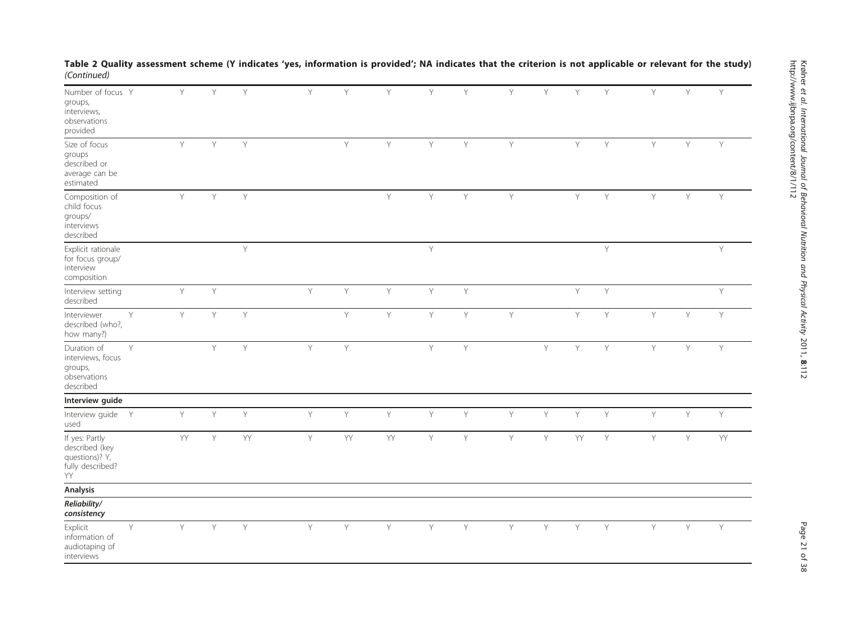|   | Y                                      | Y            | Y  | Y | Y  | Y           | Y | Y                  | Y | Y              | Y  | Y | Y  | Y                  | Y  |
|---|----------------------------------------|--------------|----|---|----|-------------|---|--------------------|---|----------------|----|---|----|--------------------|----|
|   | Y                                      | Y            | Y  |   | Y  | Y           | Y | Y                  | Y |                | Y  | Y | Y  | Y                  | Y  |
|   | Y                                      | Y            | Y  |   |    | Y           | Y | Y                  | Y |                | Y  | Y | Y  | Y                  | Y  |
|   |                                        |              | Y  |   |    |             | Y |                    |   |                |    | Y |    |                    | Y  |
|   | Y                                      | Y            |    | Y | Y  | Y           | Y | Y                  |   |                | Y  | Y |    |                    | Y  |
| Y | Y                                      | $\mathsf{Y}$ | Y  |   | Y  | $\mathsf Y$ | Y | $\mathsf Y$        | Y |                | Y  | Y | Y  | $\bar{\mathsf{Y}}$ | Y  |
| Y |                                        | Y            | Y  | Y | Y  |             | Y | Y                  |   | Y              | Y  | Y | Y  | Y                  | Y  |
|   |                                        |              |    |   |    |             |   |                    |   |                |    |   |    |                    |    |
|   | Y                                      | Y            | Y  | Y | Y  | Y           | Y | Y                  | Y | Y              | Y  | Y | Y  | Y                  | Y  |
|   | YY                                     | Y            | YY | Y | YY | YY          | Y | $\bar{\mathsf{Y}}$ | Y | $\overline{Y}$ | YY | Y | Y. | Y                  | YY |
|   |                                        |              |    |   |    |             |   |                    |   |                |    |   |    |                    |    |
|   |                                        |              |    |   |    |             |   |                    |   |                |    |   |    |                    |    |
| Y | Y                                      | Y            | Y  | Y | Y  | Y           | Y | Y                  | Y | Y              | Y  | Y | Y  | Y                  | Y  |
|   | Number of focus Y<br>Interview guide Y |              |    |   |    |             |   |                    |   |                |    |   |    |                    |    |

| Table 2 Quality assessment scheme (Y indicates 'yes, information is provided'; NA indicates that the criterion is not applicable or relevant for the study) |  |  |  |
|-------------------------------------------------------------------------------------------------------------------------------------------------------------|--|--|--|
| (Continued)                                                                                                                                                 |  |  |  |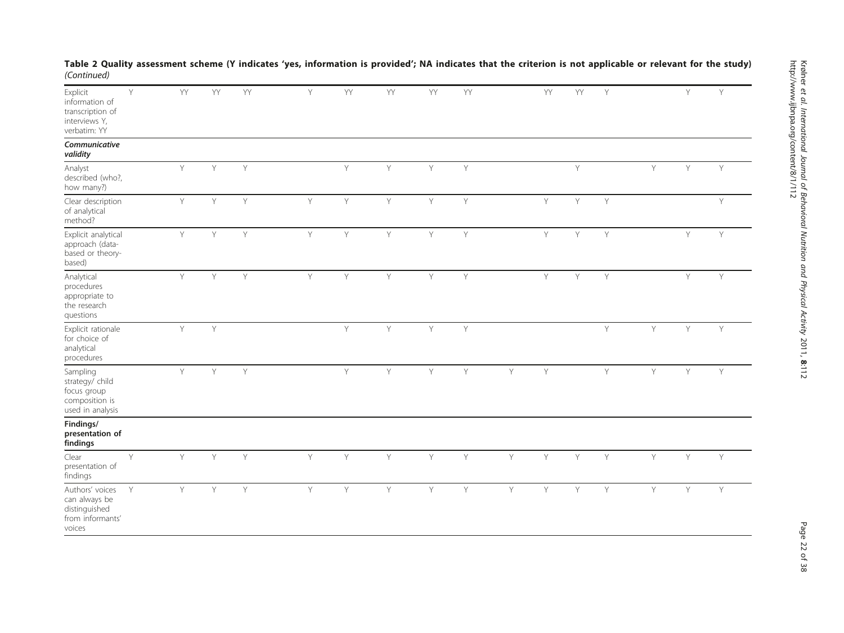| Explicit<br>information of<br>transcription of<br>interviews Y,<br>verbatim: YY  | Y | YY | YY           | YY          | Y | YY           | YY | YY           | YY           |   | YY           | YY          | Y |   | Y | Y |
|----------------------------------------------------------------------------------|---|----|--------------|-------------|---|--------------|----|--------------|--------------|---|--------------|-------------|---|---|---|---|
| Communicative<br>validity                                                        |   |    |              |             |   |              |    |              |              |   |              |             |   |   |   |   |
| Analyst<br>described (who?,<br>how many?)                                        |   | Y  | $\mathsf{Y}$ | $\mathsf Y$ |   | $\mathsf{Y}$ | Y  | $\mathsf{Y}$ | $\mathsf{Y}$ |   |              | $\mathsf Y$ |   | Y | Y | Y |
| Clear description<br>of analytical<br>method?                                    |   | Y  | Y            | Y           | Y | Y            | Y  | Y            | Y            |   | Y            | Y           | Y |   |   | Y |
| Explicit analytical<br>approach (data-<br>based or theory-<br>based)             |   | Y  | Y            | Y           | Y | Y            | Y  | Y            | Y            |   | Y            | Y           | Y |   | Y | Y |
| Analytical<br>procedures<br>appropriate to<br>the research<br>questions          |   | Y  | Y            | Y           | Y | Y            | Y  | Y            | Y            |   | Y            | Y           | Y |   | Y | Y |
| Explicit rationale<br>for choice of<br>analytical<br>procedures                  |   | Y  | Y            |             |   | Y            | Y  | Y            | Y            |   |              |             | Y | Y | Y | Y |
| Sampling<br>strategy/ child<br>focus group<br>composition is<br>used in analysis |   | Y  | Y            | Y           |   | Y            | Y  | Y            | Y            | Y | Y            |             | Y | Y | Y | Y |
| Findings/<br>presentation of<br>findings                                         |   |    |              |             |   |              |    |              |              |   |              |             |   |   |   |   |
| Clear<br>presentation of<br>findings                                             | Y | Y  | Y            | Y           | Y | Y            | Y  | Y            | Y            | Y | $\mathsf{Y}$ | Y           | Y | Y | Y | Y |
| Authors' voices<br>can always be<br>distinguished<br>from informants'<br>voices  | Y | Y  | Y            | Y           | Y | Y            | Y  | Y            | Y            | Y | Y            | Y           | Y | Y | Y | Y |

| Table 2 Quality assessment scheme (Y indicates 'yes, information is provided'; NA indicates that the criterion is not applicable or relevant for the study) |  |  |  |
|-------------------------------------------------------------------------------------------------------------------------------------------------------------|--|--|--|
| (Continued)                                                                                                                                                 |  |  |  |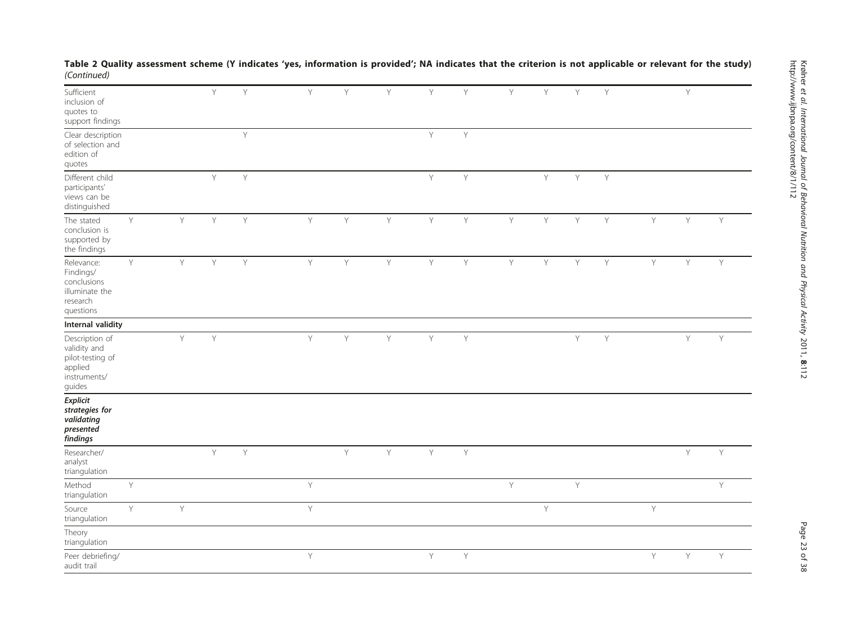| $\sim$                                                                                  |   |   |             |   |              |   |   |             |             |   |   |   |   |   |   |             |
|-----------------------------------------------------------------------------------------|---|---|-------------|---|--------------|---|---|-------------|-------------|---|---|---|---|---|---|-------------|
| Sufficient<br>inclusion of<br>quotes to<br>support findings                             |   |   | Y           | Y | Y            | Y | Y | Y           | Y           | Y | Y | Y | Y |   | Y |             |
| Clear description<br>of selection and<br>edition of<br>quotes                           |   |   |             | Y |              |   |   | $\mathsf Y$ | Y           |   |   |   |   |   |   |             |
| Different child<br>participants'<br>views can be<br>distinguished                       |   |   | $\mathsf Y$ | Y |              |   |   | Y           | Y           |   | Y | Y | Y |   |   |             |
| The stated<br>conclusion is<br>supported by<br>the findings                             | Y | Y | Y           | Y | $\mathsf{Y}$ | Y | Y | Y           | Y           | Y | Y | Y | Y | Y | Y | Y           |
| Relevance:<br>Findings/<br>conclusions<br>illuminate the<br>research<br>questions       | Y | Y | $\mathsf Y$ | Y | $\mathsf{Y}$ | Y | Y | Y           | Y           | Y | Y | Y | Y | Y | Y | Y           |
| Internal validity                                                                       |   |   |             |   |              |   |   |             |             |   |   |   |   |   |   |             |
| Description of<br>validity and<br>pilot-testing of<br>applied<br>instruments/<br>guides |   | Y | Y           |   | Y            | Y | Y | Y           | Y           |   |   | Y | Y |   | Y | Y           |
| <b>Explicit</b><br>strategies for<br>validating<br>presented<br>findings                |   |   |             |   |              |   |   |             |             |   |   |   |   |   |   |             |
| Researcher/<br>analyst<br>triangulation                                                 |   |   | Y           | Y |              | Y | Y | Y           | Y           |   |   |   |   |   | Y | Y           |
| Method<br>triangulation                                                                 | Y |   |             |   | $\mathsf Y$  |   |   |             |             | Y |   | Y |   |   |   | Y           |
| Source<br>triangulation                                                                 | Y | Y |             |   | Y            |   |   |             |             |   | Y |   |   | Y |   |             |
| Theory<br>triangulation                                                                 |   |   |             |   |              |   |   |             |             |   |   |   |   |   |   |             |
| Peer debriefing/<br>audit trail                                                         |   |   |             |   | $\mathsf Y$  |   |   | Y           | $\mathsf Y$ |   |   |   |   | Y | Y | $\mathsf Y$ |
|                                                                                         |   |   |             |   |              |   |   |             |             |   |   |   |   |   |   |             |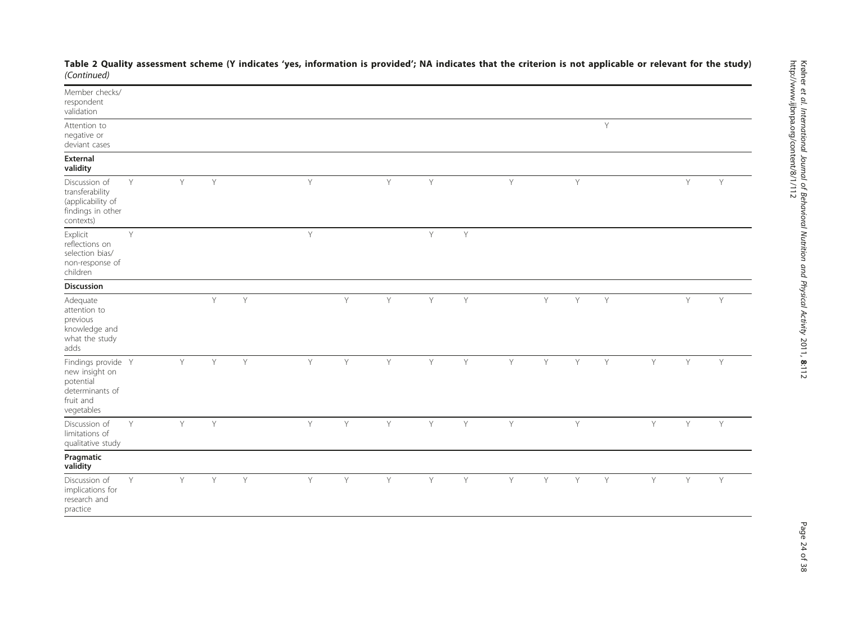| (Continued)                                                                                     |   |   |   |   |   |   |   |   |             |   |   |   |   |   |   |   |
|-------------------------------------------------------------------------------------------------|---|---|---|---|---|---|---|---|-------------|---|---|---|---|---|---|---|
| Member checks/<br>respondent<br>validation                                                      |   |   |   |   |   |   |   |   |             |   |   |   |   |   |   |   |
| Attention to<br>negative or<br>deviant cases                                                    |   |   |   |   |   |   |   |   |             |   |   |   | Y |   |   |   |
| <b>External</b><br>validity                                                                     |   |   |   |   |   |   |   |   |             |   |   |   |   |   |   |   |
| Discussion of<br>transferability<br>(applicability of<br>findings in other<br>contexts)         | Y | Y | Y |   | Y |   | Y | Y |             | Y |   | Y |   |   | Y | Y |
| Explicit<br>reflections on<br>selection bias/<br>non-response of<br>children                    | Y |   |   |   | Y |   |   | Y | Y           |   |   |   |   |   |   |   |
| <b>Discussion</b>                                                                               |   |   |   |   |   |   |   |   |             |   |   |   |   |   |   |   |
| Adequate<br>attention to<br>previous<br>knowledge and<br>what the study<br>adds                 |   |   | Y | Y |   | Y | Y | Y | $\mathsf Y$ |   | Y | Y | Y |   | Y | Y |
| Findings provide Y<br>new insight on<br>potential<br>determinants of<br>fruit and<br>vegetables |   | Y | Y | Y | Y | Y | Y | Y | Y           | Y | Y | Y | Y | Y | Y | Y |
| Discussion of<br>limitations of<br>qualitative study                                            | Y | Y | Y |   | Y | Y | Y | Y | Y           | Y |   | Y |   | Y | Y | Y |
| Pragmatic<br>validity                                                                           |   |   |   |   |   |   |   |   |             |   |   |   |   |   |   |   |
| Discussion of<br>implications for<br>research and<br>practice                                   | Y | Y | Y | Y | Y | Y | Y | Y | Y           | Y | Y | Y | Y | Y | Y | Y |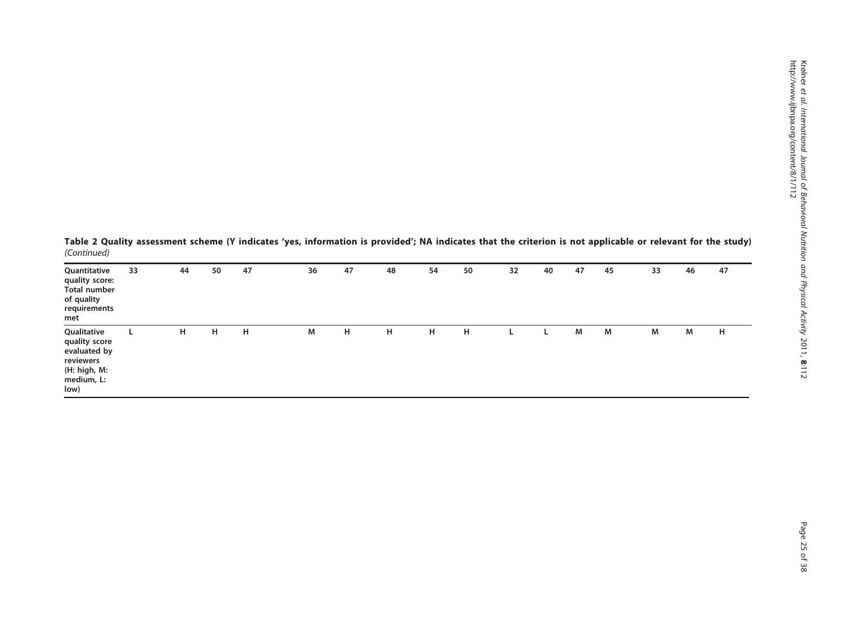Table 2 Quality assessment scheme (Y indicates 'yes, information is provided'; NA indicates that the criterion is not applicable or relevant for the study) (Continued)

| Quantitative<br>quality score:<br>Total number<br>of quality<br>requirements<br>met             | 33 | 44 | 50 | 47 | 36 | 47 | 48 | 54 | 50 | 32       | 40 | 47 | 45 | 33 | 46 | 47 |
|-------------------------------------------------------------------------------------------------|----|----|----|----|----|----|----|----|----|----------|----|----|----|----|----|----|
| Qualitative<br>quality score<br>evaluated by<br>reviewers<br>(H: high, M:<br>medium, L:<br>low) | L. | н  | н  | н  | M  | H  | н  | н  | H  | <b>L</b> | L. | M  | M  | M  | M  | Н  |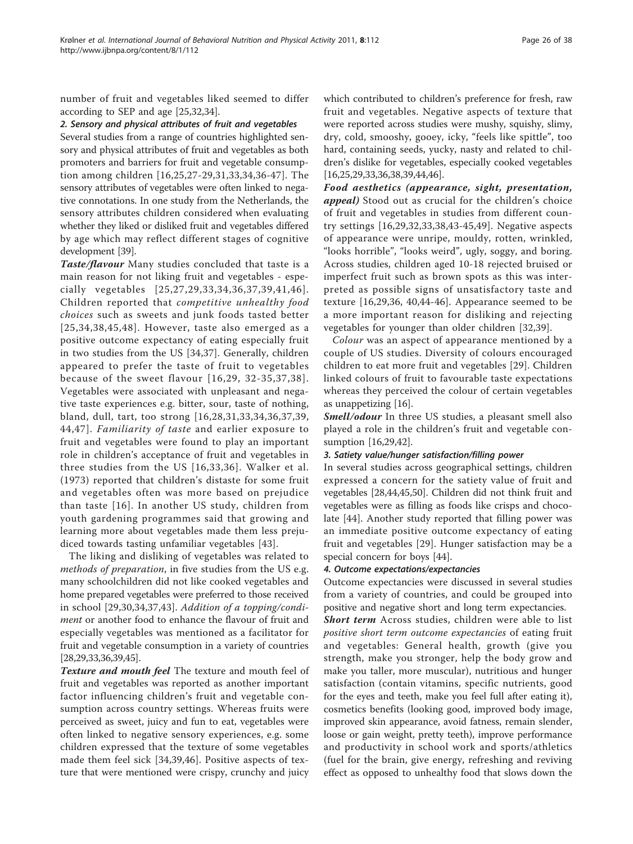number of fruit and vegetables liked seemed to differ according to SEP and age [\[25,32,34\]](#page-36-0).

#### 2. Sensory and physical attributes of fruit and vegetables

Several studies from a range of countries highlighted sensory and physical attributes of fruit and vegetables as both promoters and barriers for fruit and vegetable consumption among children [[16,25,27](#page-36-0)-[29](#page-36-0),[31,33,34](#page-36-0),[36-47](#page-36-0)]. The sensory attributes of vegetables were often linked to negative connotations. In one study from the Netherlands, the sensory attributes children considered when evaluating whether they liked or disliked fruit and vegetables differed by age which may reflect different stages of cognitive development [[39](#page-36-0)].

Taste/flavour Many studies concluded that taste is a main reason for not liking fruit and vegetables - especially vegetables [[25](#page-36-0),[27](#page-36-0),[29,33,34,36](#page-36-0),[37](#page-36-0),[39,41,46\]](#page-36-0). Children reported that competitive unhealthy food choices such as sweets and junk foods tasted better [[25](#page-36-0),[34,38,45](#page-36-0),[48\]](#page-36-0). However, taste also emerged as a positive outcome expectancy of eating especially fruit in two studies from the US [[34,37](#page-36-0)]. Generally, children appeared to prefer the taste of fruit to vegetables because of the sweet flavour [[16](#page-36-0),[29, 32-35,37,38\]](#page-36-0). Vegetables were associated with unpleasant and negative taste experiences e.g. bitter, sour, taste of nothing, bland, dull, tart, too strong [[16,28,31](#page-36-0),[33](#page-36-0),[34](#page-36-0),[36](#page-36-0),[37](#page-36-0),[39](#page-36-0), [44,47](#page-36-0)]. Familiarity of taste and earlier exposure to fruit and vegetables were found to play an important role in children's acceptance of fruit and vegetables in three studies from the US [[16,33,36](#page-36-0)]. Walker et al. (1973) reported that children's distaste for some fruit and vegetables often was more based on prejudice than taste [[16\]](#page-36-0). In another US study, children from youth gardening programmes said that growing and learning more about vegetables made them less prejudiced towards tasting unfamiliar vegetables [\[43](#page-36-0)].

The liking and disliking of vegetables was related to methods of preparation, in five studies from the US e.g. many schoolchildren did not like cooked vegetables and home prepared vegetables were preferred to those received in school [[29,30](#page-36-0),[34,37,43\]](#page-36-0). Addition of a topping/condiment or another food to enhance the flavour of fruit and especially vegetables was mentioned as a facilitator for fruit and vegetable consumption in a variety of countries [[28,29,33,36,39,45](#page-36-0)].

Texture and mouth feel The texture and mouth feel of fruit and vegetables was reported as another important factor influencing children's fruit and vegetable consumption across country settings. Whereas fruits were perceived as sweet, juicy and fun to eat, vegetables were often linked to negative sensory experiences, e.g. some children expressed that the texture of some vegetables made them feel sick [[34,39](#page-36-0),[46\]](#page-36-0). Positive aspects of texture that were mentioned were crispy, crunchy and juicy

which contributed to children's preference for fresh, raw fruit and vegetables. Negative aspects of texture that were reported across studies were mushy, squishy, slimy, dry, cold, smooshy, gooey, icky, "feels like spittle", too hard, containing seeds, yucky, nasty and related to children's dislike for vegetables, especially cooked vegetables [[16,25,29](#page-36-0),[33,36,38,39,44,46\]](#page-36-0).

Food aesthetics (appearance, sight, presentation, appeal) Stood out as crucial for the children's choice of fruit and vegetables in studies from different country settings [\[16,29,32,33,38,43](#page-36-0)-[45,49\]](#page-36-0). Negative aspects of appearance were unripe, mouldy, rotten, wrinkled, "looks horrible", "looks weird", ugly, soggy, and boring. Across studies, children aged 10-18 rejected bruised or imperfect fruit such as brown spots as this was interpreted as possible signs of unsatisfactory taste and texture [[16,29](#page-36-0),[36, 40,44](#page-36-0)-[46](#page-36-0)]. Appearance seemed to be a more important reason for disliking and rejecting vegetables for younger than older children [[32,39](#page-36-0)].

Colour was an aspect of appearance mentioned by a couple of US studies. Diversity of colours encouraged children to eat more fruit and vegetables [[29](#page-36-0)]. Children linked colours of fruit to favourable taste expectations whereas they perceived the colour of certain vegetables as unappetizing [[16\]](#page-36-0).

Smell/odour In three US studies, a pleasant smell also played a role in the children's fruit and vegetable consumption [[16](#page-36-0),[29,42](#page-36-0)].

#### 3. Satiety value/hunger satisfaction/filling power

In several studies across geographical settings, children expressed a concern for the satiety value of fruit and vegetables [\[28,44,45,50\]](#page-36-0). Children did not think fruit and vegetables were as filling as foods like crisps and chocolate [\[44](#page-36-0)]. Another study reported that filling power was an immediate positive outcome expectancy of eating fruit and vegetables [[29](#page-36-0)]. Hunger satisfaction may be a special concern for boys [[44](#page-36-0)].

#### 4. Outcome expectations/expectancies

Outcome expectancies were discussed in several studies from a variety of countries, and could be grouped into positive and negative short and long term expectancies.

Short term Across studies, children were able to list positive short term outcome expectancies of eating fruit and vegetables: General health, growth (give you strength, make you stronger, help the body grow and make you taller, more muscular), nutritious and hunger satisfaction (contain vitamins, specific nutrients, good for the eyes and teeth, make you feel full after eating it), cosmetics benefits (looking good, improved body image, improved skin appearance, avoid fatness, remain slender, loose or gain weight, pretty teeth), improve performance and productivity in school work and sports/athletics (fuel for the brain, give energy, refreshing and reviving effect as opposed to unhealthy food that slows down the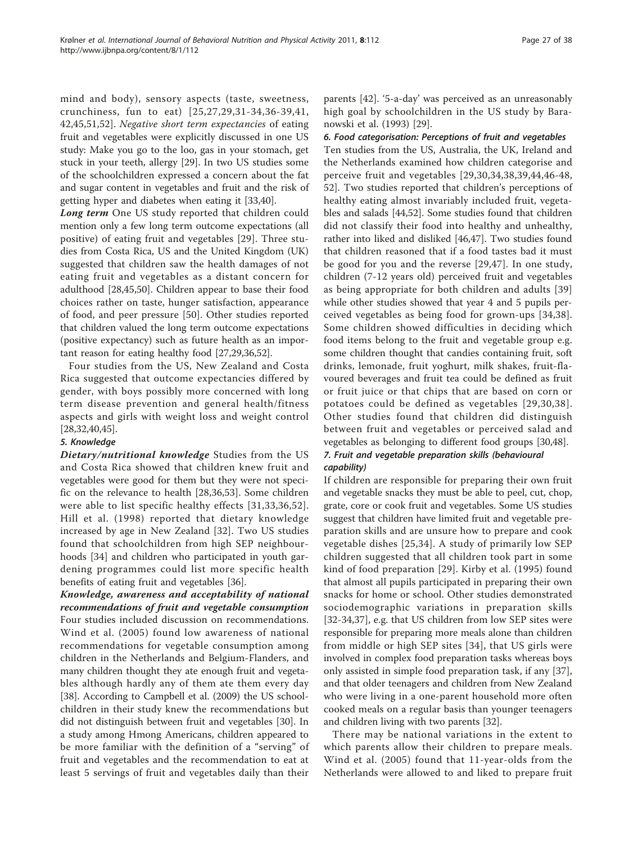mind and body), sensory aspects (taste, sweetness, crunchiness, fun to eat) [[25](#page-36-0),[27](#page-36-0),[29,31](#page-36-0)-[34,36](#page-36-0)-[39](#page-36-0),[41](#page-36-0), [42,45,51](#page-36-0),[52\]](#page-36-0). Negative short term expectancies of eating fruit and vegetables were explicitly discussed in one US study: Make you go to the loo, gas in your stomach, get stuck in your teeth, allergy [\[29](#page-36-0)]. In two US studies some of the schoolchildren expressed a concern about the fat and sugar content in vegetables and fruit and the risk of getting hyper and diabetes when eating it [\[33,40\]](#page-36-0).

Long term One US study reported that children could mention only a few long term outcome expectations (all positive) of eating fruit and vegetables [[29\]](#page-36-0). Three studies from Costa Rica, US and the United Kingdom (UK) suggested that children saw the health damages of not eating fruit and vegetables as a distant concern for adulthood [[28,45,50\]](#page-36-0). Children appear to base their food choices rather on taste, hunger satisfaction, appearance of food, and peer pressure [[50](#page-36-0)]. Other studies reported that children valued the long term outcome expectations (positive expectancy) such as future health as an important reason for eating healthy food [[27,29](#page-36-0),[36,52](#page-36-0)].

Four studies from the US, New Zealand and Costa Rica suggested that outcome expectancies differed by gender, with boys possibly more concerned with long term disease prevention and general health/fitness aspects and girls with weight loss and weight control [[28,32,40](#page-36-0),[45](#page-36-0)].

#### 5. Knowledge

Dietary/nutritional knowledge Studies from the US and Costa Rica showed that children knew fruit and vegetables were good for them but they were not specific on the relevance to health [[28,36,53](#page-36-0)]. Some children were able to list specific healthy effects [\[31,33](#page-36-0),[36](#page-36-0),[52\]](#page-36-0). Hill et al. (1998) reported that dietary knowledge increased by age in New Zealand [\[32](#page-36-0)]. Two US studies found that schoolchildren from high SEP neighbourhoods [\[34](#page-36-0)] and children who participated in youth gardening programmes could list more specific health benefits of eating fruit and vegetables [[36\]](#page-36-0).

Knowledge, awareness and acceptability of national recommendations of fruit and vegetable consumption Four studies included discussion on recommendations. Wind et al. (2005) found low awareness of national recommendations for vegetable consumption among children in the Netherlands and Belgium-Flanders, and many children thought they ate enough fruit and vegetables although hardly any of them ate them every day [[38\]](#page-36-0). According to Campbell et al. (2009) the US schoolchildren in their study knew the recommendations but did not distinguish between fruit and vegetables [\[30](#page-36-0)]. In a study among Hmong Americans, children appeared to be more familiar with the definition of a "serving" of fruit and vegetables and the recommendation to eat at least 5 servings of fruit and vegetables daily than their

parents [[42](#page-36-0)]. '5-a-day' was perceived as an unreasonably high goal by schoolchildren in the US study by Baranowski et al. (1993) [[29\]](#page-36-0).

6. Food categorisation: Perceptions of fruit and vegetables Ten studies from the US, Australia, the UK, Ireland and the Netherlands examined how children categorise and perceive fruit and vegetables [[29](#page-36-0),[30,34,38](#page-36-0),[39,44,46](#page-36-0)-[48](#page-36-0), [52\]](#page-36-0). Two studies reported that children's perceptions of healthy eating almost invariably included fruit, vegetables and salads [\[44,52\]](#page-36-0). Some studies found that children did not classify their food into healthy and unhealthy, rather into liked and disliked [\[46,47\]](#page-36-0). Two studies found that children reasoned that if a food tastes bad it must be good for you and the reverse [[29](#page-36-0),[47\]](#page-36-0). In one study, children (7-12 years old) perceived fruit and vegetables as being appropriate for both children and adults [[39](#page-36-0)] while other studies showed that year 4 and 5 pupils perceived vegetables as being food for grown-ups [\[34,38](#page-36-0)]. Some children showed difficulties in deciding which food items belong to the fruit and vegetable group e.g. some children thought that candies containing fruit, soft drinks, lemonade, fruit yoghurt, milk shakes, fruit-flavoured beverages and fruit tea could be defined as fruit or fruit juice or that chips that are based on corn or potatoes could be defined as vegetables [[29](#page-36-0),[30](#page-36-0),[38\]](#page-36-0). Other studies found that children did distinguish between fruit and vegetables or perceived salad and vegetables as belonging to different food groups [\[30,48\]](#page-36-0). 7. Fruit and vegetable preparation skills (behavioural

#### capability)

If children are responsible for preparing their own fruit and vegetable snacks they must be able to peel, cut, chop, grate, core or cook fruit and vegetables. Some US studies suggest that children have limited fruit and vegetable preparation skills and are unsure how to prepare and cook vegetable dishes [[25](#page-36-0),[34](#page-36-0)]. A study of primarily low SEP children suggested that all children took part in some kind of food preparation [\[29\]](#page-36-0). Kirby et al. (1995) found that almost all pupils participated in preparing their own snacks for home or school. Other studies demonstrated sociodemographic variations in preparation skills [[32-34](#page-36-0),[37\]](#page-36-0), e.g. that US children from low SEP sites were responsible for preparing more meals alone than children from middle or high SEP sites [\[34\]](#page-36-0), that US girls were involved in complex food preparation tasks whereas boys only assisted in simple food preparation task, if any [\[37](#page-36-0)], and that older teenagers and children from New Zealand who were living in a one-parent household more often cooked meals on a regular basis than younger teenagers and children living with two parents [[32](#page-36-0)].

There may be national variations in the extent to which parents allow their children to prepare meals. Wind et al. (2005) found that 11-year-olds from the Netherlands were allowed to and liked to prepare fruit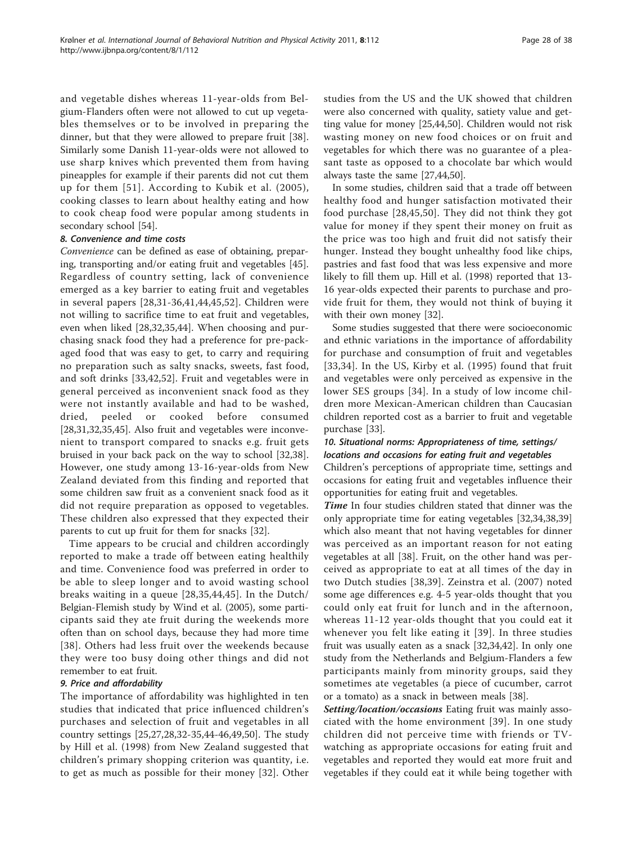and vegetable dishes whereas 11-year-olds from Belgium-Flanders often were not allowed to cut up vegetables themselves or to be involved in preparing the dinner, but that they were allowed to prepare fruit [\[38](#page-36-0)]. Similarly some Danish 11-year-olds were not allowed to use sharp knives which prevented them from having pineapples for example if their parents did not cut them up for them [[51\]](#page-36-0). According to Kubik et al. (2005), cooking classes to learn about healthy eating and how to cook cheap food were popular among students in secondary school [\[54\]](#page-36-0).

#### 8. Convenience and time costs

Convenience can be defined as ease of obtaining, preparing, transporting and/or eating fruit and vegetables [\[45](#page-36-0)]. Regardless of country setting, lack of convenience emerged as a key barrier to eating fruit and vegetables in several papers [[28](#page-36-0),[31-36](#page-36-0),[41,44](#page-36-0),[45,52](#page-36-0)]. Children were not willing to sacrifice time to eat fruit and vegetables, even when liked [[28,32,35,44\]](#page-36-0). When choosing and purchasing snack food they had a preference for pre-packaged food that was easy to get, to carry and requiring no preparation such as salty snacks, sweets, fast food, and soft drinks [\[33,42](#page-36-0),[52\]](#page-36-0). Fruit and vegetables were in general perceived as inconvenient snack food as they were not instantly available and had to be washed, dried, peeled or cooked before consumed [[28,31,32,35,45\]](#page-36-0). Also fruit and vegetables were inconvenient to transport compared to snacks e.g. fruit gets bruised in your back pack on the way to school [\[32,38](#page-36-0)]. However, one study among 13-16-year-olds from New Zealand deviated from this finding and reported that some children saw fruit as a convenient snack food as it did not require preparation as opposed to vegetables. These children also expressed that they expected their parents to cut up fruit for them for snacks [[32](#page-36-0)].

Time appears to be crucial and children accordingly reported to make a trade off between eating healthily and time. Convenience food was preferred in order to be able to sleep longer and to avoid wasting school breaks waiting in a queue [\[28](#page-36-0),[35,44,45](#page-36-0)]. In the Dutch/ Belgian-Flemish study by Wind et al. (2005), some participants said they ate fruit during the weekends more often than on school days, because they had more time [[38](#page-36-0)]. Others had less fruit over the weekends because they were too busy doing other things and did not remember to eat fruit.

#### 9. Price and affordability

The importance of affordability was highlighted in ten studies that indicated that price influenced children's purchases and selection of fruit and vegetables in all country settings [[25,27,28,32](#page-36-0)-[35,44](#page-36-0)-[46,49,50\]](#page-36-0). The study by Hill et al. (1998) from New Zealand suggested that children's primary shopping criterion was quantity, i.e. to get as much as possible for their money [[32\]](#page-36-0). Other studies from the US and the UK showed that children were also concerned with quality, satiety value and getting value for money [\[25,44,50\]](#page-36-0). Children would not risk wasting money on new food choices or on fruit and vegetables for which there was no guarantee of a pleasant taste as opposed to a chocolate bar which would always taste the same [\[27,44,50\]](#page-36-0).

In some studies, children said that a trade off between healthy food and hunger satisfaction motivated their food purchase [[28,45](#page-36-0),[50](#page-36-0)]. They did not think they got value for money if they spent their money on fruit as the price was too high and fruit did not satisfy their hunger. Instead they bought unhealthy food like chips, pastries and fast food that was less expensive and more likely to fill them up. Hill et al. (1998) reported that 13- 16 year-olds expected their parents to purchase and provide fruit for them, they would not think of buying it with their own money [\[32](#page-36-0)].

Some studies suggested that there were socioeconomic and ethnic variations in the importance of affordability for purchase and consumption of fruit and vegetables [[33](#page-36-0),[34](#page-36-0)]. In the US, Kirby et al. (1995) found that fruit and vegetables were only perceived as expensive in the lower SES groups [\[34\]](#page-36-0). In a study of low income children more Mexican-American children than Caucasian children reported cost as a barrier to fruit and vegetable purchase [\[33](#page-36-0)].

## 10. Situational norms: Appropriateness of time, settings/ locations and occasions for eating fruit and vegetables

Children's perceptions of appropriate time, settings and occasions for eating fruit and vegetables influence their opportunities for eating fruit and vegetables.

Time In four studies children stated that dinner was the only appropriate time for eating vegetables [\[32,34](#page-36-0),[38](#page-36-0),[39](#page-36-0)] which also meant that not having vegetables for dinner was perceived as an important reason for not eating vegetables at all [[38\]](#page-36-0). Fruit, on the other hand was perceived as appropriate to eat at all times of the day in two Dutch studies [[38,39](#page-36-0)]. Zeinstra et al. (2007) noted some age differences e.g. 4-5 year-olds thought that you could only eat fruit for lunch and in the afternoon, whereas 11-12 year-olds thought that you could eat it whenever you felt like eating it [[39](#page-36-0)]. In three studies fruit was usually eaten as a snack [[32,34](#page-36-0),[42](#page-36-0)]. In only one study from the Netherlands and Belgium-Flanders a few participants mainly from minority groups, said they sometimes ate vegetables (a piece of cucumber, carrot or a tomato) as a snack in between meals [\[38](#page-36-0)].

Setting/location/occasions Eating fruit was mainly associated with the home environment [[39](#page-36-0)]. In one study children did not perceive time with friends or TVwatching as appropriate occasions for eating fruit and vegetables and reported they would eat more fruit and vegetables if they could eat it while being together with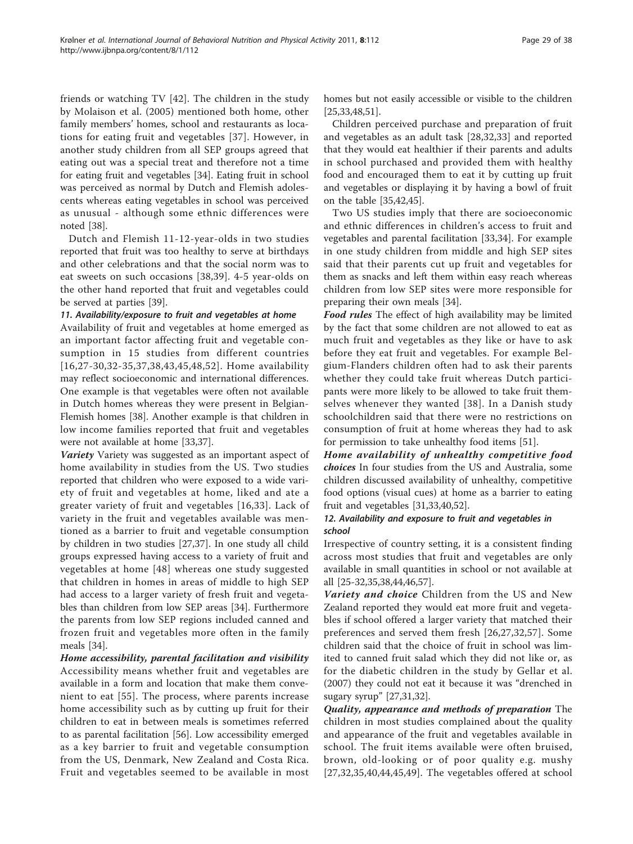friends or watching TV [[42\]](#page-36-0). The children in the study by Molaison et al. (2005) mentioned both home, other family members' homes, school and restaurants as locations for eating fruit and vegetables [[37](#page-36-0)]. However, in another study children from all SEP groups agreed that eating out was a special treat and therefore not a time for eating fruit and vegetables [[34](#page-36-0)]. Eating fruit in school was perceived as normal by Dutch and Flemish adolescents whereas eating vegetables in school was perceived as unusual - although some ethnic differences were noted [\[38](#page-36-0)].

Dutch and Flemish 11-12-year-olds in two studies reported that fruit was too healthy to serve at birthdays and other celebrations and that the social norm was to eat sweets on such occasions [\[38,39](#page-36-0)]. 4-5 year-olds on the other hand reported that fruit and vegetables could be served at parties [[39\]](#page-36-0).

#### 11. Availability/exposure to fruit and vegetables at home

Availability of fruit and vegetables at home emerged as an important factor affecting fruit and vegetable consumption in 15 studies from different countries [[16,27-30](#page-36-0),[32](#page-36-0)-[35,37,38,43,45,48,52\]](#page-36-0). Home availability may reflect socioeconomic and international differences. One example is that vegetables were often not available in Dutch homes whereas they were present in Belgian-Flemish homes [[38](#page-36-0)]. Another example is that children in low income families reported that fruit and vegetables were not available at home [\[33,37\]](#page-36-0).

Variety Variety was suggested as an important aspect of home availability in studies from the US. Two studies reported that children who were exposed to a wide variety of fruit and vegetables at home, liked and ate a greater variety of fruit and vegetables [\[16,33](#page-36-0)]. Lack of variety in the fruit and vegetables available was mentioned as a barrier to fruit and vegetable consumption by children in two studies [\[27,37](#page-36-0)]. In one study all child groups expressed having access to a variety of fruit and vegetables at home [[48](#page-36-0)] whereas one study suggested that children in homes in areas of middle to high SEP had access to a larger variety of fresh fruit and vegetables than children from low SEP areas [\[34](#page-36-0)]. Furthermore the parents from low SEP regions included canned and frozen fruit and vegetables more often in the family meals [\[34](#page-36-0)].

Home accessibility, parental facilitation and visibility Accessibility means whether fruit and vegetables are available in a form and location that make them convenient to eat [[55](#page-36-0)]. The process, where parents increase home accessibility such as by cutting up fruit for their children to eat in between meals is sometimes referred to as parental facilitation [\[56](#page-36-0)]. Low accessibility emerged as a key barrier to fruit and vegetable consumption from the US, Denmark, New Zealand and Costa Rica. Fruit and vegetables seemed to be available in most homes but not easily accessible or visible to the children [[25,33,48](#page-36-0),[51](#page-36-0)].

Children perceived purchase and preparation of fruit and vegetables as an adult task [[28,32,33](#page-36-0)] and reported that they would eat healthier if their parents and adults in school purchased and provided them with healthy food and encouraged them to eat it by cutting up fruit and vegetables or displaying it by having a bowl of fruit on the table [\[35,42,45](#page-36-0)].

Two US studies imply that there are socioeconomic and ethnic differences in children's access to fruit and vegetables and parental facilitation [[33,34](#page-36-0)]. For example in one study children from middle and high SEP sites said that their parents cut up fruit and vegetables for them as snacks and left them within easy reach whereas children from low SEP sites were more responsible for preparing their own meals [\[34](#page-36-0)].

Food rules The effect of high availability may be limited by the fact that some children are not allowed to eat as much fruit and vegetables as they like or have to ask before they eat fruit and vegetables. For example Belgium-Flanders children often had to ask their parents whether they could take fruit whereas Dutch participants were more likely to be allowed to take fruit themselves whenever they wanted [[38](#page-36-0)]. In a Danish study schoolchildren said that there were no restrictions on consumption of fruit at home whereas they had to ask for permission to take unhealthy food items [[51\]](#page-36-0).

Home availability of unhealthy competitive food choices In four studies from the US and Australia, some children discussed availability of unhealthy, competitive food options (visual cues) at home as a barrier to eating fruit and vegetables [\[31,33,40,52\]](#page-36-0).

#### 12. Availability and exposure to fruit and vegetables in school

Irrespective of country setting, it is a consistent finding across most studies that fruit and vegetables are only available in small quantities in school or not available at all [[25](#page-36-0)-[32,35,38](#page-36-0),[44,46,57](#page-36-0)].

Variety and choice Children from the US and New Zealand reported they would eat more fruit and vegetables if school offered a larger variety that matched their preferences and served them fresh [[26,27](#page-36-0),[32,57](#page-36-0)]. Some children said that the choice of fruit in school was limited to canned fruit salad which they did not like or, as for the diabetic children in the study by Gellar et al. (2007) they could not eat it because it was "drenched in sugary syrup" [\[27,31,32\]](#page-36-0).

Quality, appearance and methods of preparation The children in most studies complained about the quality and appearance of the fruit and vegetables available in school. The fruit items available were often bruised, brown, old-looking or of poor quality e.g. mushy [[27,32](#page-36-0),[35,40,44,45,49](#page-36-0)]. The vegetables offered at school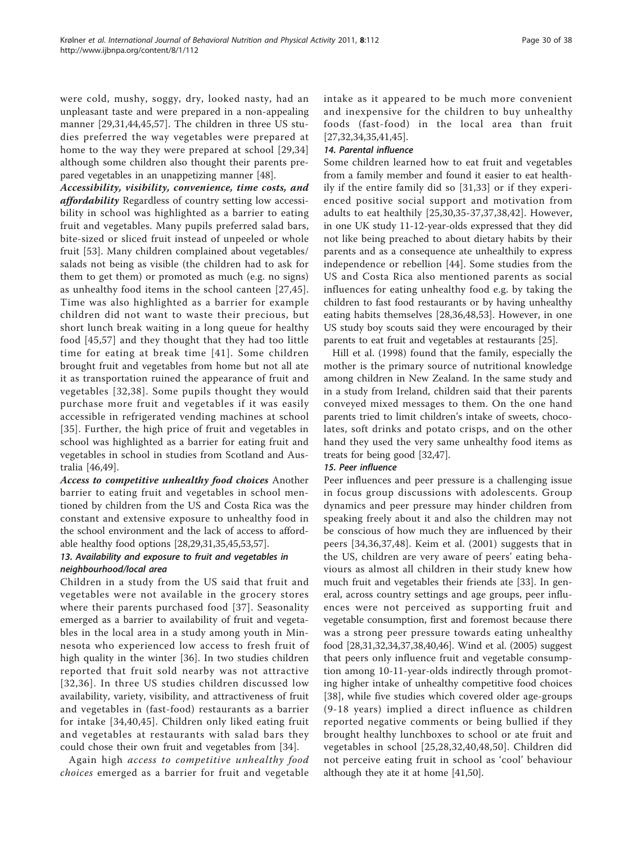were cold, mushy, soggy, dry, looked nasty, had an unpleasant taste and were prepared in a non-appealing manner [[29,31,44](#page-36-0),[45,57\]](#page-36-0). The children in three US studies preferred the way vegetables were prepared at home to the way they were prepared at school [[29,34](#page-36-0)] although some children also thought their parents prepared vegetables in an unappetizing manner [[48](#page-36-0)].

Accessibility, visibility, convenience, time costs, and affordability Regardless of country setting low accessibility in school was highlighted as a barrier to eating fruit and vegetables. Many pupils preferred salad bars, bite-sized or sliced fruit instead of unpeeled or whole fruit [[53\]](#page-36-0). Many children complained about vegetables/ salads not being as visible (the children had to ask for them to get them) or promoted as much (e.g. no signs) as unhealthy food items in the school canteen [\[27](#page-36-0),[45](#page-36-0)]. Time was also highlighted as a barrier for example children did not want to waste their precious, but short lunch break waiting in a long queue for healthy food [[45](#page-36-0),[57](#page-36-0)] and they thought that they had too little time for eating at break time [[41](#page-36-0)]. Some children brought fruit and vegetables from home but not all ate it as transportation ruined the appearance of fruit and vegetables [[32](#page-36-0),[38\]](#page-36-0). Some pupils thought they would purchase more fruit and vegetables if it was easily accessible in refrigerated vending machines at school [[35](#page-36-0)]. Further, the high price of fruit and vegetables in school was highlighted as a barrier for eating fruit and vegetables in school in studies from Scotland and Australia [\[46](#page-36-0),[49\]](#page-36-0).

Access to competitive unhealthy food choices Another barrier to eating fruit and vegetables in school mentioned by children from the US and Costa Rica was the constant and extensive exposure to unhealthy food in the school environment and the lack of access to affordable healthy food options [\[28,29,31,35](#page-36-0),[45,53,57](#page-36-0)].

# 13. Availability and exposure to fruit and vegetables in neighbourhood/local area

Children in a study from the US said that fruit and vegetables were not available in the grocery stores where their parents purchased food [[37](#page-36-0)]. Seasonality emerged as a barrier to availability of fruit and vegetables in the local area in a study among youth in Minnesota who experienced low access to fresh fruit of high quality in the winter [[36\]](#page-36-0). In two studies children reported that fruit sold nearby was not attractive [[32](#page-36-0),[36](#page-36-0)]. In three US studies children discussed low availability, variety, visibility, and attractiveness of fruit and vegetables in (fast-food) restaurants as a barrier for intake [[34](#page-36-0),[40,45\]](#page-36-0). Children only liked eating fruit and vegetables at restaurants with salad bars they could chose their own fruit and vegetables from [\[34](#page-36-0)].

Again high access to competitive unhealthy food choices emerged as a barrier for fruit and vegetable intake as it appeared to be much more convenient and inexpensive for the children to buy unhealthy foods (fast-food) in the local area than fruit [[27,32,34](#page-36-0),[35,41,45\]](#page-36-0).

#### 14. Parental influence

Some children learned how to eat fruit and vegetables from a family member and found it easier to eat healthily if the entire family did so [[31,33](#page-36-0)] or if they experienced positive social support and motivation from adults to eat healthily [[25,30,35-37,37,38,42\]](#page-36-0). However, in one UK study 11-12-year-olds expressed that they did not like being preached to about dietary habits by their parents and as a consequence ate unhealthily to express independence or rebellion [[44\]](#page-36-0). Some studies from the US and Costa Rica also mentioned parents as social influences for eating unhealthy food e.g. by taking the children to fast food restaurants or by having unhealthy eating habits themselves [[28,36,48,53](#page-36-0)]. However, in one US study boy scouts said they were encouraged by their parents to eat fruit and vegetables at restaurants [[25\]](#page-36-0).

Hill et al. (1998) found that the family, especially the mother is the primary source of nutritional knowledge among children in New Zealand. In the same study and in a study from Ireland, children said that their parents conveyed mixed messages to them. On the one hand parents tried to limit children's intake of sweets, chocolates, soft drinks and potato crisps, and on the other hand they used the very same unhealthy food items as treats for being good [\[32,47\]](#page-36-0).

#### 15. Peer influence

Peer influences and peer pressure is a challenging issue in focus group discussions with adolescents. Group dynamics and peer pressure may hinder children from speaking freely about it and also the children may not be conscious of how much they are influenced by their peers [[34,36,37,48\]](#page-36-0). Keim et al. (2001) suggests that in the US, children are very aware of peers' eating behaviours as almost all children in their study knew how much fruit and vegetables their friends ate [\[33](#page-36-0)]. In general, across country settings and age groups, peer influences were not perceived as supporting fruit and vegetable consumption, first and foremost because there was a strong peer pressure towards eating unhealthy food [\[28,31,32,34,37,38](#page-36-0),[40](#page-36-0),[46](#page-36-0)]. Wind et al. (2005) suggest that peers only influence fruit and vegetable consumption among 10-11-year-olds indirectly through promoting higher intake of unhealthy competitive food choices [[38](#page-36-0)], while five studies which covered older age-groups (9-18 years) implied a direct influence as children reported negative comments or being bullied if they brought healthy lunchboxes to school or ate fruit and vegetables in school [[25,28,32,40](#page-36-0),[48](#page-36-0),[50\]](#page-36-0). Children did not perceive eating fruit in school as 'cool' behaviour although they ate it at home [\[41,50\]](#page-36-0).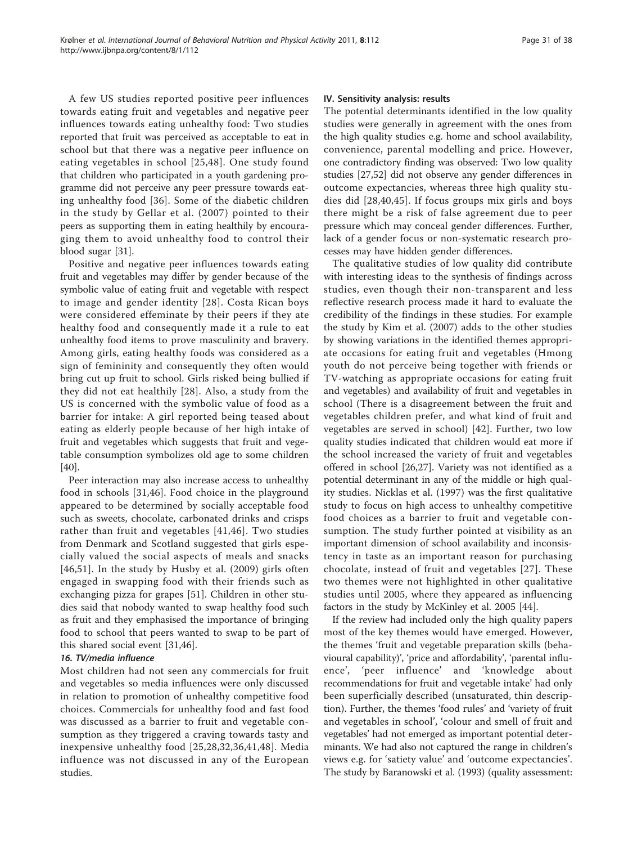A few US studies reported positive peer influences towards eating fruit and vegetables and negative peer influences towards eating unhealthy food: Two studies reported that fruit was perceived as acceptable to eat in school but that there was a negative peer influence on eating vegetables in school [[25](#page-36-0),[48](#page-36-0)]. One study found that children who participated in a youth gardening programme did not perceive any peer pressure towards eating unhealthy food [\[36\]](#page-36-0). Some of the diabetic children in the study by Gellar et al. (2007) pointed to their peers as supporting them in eating healthily by encouraging them to avoid unhealthy food to control their blood sugar [\[31\]](#page-36-0).

Positive and negative peer influences towards eating fruit and vegetables may differ by gender because of the symbolic value of eating fruit and vegetable with respect to image and gender identity [[28](#page-36-0)]. Costa Rican boys were considered effeminate by their peers if they ate healthy food and consequently made it a rule to eat unhealthy food items to prove masculinity and bravery. Among girls, eating healthy foods was considered as a sign of femininity and consequently they often would bring cut up fruit to school. Girls risked being bullied if they did not eat healthily [\[28\]](#page-36-0). Also, a study from the US is concerned with the symbolic value of food as a barrier for intake: A girl reported being teased about eating as elderly people because of her high intake of fruit and vegetables which suggests that fruit and vegetable consumption symbolizes old age to some children [[40\]](#page-36-0).

Peer interaction may also increase access to unhealthy food in schools [\[31,46\]](#page-36-0). Food choice in the playground appeared to be determined by socially acceptable food such as sweets, chocolate, carbonated drinks and crisps rather than fruit and vegetables [\[41,46\]](#page-36-0). Two studies from Denmark and Scotland suggested that girls especially valued the social aspects of meals and snacks [[46](#page-36-0),[51\]](#page-36-0). In the study by Husby et al. (2009) girls often engaged in swapping food with their friends such as exchanging pizza for grapes [\[51](#page-36-0)]. Children in other studies said that nobody wanted to swap healthy food such as fruit and they emphasised the importance of bringing food to school that peers wanted to swap to be part of this shared social event [[31](#page-36-0),[46](#page-36-0)].

#### 16. TV/media influence

Most children had not seen any commercials for fruit and vegetables so media influences were only discussed in relation to promotion of unhealthy competitive food choices. Commercials for unhealthy food and fast food was discussed as a barrier to fruit and vegetable consumption as they triggered a craving towards tasty and inexpensive unhealthy food [[25,28](#page-36-0),[32,36,41](#page-36-0),[48\]](#page-36-0). Media influence was not discussed in any of the European studies.

#### IV. Sensitivity analysis: results

The potential determinants identified in the low quality studies were generally in agreement with the ones from the high quality studies e.g. home and school availability, convenience, parental modelling and price. However, one contradictory finding was observed: Two low quality studies [\[27,52\]](#page-36-0) did not observe any gender differences in outcome expectancies, whereas three high quality studies did [[28,40](#page-36-0),[45\]](#page-36-0). If focus groups mix girls and boys there might be a risk of false agreement due to peer pressure which may conceal gender differences. Further, lack of a gender focus or non-systematic research processes may have hidden gender differences.

The qualitative studies of low quality did contribute with interesting ideas to the synthesis of findings across studies, even though their non-transparent and less reflective research process made it hard to evaluate the credibility of the findings in these studies. For example the study by Kim et al. (2007) adds to the other studies by showing variations in the identified themes appropriate occasions for eating fruit and vegetables (Hmong youth do not perceive being together with friends or TV-watching as appropriate occasions for eating fruit and vegetables) and availability of fruit and vegetables in school (There is a disagreement between the fruit and vegetables children prefer, and what kind of fruit and vegetables are served in school) [[42\]](#page-36-0). Further, two low quality studies indicated that children would eat more if the school increased the variety of fruit and vegetables offered in school [\[26,27](#page-36-0)]. Variety was not identified as a potential determinant in any of the middle or high quality studies. Nicklas et al. (1997) was the first qualitative study to focus on high access to unhealthy competitive food choices as a barrier to fruit and vegetable consumption. The study further pointed at visibility as an important dimension of school availability and inconsistency in taste as an important reason for purchasing chocolate, instead of fruit and vegetables [[27](#page-36-0)]. These two themes were not highlighted in other qualitative studies until 2005, where they appeared as influencing factors in the study by McKinley et al. 2005 [[44](#page-36-0)].

If the review had included only the high quality papers most of the key themes would have emerged. However, the themes 'fruit and vegetable preparation skills (behavioural capability)', 'price and affordability', 'parental influence', 'peer influence' and 'knowledge about recommendations for fruit and vegetable intake' had only been superficially described (unsaturated, thin description). Further, the themes 'food rules' and 'variety of fruit and vegetables in school', 'colour and smell of fruit and vegetables' had not emerged as important potential determinants. We had also not captured the range in children's views e.g. for 'satiety value' and 'outcome expectancies'. The study by Baranowski et al. (1993) (quality assessment: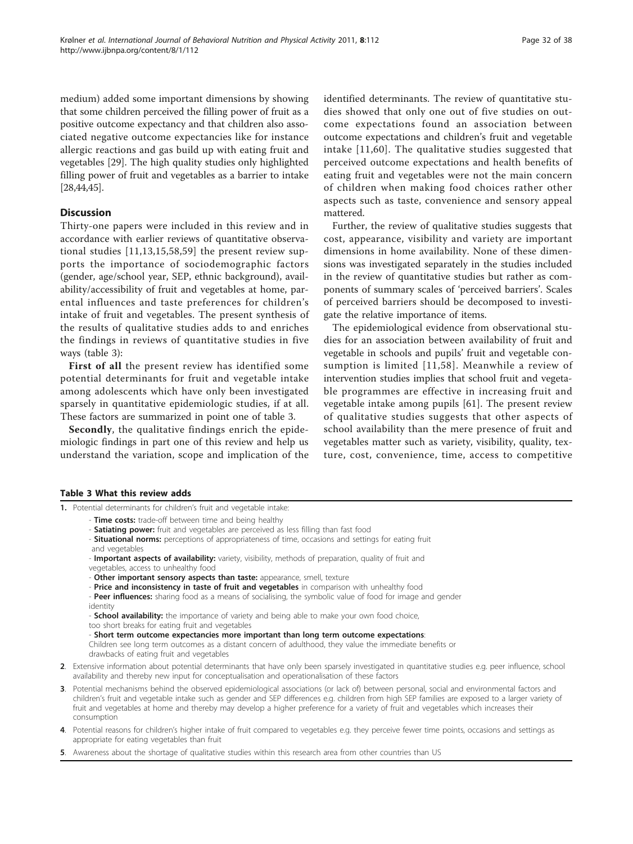<span id="page-31-0"></span>medium) added some important dimensions by showing that some children perceived the filling power of fruit as a positive outcome expectancy and that children also associated negative outcome expectancies like for instance allergic reactions and gas build up with eating fruit and vegetables [\[29](#page-36-0)]. The high quality studies only highlighted filling power of fruit and vegetables as a barrier to intake [[28,44,45\]](#page-36-0).

#### **Discussion**

Thirty-one papers were included in this review and in accordance with earlier reviews of quantitative observational studies [[11,13](#page-35-0)[,15,](#page-36-0)[58](#page-37-0),[59\]](#page-37-0) the present review supports the importance of sociodemographic factors (gender, age/school year, SEP, ethnic background), availability/accessibility of fruit and vegetables at home, parental influences and taste preferences for children's intake of fruit and vegetables. The present synthesis of the results of qualitative studies adds to and enriches the findings in reviews of quantitative studies in five ways (table 3):

First of all the present review has identified some potential determinants for fruit and vegetable intake among adolescents which have only been investigated sparsely in quantitative epidemiologic studies, if at all. These factors are summarized in point one of table 3.

Secondly, the qualitative findings enrich the epidemiologic findings in part one of this review and help us understand the variation, scope and implication of the identified determinants. The review of quantitative studies showed that only one out of five studies on outcome expectations found an association between outcome expectations and children's fruit and vegetable intake [[11](#page-35-0)[,60\]](#page-37-0). The qualitative studies suggested that perceived outcome expectations and health benefits of eating fruit and vegetables were not the main concern of children when making food choices rather other aspects such as taste, convenience and sensory appeal mattered.

Further, the review of qualitative studies suggests that cost, appearance, visibility and variety are important dimensions in home availability. None of these dimensions was investigated separately in the studies included in the review of quantitative studies but rather as components of summary scales of 'perceived barriers'. Scales of perceived barriers should be decomposed to investigate the relative importance of items.

The epidemiological evidence from observational studies for an association between availability of fruit and vegetable in schools and pupils' fruit and vegetable consumption is limited [[11](#page-35-0),[58](#page-37-0)]. Meanwhile a review of intervention studies implies that school fruit and vegetable programmes are effective in increasing fruit and vegetable intake among pupils [[61\]](#page-37-0). The present review of qualitative studies suggests that other aspects of school availability than the mere presence of fruit and vegetables matter such as variety, visibility, quality, texture, cost, convenience, time, access to competitive

# Table 3 What this review adds

1. Potential determinants for children's fruit and vegetable intake:

- Time costs: trade-off between time and being healthy
- Satiating power: fruit and vegetables are perceived as less filling than fast food
- Situational norms: perceptions of appropriateness of time, occasions and settings for eating fruit and vegetables
- Important aspects of availability: variety, visibility, methods of preparation, quality of fruit and vegetables, access to unhealthy food
- Other important sensory aspects than taste: appearance, smell, texture
- Price and inconsistency in taste of fruit and vegetables in comparison with unhealthy food
- Peer influences: sharing food as a means of socialising, the symbolic value of food for image and gender identity

- School availability: the importance of variety and being able to make your own food choice,

- too short breaks for eating fruit and vegetables
- Short term outcome expectancies more important than long term outcome expectations:

Children see long term outcomes as a distant concern of adulthood, they value the immediate benefits or drawbacks of eating fruit and vegetables

- 2. Extensive information about potential determinants that have only been sparsely investigated in quantitative studies e.g. peer influence, school availability and thereby new input for conceptualisation and operationalisation of these factors
- 3. Potential mechanisms behind the observed epidemiological associations (or lack of) between personal, social and environmental factors and children's fruit and vegetable intake such as gender and SEP differences e.g. children from high SEP families are exposed to a larger variety of fruit and vegetables at home and thereby may develop a higher preference for a variety of fruit and vegetables which increases their consumption
- 4. Potential reasons for children's higher intake of fruit compared to vegetables e.g. they perceive fewer time points, occasions and settings as appropriate for eating vegetables than fruit
- 5. Awareness about the shortage of qualitative studies within this research area from other countries than US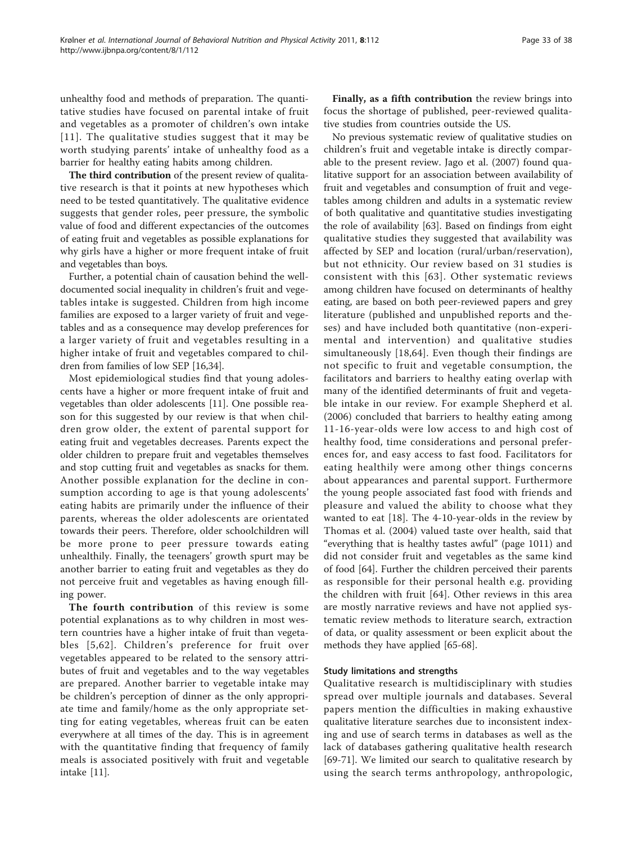unhealthy food and methods of preparation. The quantitative studies have focused on parental intake of fruit and vegetables as a promoter of children's own intake [[11](#page-35-0)]. The qualitative studies suggest that it may be worth studying parents' intake of unhealthy food as a barrier for healthy eating habits among children.

The third contribution of the present review of qualitative research is that it points at new hypotheses which need to be tested quantitatively. The qualitative evidence suggests that gender roles, peer pressure, the symbolic value of food and different expectancies of the outcomes of eating fruit and vegetables as possible explanations for why girls have a higher or more frequent intake of fruit and vegetables than boys.

Further, a potential chain of causation behind the welldocumented social inequality in children's fruit and vegetables intake is suggested. Children from high income families are exposed to a larger variety of fruit and vegetables and as a consequence may develop preferences for a larger variety of fruit and vegetables resulting in a higher intake of fruit and vegetables compared to children from families of low SEP [\[16,34\]](#page-36-0).

Most epidemiological studies find that young adolescents have a higher or more frequent intake of fruit and vegetables than older adolescents [[11\]](#page-35-0). One possible reason for this suggested by our review is that when children grow older, the extent of parental support for eating fruit and vegetables decreases. Parents expect the older children to prepare fruit and vegetables themselves and stop cutting fruit and vegetables as snacks for them. Another possible explanation for the decline in consumption according to age is that young adolescents' eating habits are primarily under the influence of their parents, whereas the older adolescents are orientated towards their peers. Therefore, older schoolchildren will be more prone to peer pressure towards eating unhealthily. Finally, the teenagers' growth spurt may be another barrier to eating fruit and vegetables as they do not perceive fruit and vegetables as having enough filling power.

The fourth contribution of this review is some potential explanations as to why children in most western countries have a higher intake of fruit than vegetables [[5](#page-35-0),[62\]](#page-37-0). Children's preference for fruit over vegetables appeared to be related to the sensory attributes of fruit and vegetables and to the way vegetables are prepared. Another barrier to vegetable intake may be children's perception of dinner as the only appropriate time and family/home as the only appropriate setting for eating vegetables, whereas fruit can be eaten everywhere at all times of the day. This is in agreement with the quantitative finding that frequency of family meals is associated positively with fruit and vegetable intake [\[11\]](#page-35-0).

Finally, as a fifth contribution the review brings into focus the shortage of published, peer-reviewed qualitative studies from countries outside the US.

No previous systematic review of qualitative studies on children's fruit and vegetable intake is directly comparable to the present review. Jago et al. (2007) found qualitative support for an association between availability of fruit and vegetables and consumption of fruit and vegetables among children and adults in a systematic review of both qualitative and quantitative studies investigating the role of availability [[63](#page-37-0)]. Based on findings from eight qualitative studies they suggested that availability was affected by SEP and location (rural/urban/reservation), but not ethnicity. Our review based on 31 studies is consistent with this [[63\]](#page-37-0). Other systematic reviews among children have focused on determinants of healthy eating, are based on both peer-reviewed papers and grey literature (published and unpublished reports and theses) and have included both quantitative (non-experimental and intervention) and qualitative studies simultaneously [[18](#page-36-0),[64\]](#page-37-0). Even though their findings are not specific to fruit and vegetable consumption, the facilitators and barriers to healthy eating overlap with many of the identified determinants of fruit and vegetable intake in our review. For example Shepherd et al. (2006) concluded that barriers to healthy eating among 11-16-year-olds were low access to and high cost of healthy food, time considerations and personal preferences for, and easy access to fast food. Facilitators for eating healthily were among other things concerns about appearances and parental support. Furthermore the young people associated fast food with friends and pleasure and valued the ability to choose what they wanted to eat [[18\]](#page-36-0). The 4-10-year-olds in the review by Thomas et al. (2004) valued taste over health, said that "everything that is healthy tastes awful" (page 1011) and did not consider fruit and vegetables as the same kind of food [\[64](#page-37-0)]. Further the children perceived their parents as responsible for their personal health e.g. providing the children with fruit [[64\]](#page-37-0). Other reviews in this area are mostly narrative reviews and have not applied systematic review methods to literature search, extraction of data, or quality assessment or been explicit about the methods they have applied [[65-68](#page-37-0)].

#### Study limitations and strengths

Qualitative research is multidisciplinary with studies spread over multiple journals and databases. Several papers mention the difficulties in making exhaustive qualitative literature searches due to inconsistent indexing and use of search terms in databases as well as the lack of databases gathering qualitative health research [[69-71\]](#page-37-0). We limited our search to qualitative research by using the search terms anthropology, anthropologic,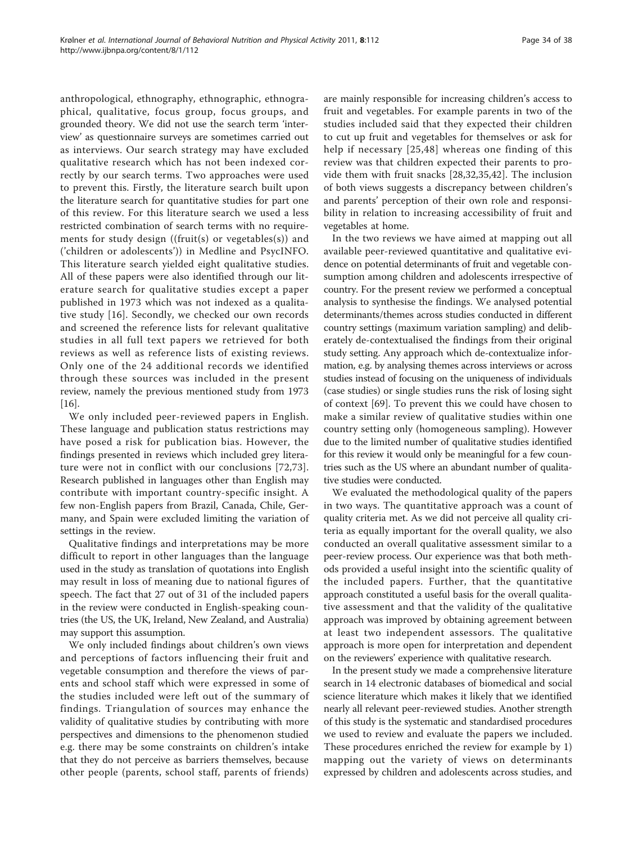anthropological, ethnography, ethnographic, ethnographical, qualitative, focus group, focus groups, and grounded theory. We did not use the search term 'interview' as questionnaire surveys are sometimes carried out as interviews. Our search strategy may have excluded qualitative research which has not been indexed correctly by our search terms. Two approaches were used to prevent this. Firstly, the literature search built upon the literature search for quantitative studies for part one of this review. For this literature search we used a less restricted combination of search terms with no requirements for study design ((fruit(s) or vegetables(s)) and ('children or adolescents')) in Medline and PsycINFO. This literature search yielded eight qualitative studies. All of these papers were also identified through our literature search for qualitative studies except a paper published in 1973 which was not indexed as a qualitative study [[16\]](#page-36-0). Secondly, we checked our own records and screened the reference lists for relevant qualitative studies in all full text papers we retrieved for both reviews as well as reference lists of existing reviews. Only one of the 24 additional records we identified through these sources was included in the present review, namely the previous mentioned study from 1973 [[16\]](#page-36-0).

We only included peer-reviewed papers in English. These language and publication status restrictions may have posed a risk for publication bias. However, the findings presented in reviews which included grey literature were not in conflict with our conclusions [\[72,73](#page-37-0)]. Research published in languages other than English may contribute with important country-specific insight. A few non-English papers from Brazil, Canada, Chile, Germany, and Spain were excluded limiting the variation of settings in the review.

Qualitative findings and interpretations may be more difficult to report in other languages than the language used in the study as translation of quotations into English may result in loss of meaning due to national figures of speech. The fact that 27 out of 31 of the included papers in the review were conducted in English-speaking countries (the US, the UK, Ireland, New Zealand, and Australia) may support this assumption.

We only included findings about children's own views and perceptions of factors influencing their fruit and vegetable consumption and therefore the views of parents and school staff which were expressed in some of the studies included were left out of the summary of findings. Triangulation of sources may enhance the validity of qualitative studies by contributing with more perspectives and dimensions to the phenomenon studied e.g. there may be some constraints on children's intake that they do not perceive as barriers themselves, because other people (parents, school staff, parents of friends) are mainly responsible for increasing children's access to fruit and vegetables. For example parents in two of the studies included said that they expected their children to cut up fruit and vegetables for themselves or ask for help if necessary [[25,48\]](#page-36-0) whereas one finding of this review was that children expected their parents to provide them with fruit snacks [[28,32,35](#page-36-0),[42](#page-36-0)]. The inclusion of both views suggests a discrepancy between children's and parents' perception of their own role and responsibility in relation to increasing accessibility of fruit and vegetables at home.

In the two reviews we have aimed at mapping out all available peer-reviewed quantitative and qualitative evidence on potential determinants of fruit and vegetable consumption among children and adolescents irrespective of country. For the present review we performed a conceptual analysis to synthesise the findings. We analysed potential determinants/themes across studies conducted in different country settings (maximum variation sampling) and deliberately de-contextualised the findings from their original study setting. Any approach which de-contextualize information, e.g. by analysing themes across interviews or across studies instead of focusing on the uniqueness of individuals (case studies) or single studies runs the risk of losing sight of context [[69](#page-37-0)]. To prevent this we could have chosen to make a similar review of qualitative studies within one country setting only (homogeneous sampling). However due to the limited number of qualitative studies identified for this review it would only be meaningful for a few countries such as the US where an abundant number of qualitative studies were conducted.

We evaluated the methodological quality of the papers in two ways. The quantitative approach was a count of quality criteria met. As we did not perceive all quality criteria as equally important for the overall quality, we also conducted an overall qualitative assessment similar to a peer-review process. Our experience was that both methods provided a useful insight into the scientific quality of the included papers. Further, that the quantitative approach constituted a useful basis for the overall qualitative assessment and that the validity of the qualitative approach was improved by obtaining agreement between at least two independent assessors. The qualitative approach is more open for interpretation and dependent on the reviewers' experience with qualitative research.

In the present study we made a comprehensive literature search in 14 electronic databases of biomedical and social science literature which makes it likely that we identified nearly all relevant peer-reviewed studies. Another strength of this study is the systematic and standardised procedures we used to review and evaluate the papers we included. These procedures enriched the review for example by 1) mapping out the variety of views on determinants expressed by children and adolescents across studies, and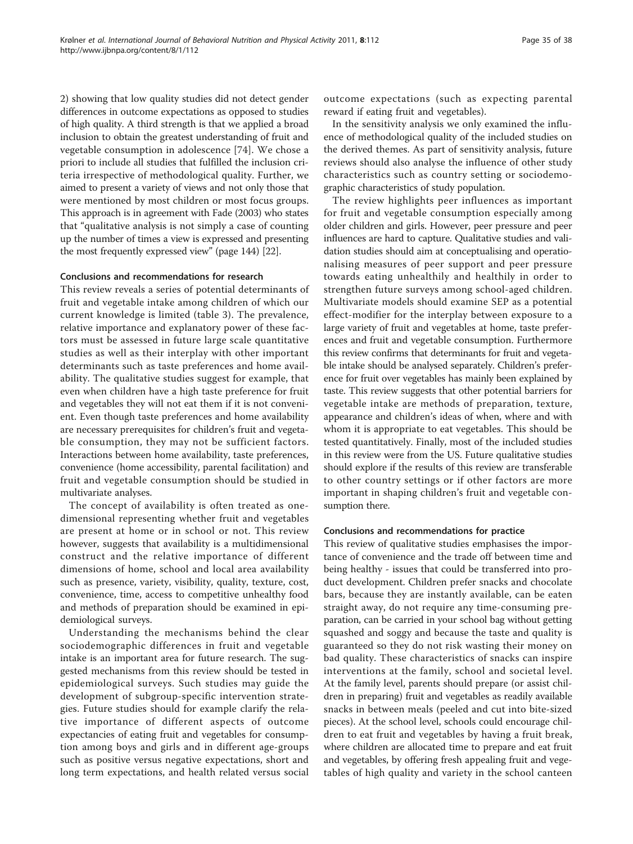2) showing that low quality studies did not detect gender differences in outcome expectations as opposed to studies of high quality. A third strength is that we applied a broad inclusion to obtain the greatest understanding of fruit and vegetable consumption in adolescence [\[74\]](#page-37-0). We chose a priori to include all studies that fulfilled the inclusion criteria irrespective of methodological quality. Further, we aimed to present a variety of views and not only those that were mentioned by most children or most focus groups. This approach is in agreement with Fade (2003) who states that "qualitative analysis is not simply a case of counting

up the number of times a view is expressed and presenting the most frequently expressed view" (page 144) [[22](#page-36-0)].

#### Conclusions and recommendations for research

This review reveals a series of potential determinants of fruit and vegetable intake among children of which our current knowledge is limited (table [3](#page-31-0)). The prevalence, relative importance and explanatory power of these factors must be assessed in future large scale quantitative studies as well as their interplay with other important determinants such as taste preferences and home availability. The qualitative studies suggest for example, that even when children have a high taste preference for fruit and vegetables they will not eat them if it is not convenient. Even though taste preferences and home availability are necessary prerequisites for children's fruit and vegetable consumption, they may not be sufficient factors. Interactions between home availability, taste preferences, convenience (home accessibility, parental facilitation) and fruit and vegetable consumption should be studied in multivariate analyses.

The concept of availability is often treated as onedimensional representing whether fruit and vegetables are present at home or in school or not. This review however, suggests that availability is a multidimensional construct and the relative importance of different dimensions of home, school and local area availability such as presence, variety, visibility, quality, texture, cost, convenience, time, access to competitive unhealthy food and methods of preparation should be examined in epidemiological surveys.

Understanding the mechanisms behind the clear sociodemographic differences in fruit and vegetable intake is an important area for future research. The suggested mechanisms from this review should be tested in epidemiological surveys. Such studies may guide the development of subgroup-specific intervention strategies. Future studies should for example clarify the relative importance of different aspects of outcome expectancies of eating fruit and vegetables for consumption among boys and girls and in different age-groups such as positive versus negative expectations, short and long term expectations, and health related versus social outcome expectations (such as expecting parental reward if eating fruit and vegetables).

In the sensitivity analysis we only examined the influence of methodological quality of the included studies on the derived themes. As part of sensitivity analysis, future reviews should also analyse the influence of other study characteristics such as country setting or sociodemographic characteristics of study population.

The review highlights peer influences as important for fruit and vegetable consumption especially among older children and girls. However, peer pressure and peer influences are hard to capture. Qualitative studies and validation studies should aim at conceptualising and operationalising measures of peer support and peer pressure towards eating unhealthily and healthily in order to strengthen future surveys among school-aged children. Multivariate models should examine SEP as a potential effect-modifier for the interplay between exposure to a large variety of fruit and vegetables at home, taste preferences and fruit and vegetable consumption. Furthermore this review confirms that determinants for fruit and vegetable intake should be analysed separately. Children's preference for fruit over vegetables has mainly been explained by taste. This review suggests that other potential barriers for vegetable intake are methods of preparation, texture, appearance and children's ideas of when, where and with whom it is appropriate to eat vegetables. This should be tested quantitatively. Finally, most of the included studies in this review were from the US. Future qualitative studies should explore if the results of this review are transferable to other country settings or if other factors are more important in shaping children's fruit and vegetable consumption there.

#### Conclusions and recommendations for practice

This review of qualitative studies emphasises the importance of convenience and the trade off between time and being healthy - issues that could be transferred into product development. Children prefer snacks and chocolate bars, because they are instantly available, can be eaten straight away, do not require any time-consuming preparation, can be carried in your school bag without getting squashed and soggy and because the taste and quality is guaranteed so they do not risk wasting their money on bad quality. These characteristics of snacks can inspire interventions at the family, school and societal level. At the family level, parents should prepare (or assist children in preparing) fruit and vegetables as readily available snacks in between meals (peeled and cut into bite-sized pieces). At the school level, schools could encourage children to eat fruit and vegetables by having a fruit break, where children are allocated time to prepare and eat fruit and vegetables, by offering fresh appealing fruit and vegetables of high quality and variety in the school canteen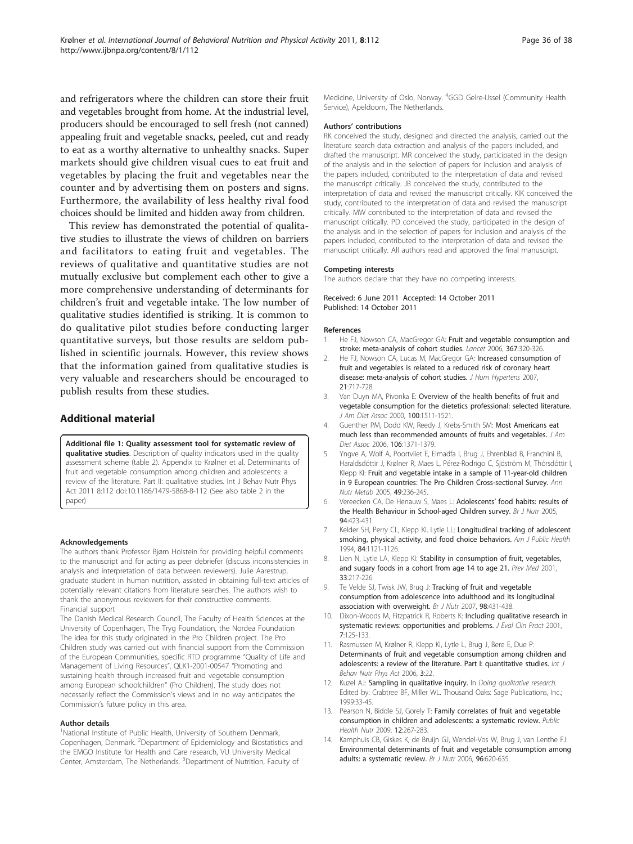<span id="page-35-0"></span>and refrigerators where the children can store their fruit and vegetables brought from home. At the industrial level, producers should be encouraged to sell fresh (not canned) appealing fruit and vegetable snacks, peeled, cut and ready to eat as a worthy alternative to unhealthy snacks. Super markets should give children visual cues to eat fruit and vegetables by placing the fruit and vegetables near the counter and by advertising them on posters and signs. Furthermore, the availability of less healthy rival food choices should be limited and hidden away from children.

This review has demonstrated the potential of qualitative studies to illustrate the views of children on barriers and facilitators to eating fruit and vegetables. The reviews of qualitative and quantitative studies are not mutually exclusive but complement each other to give a more comprehensive understanding of determinants for children's fruit and vegetable intake. The low number of qualitative studies identified is striking. It is common to do qualitative pilot studies before conducting larger quantitative surveys, but those results are seldom published in scientific journals. However, this review shows that the information gained from qualitative studies is very valuable and researchers should be encouraged to publish results from these studies.

#### Additional material

[Additional file 1: Q](http://www.biomedcentral.com/content/supplementary/1479-5868-8-112-S1.XLS)uality assessment tool for systematic review of qualitative studies. Description of quality indicators used in the quality assessment scheme (table [2\)](#page-11-0). Appendix to Krølner et al. Determinants of fruit and vegetable consumption among children and adolescents: a review of the literature. Part II: qualitative studies. Int J Behav Nutr Phys Act 2011 8:112 doi:10.1186/1479-5868-8-112 (See also table 2 in the paper)

#### Acknowledgements

The authors thank Professor Bjørn Holstein for providing helpful comments to the manuscript and for acting as peer debriefer (discuss inconsistencies in analysis and interpretation of data between reviewers). Julie Aarestrup, graduate student in human nutrition, assisted in obtaining full-text articles of potentially relevant citations from literature searches. The authors wish to thank the anonymous reviewers for their constructive comments. Financial support

The Danish Medical Research Council, The Faculty of Health Sciences at the University of Copenhagen, The Tryg Foundation, the Nordea Foundation The idea for this study originated in the Pro Children project. The Pro Children study was carried out with financial support from the Commission of the European Communities, specific RTD programme "Quality of Life and Management of Living Resources", QLK1-2001-00547 "Promoting and sustaining health through increased fruit and vegetable consumption among European schoolchildren" (Pro Children). The study does not necessarily reflect the Commission's views and in no way anticipates the Commission's future policy in this area.

#### Author details

<sup>1</sup>National Institute of Public Health, University of Southern Denmark, Copenhagen, Denmark. <sup>2</sup>Department of Epidemiology and Biostatistics and the EMGO Institute for Health and Care research, VU University Medical Center, Amsterdam, The Netherlands. <sup>3</sup>Department of Nutrition, Faculty of

Medicine, University of Oslo, Norway. <sup>4</sup>GGD Gelre-IJssel (Community Health Service), Apeldoorn, The Netherlands.

#### Authors' contributions

RK conceived the study, designed and directed the analysis, carried out the literature search data extraction and analysis of the papers included, and drafted the manuscript. MR conceived the study, participated in the design of the analysis and in the selection of papers for inclusion and analysis of the papers included, contributed to the interpretation of data and revised the manuscript critically. JB conceived the study, contributed to the interpretation of data and revised the manuscript critically. KIK conceived the study, contributed to the interpretation of data and revised the manuscript critically. MW contributed to the interpretation of data and revised the manuscript critically. PD conceived the study, participated in the design of the analysis and in the selection of papers for inclusion and analysis of the papers included, contributed to the interpretation of data and revised the manuscript critically. All authors read and approved the final manuscript.

#### Competing interests

The authors declare that they have no competing interests.

Received: 6 June 2011 Accepted: 14 October 2011 Published: 14 October 2011

#### References

- 1. He FJ, Nowson CA, MacGregor GA: [Fruit and vegetable consumption and](http://www.ncbi.nlm.nih.gov/pubmed/16443039?dopt=Abstract) [stroke: meta-analysis of cohort studies.](http://www.ncbi.nlm.nih.gov/pubmed/16443039?dopt=Abstract) Lancet 2006, 367:320-326.
- 2. He FJ, Nowson CA, Lucas M, MacGregor GA: [Increased consumption of](http://www.ncbi.nlm.nih.gov/pubmed/17443205?dopt=Abstract) [fruit and vegetables is related to a reduced risk of coronary heart](http://www.ncbi.nlm.nih.gov/pubmed/17443205?dopt=Abstract) [disease: meta-analysis of cohort studies.](http://www.ncbi.nlm.nih.gov/pubmed/17443205?dopt=Abstract) J Hum Hypertens 2007, 21:717-728.
- 3. Van Duyn MA, Pivonka E: [Overview of the health benefits of fruit and](http://www.ncbi.nlm.nih.gov/pubmed/11138444?dopt=Abstract) [vegetable consumption for the dietetics professional: selected literature.](http://www.ncbi.nlm.nih.gov/pubmed/11138444?dopt=Abstract) J Am Diet Assoc 2000, 100:1511-1521.
- 4. Guenther PM, Dodd KW, Reedy J, Krebs-Smith SM: [Most Americans eat](http://www.ncbi.nlm.nih.gov/pubmed/16963342?dopt=Abstract) [much less than recommended amounts of fruits and vegetables.](http://www.ncbi.nlm.nih.gov/pubmed/16963342?dopt=Abstract) J Am Diet Assoc 2006, 106:1371-1379.
- 5. Yngve A, Wolf A, Poortvliet E, Elmadfa I, Brug J, Ehrenblad B, Franchini B, Haraldsdóttir J, Krølner R, Maes L, Pérez-Rodrigo C, Sjöström M, Thórsdóttir I, Klepp KI: [Fruit and vegetable intake in a sample of 11-year-old children](http://www.ncbi.nlm.nih.gov/pubmed/16088087?dopt=Abstract) [in 9 European countries: The Pro Children Cross-sectional Survey.](http://www.ncbi.nlm.nih.gov/pubmed/16088087?dopt=Abstract) Ann Nutr Metab 2005, 49:236-245.
- 6. Vereecken CA, De Henauw S, Maes L: Adolescents' [food habits: results of](http://www.ncbi.nlm.nih.gov/pubmed/16176614?dopt=Abstract) [the Health Behaviour in School-aged Children survey.](http://www.ncbi.nlm.nih.gov/pubmed/16176614?dopt=Abstract) Br J Nutr 2005, 94:423-431.
- 7. Kelder SH, Perry CL, Klepp KI, Lytle LL: [Longitudinal tracking of adolescent](http://www.ncbi.nlm.nih.gov/pubmed/8017536?dopt=Abstract) [smoking, physical activity, and food choice behaviors.](http://www.ncbi.nlm.nih.gov/pubmed/8017536?dopt=Abstract) Am J Public Health 1994, 84:1121-1126.
- 8. Lien N, Lytle LA, Klepp KI: [Stability in consumption of fruit, vegetables,](http://www.ncbi.nlm.nih.gov/pubmed/11522162?dopt=Abstract) [and sugary foods in a cohort from age 14 to age 21.](http://www.ncbi.nlm.nih.gov/pubmed/11522162?dopt=Abstract) Prev Med 2001, 33:217-226.
- 9. Te Velde SJ, Twisk JW, Brug J: [Tracking of fruit and vegetable](http://www.ncbi.nlm.nih.gov/pubmed/17433126?dopt=Abstract) [consumption from adolescence into adulthood and its longitudinal](http://www.ncbi.nlm.nih.gov/pubmed/17433126?dopt=Abstract) [association with overweight.](http://www.ncbi.nlm.nih.gov/pubmed/17433126?dopt=Abstract) Br J Nutr 2007, 98:431-438.
- Dixon-Woods M, Fitzpatrick R, Roberts K: [Including qualitative research in](http://www.ncbi.nlm.nih.gov/pubmed/11489038?dopt=Abstract) [systematic reviews: opportunities and problems.](http://www.ncbi.nlm.nih.gov/pubmed/11489038?dopt=Abstract) J Eval Clin Pract 2001, 7:125-133.
- 11. Rasmussen M, Krølner R, Klepp KI, Lytle L, Brug J, Bere E, Due P: [Determinants of fruit and vegetable consumption among children and](http://www.ncbi.nlm.nih.gov/pubmed/16904006?dopt=Abstract) [adolescents: a review of the literature. Part I: quantitative studies.](http://www.ncbi.nlm.nih.gov/pubmed/16904006?dopt=Abstract) Int J Behav Nutr Phys Act 2006, 3:22.
- 12. Kuzel AJ: Sampling in qualitative inquiry. In Doing qualitative research. Edited by: Crabtree BF, Miller WL. Thousand Oaks: Sage Publications, Inc.; 1999:33-45.
- 13. Pearson N, Biddle SJ, Gorely T: [Family correlates of fruit and vegetable](http://www.ncbi.nlm.nih.gov/pubmed/18559129?dopt=Abstract) [consumption in children and adolescents: a systematic review.](http://www.ncbi.nlm.nih.gov/pubmed/18559129?dopt=Abstract) Public Health Nutr 2009, 12:267-283.
- 14. Kamphuis CB, Giskes K, de Bruijn GJ, Wendel-Vos W, Brug J, van Lenthe FJ: [Environmental determinants of fruit and vegetable consumption among](http://www.ncbi.nlm.nih.gov/pubmed/17010219?dopt=Abstract) [adults: a systematic review.](http://www.ncbi.nlm.nih.gov/pubmed/17010219?dopt=Abstract) Br J Nutr 2006, 96:620-635.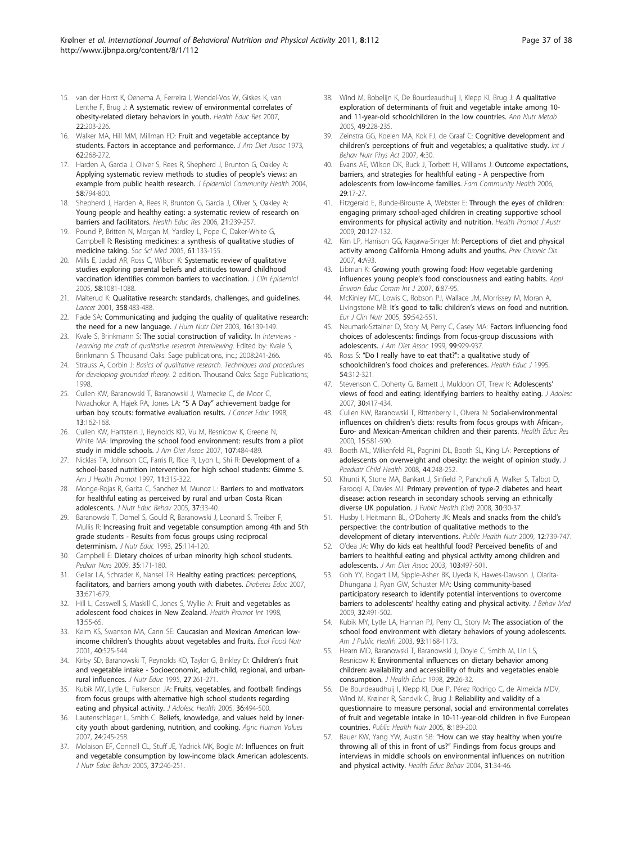- <span id="page-36-0"></span>15. van der Horst K, Oenema A, Ferreira I, Wendel-Vos W, Giskes K, van Lenthe F, Brug J: [A systematic review of environmental correlates of](http://www.ncbi.nlm.nih.gov/pubmed/16861362?dopt=Abstract) [obesity-related dietary behaviors in youth.](http://www.ncbi.nlm.nih.gov/pubmed/16861362?dopt=Abstract) Health Educ Res 2007, 22:203-226.
- 16. Walker MA, Hill MM, Millman FD: [Fruit and vegetable acceptance by](http://www.ncbi.nlm.nih.gov/pubmed/4687692?dopt=Abstract) [students. Factors in acceptance and performance.](http://www.ncbi.nlm.nih.gov/pubmed/4687692?dopt=Abstract) J Am Diet Assoc 1973, 62:268-272.
- 17. Harden A, Garcia J, Oliver S, Rees R, Shepherd J, Brunton G, Oakley A: [Applying systematic review methods to studies of people](http://www.ncbi.nlm.nih.gov/pubmed/15310807?dopt=Abstract)'s views: an [example from public health research.](http://www.ncbi.nlm.nih.gov/pubmed/15310807?dopt=Abstract) J Epidemiol Community Health 2004, 58:794-800.
- 18. Shepherd J, Harden A, Rees R, Brunton G, Garcia J, Oliver S, Oakley A: [Young people and healthy eating: a systematic review of research on](http://www.ncbi.nlm.nih.gov/pubmed/16251223?dopt=Abstract) [barriers and facilitators.](http://www.ncbi.nlm.nih.gov/pubmed/16251223?dopt=Abstract) Health Educ Res 2006, 21:239-257.
- 19. Pound P, Britten N, Morgan M, Yardley L, Pope C, Daker-White G, Campbell R: [Resisting medicines: a synthesis of qualitative studies of](http://www.ncbi.nlm.nih.gov/pubmed/15847968?dopt=Abstract) [medicine taking.](http://www.ncbi.nlm.nih.gov/pubmed/15847968?dopt=Abstract) Soc Sci Med 2005, 61:133-155.
- 20. Mills E, Jadad AR, Ross C, Wilson K: [Systematic review of qualitative](http://www.ncbi.nlm.nih.gov/pubmed/16223649?dopt=Abstract) [studies exploring parental beliefs and attitudes toward childhood](http://www.ncbi.nlm.nih.gov/pubmed/16223649?dopt=Abstract) [vaccination identifies common barriers to vaccination.](http://www.ncbi.nlm.nih.gov/pubmed/16223649?dopt=Abstract) J Clin Epidemiol 2005, 58:1081-1088.
- 21. Malterud K: [Qualitative research: standards, challenges, and guidelines.](http://www.ncbi.nlm.nih.gov/pubmed/11513933?dopt=Abstract) Lancet 2001, 358:483-488.
- 22. Fade SA: [Communicating and judging the quality of qualitative research:](http://www.ncbi.nlm.nih.gov/pubmed/12753107?dopt=Abstract) [the need for a new language.](http://www.ncbi.nlm.nih.gov/pubmed/12753107?dopt=Abstract) J Hum Nutr Diet 2003, 16:139-149.
- 23. Kvale S, Brinkmann S: The social construction of validity. In Interviews -Learning the craft of qualitative research interviewing. Edited by: Kvale S, Brinkmann S. Thousand Oaks: Sage publications, inc.; 2008:241-266.
- 24. Strauss A, Corbin J: Basics of qualitative research. Techniques and procedures for developing grounded theory. 2 edition. Thousand Oaks: Sage Publications; 1998.
- 25. Cullen KW, Baranowski T, Baranowski J, Warnecke C, de Moor C, Nwachokor A, Hajek RA, Jones LA: "5 A Day" [achievement badge for](http://www.ncbi.nlm.nih.gov/pubmed/10898561?dopt=Abstract) [urban boy scouts: formative evaluation results.](http://www.ncbi.nlm.nih.gov/pubmed/10898561?dopt=Abstract) J Cancer Educ 1998, 13:162-168.
- 26. Cullen KW, Hartstein J, Reynolds KD, Vu M, Resnicow K, Greene N, White MA: [Improving the school food environment: results from a pilot](http://www.ncbi.nlm.nih.gov/pubmed/17324667?dopt=Abstract) [study in middle schools.](http://www.ncbi.nlm.nih.gov/pubmed/17324667?dopt=Abstract) J Am Diet Assoc 2007, 107:484-489.
- 27. Nicklas TA, Johnson CC, Farris R, Rice R, Lyon L, Shi R: [Development of a](http://www.ncbi.nlm.nih.gov/pubmed/10167365?dopt=Abstract) [school-based nutrition intervention for high school students: Gimme 5.](http://www.ncbi.nlm.nih.gov/pubmed/10167365?dopt=Abstract) Am J Health Promot 1997, 11:315-322.
- 28. Monge-Rojas R, Garita C, Sanchez M, Munoz L: [Barriers to and motivators](http://www.ncbi.nlm.nih.gov/pubmed/15745654?dopt=Abstract) [for healthful eating as perceived by rural and urban Costa Rican](http://www.ncbi.nlm.nih.gov/pubmed/15745654?dopt=Abstract) [adolescents.](http://www.ncbi.nlm.nih.gov/pubmed/15745654?dopt=Abstract) J Nutr Educ Behav 2005, 37:33-40.
- 29. Baranowski T, Domel S, Gould R, Baranowski J, Leonard S, Treiber F, Mullis R: Increasing fruit and vegetable consumption among 4th and 5th grade students - Results from focus groups using reciprocal determinism. J Nutr Educ 1993, 25:114-120.
- 30. Campbell E: [Dietary choices of urban minority high school students.](http://www.ncbi.nlm.nih.gov/pubmed/19681378?dopt=Abstract) Pediatr Nurs 2009, 35:171-180.
- 31. Gellar LA, Schrader K, Nansel TR: [Healthy eating practices: perceptions,](http://www.ncbi.nlm.nih.gov/pubmed/17684168?dopt=Abstract) [facilitators, and barriers among youth with diabetes.](http://www.ncbi.nlm.nih.gov/pubmed/17684168?dopt=Abstract) Diabetes Educ 2007, 33:671-679.
- 32. Hill L, Casswell S, Maskill C, Jones S, Wyllie A: Fruit and vegetables as adolescent food choices in New Zealand. Health Promot Int 1998, 13:55-65.
- 33. Keim KS, Swanson MA, Cann SE: Caucasian and Mexican American lowincome children's thoughts about vegetables and fruits. Ecol Food Nutr 2001, 40:525-544.
- 34. Kirby SD, Baranowski T, Reynolds KD, Taylor G, Binkley D: Children's fruit and vegetable intake - Socioeconomic, adult-child, regional, and urbanrural influences. J Nutr Educ 1995, 27:261-271.
- 35. Kubik MY, Lytle L, Fulkerson JA: [Fruits, vegetables, and football: findings](http://www.ncbi.nlm.nih.gov/pubmed/15901514?dopt=Abstract) [from focus groups with alternative high school students regarding](http://www.ncbi.nlm.nih.gov/pubmed/15901514?dopt=Abstract) [eating and physical activity.](http://www.ncbi.nlm.nih.gov/pubmed/15901514?dopt=Abstract) J Adolesc Health 2005, 36:494-500.
- 36. Lautenschlager L, Smith C: Beliefs, knowledge, and values held by innercity youth about gardening, nutrition, and cooking. Agric Human Values 2007, 24:245-258.
- 37. Molaison EF, Connell CL, Stuff JE, Yadrick MK, Bogle M: [Influences on fruit](http://www.ncbi.nlm.nih.gov/pubmed/16053813?dopt=Abstract) [and vegetable consumption by low-income black American adolescents.](http://www.ncbi.nlm.nih.gov/pubmed/16053813?dopt=Abstract) J Nutr Educ Behav 2005, 37:246-251.
- 38. Wind M, Bobelijn K, De Bourdeaudhuij I, Klepp KI, Brug J: [A qualitative](http://www.ncbi.nlm.nih.gov/pubmed/16088086?dopt=Abstract) [exploration of determinants of fruit and vegetable intake among 10](http://www.ncbi.nlm.nih.gov/pubmed/16088086?dopt=Abstract) [and 11-year-old schoolchildren in the low countries.](http://www.ncbi.nlm.nih.gov/pubmed/16088086?dopt=Abstract) Ann Nutr Metab 2005, 49:228-235.
- 39. Zeinstra GG, Koelen MA, Kok FJ, de Graaf C: [Cognitive development and](http://www.ncbi.nlm.nih.gov/pubmed/17620131?dopt=Abstract) children'[s perceptions of fruit and vegetables; a qualitative study.](http://www.ncbi.nlm.nih.gov/pubmed/17620131?dopt=Abstract) Int J Behav Nutr Phys Act 2007, 4:30.
- 40. Evans AE, Wilson DK, Buck J, Torbett H, Williams J: [Outcome expectations,](http://www.ncbi.nlm.nih.gov/pubmed/16340675?dopt=Abstract) [barriers, and strategies for healthful eating - A perspective from](http://www.ncbi.nlm.nih.gov/pubmed/16340675?dopt=Abstract) [adolescents from low-income families.](http://www.ncbi.nlm.nih.gov/pubmed/16340675?dopt=Abstract) Fam Community Health 2006, 29:17-27.
- 41. Fitzgerald E, Bunde-Birouste A, Webster E: [Through the eyes of children:](http://www.ncbi.nlm.nih.gov/pubmed/19642961?dopt=Abstract) [engaging primary school-aged children in creating supportive school](http://www.ncbi.nlm.nih.gov/pubmed/19642961?dopt=Abstract) [environments for physical activity and nutrition.](http://www.ncbi.nlm.nih.gov/pubmed/19642961?dopt=Abstract) Health Promot J Austr 2009, 20:127-132.
- 42. Kim LP, Harrison GG, Kagawa-Singer M: Perceptions [of diet and physical](http://www.ncbi.nlm.nih.gov/pubmed/17875268?dopt=Abstract) [activity among California Hmong adults and youths.](http://www.ncbi.nlm.nih.gov/pubmed/17875268?dopt=Abstract) Prev Chronic Dis 2007, 4:A93.
- 43. Libman K: Growing youth growing food: How vegetable gardening influences young people's food consciousness and eating habits. Appl Environ Educ Comm Int J 2007, 6:87-95.
- 44. McKinley MC, Lowis C, Robson PJ, Wallace JM, Morrissey M, Moran A, Livingstone MB: It's good to talk: children'[s views on food and nutrition.](http://www.ncbi.nlm.nih.gov/pubmed/15714214?dopt=Abstract) Eur J Clin Nutr 2005, 59:542-551.
- 45. Neumark-Sztainer D, Story M, Perry C, Casey MA: [Factors influencing food](http://www.ncbi.nlm.nih.gov/pubmed/10450307?dopt=Abstract) [choices of adolescents: findings from focus-group discussions with](http://www.ncbi.nlm.nih.gov/pubmed/10450307?dopt=Abstract) [adolescents.](http://www.ncbi.nlm.nih.gov/pubmed/10450307?dopt=Abstract) J Am Diet Assoc 1999, 99:929-937.
- 46. Ross S: "Do I really have to eat that?": a qualitative study of schoolchildren's food choices and preferences. Health Educ J 1995, 54:312-321.
- 47. Stevenson C, Doherty G, Barnett J, Muldoon OT, Trew K: [Adolescents](http://www.ncbi.nlm.nih.gov/pubmed/16730371?dopt=Abstract)' [views of food and eating: identifying barriers to healthy eating.](http://www.ncbi.nlm.nih.gov/pubmed/16730371?dopt=Abstract) J Adolesc 2007, 30:417-434.
- 48. Cullen KW, Baranowski T, Rittenberry L, Olvera N: [Social-environmental](http://www.ncbi.nlm.nih.gov/pubmed/11184217?dopt=Abstract) influences on children'[s diets: results from focus groups with African-,](http://www.ncbi.nlm.nih.gov/pubmed/11184217?dopt=Abstract) [Euro- and Mexican-American children and their parents.](http://www.ncbi.nlm.nih.gov/pubmed/11184217?dopt=Abstract) Health Educ Res 2000, 15:581-590.
- 49. Booth ML, Wilkenfeld RL, Pagnini DL, Booth SL, King LA: [Perceptions of](http://www.ncbi.nlm.nih.gov/pubmed/18194195?dopt=Abstract) [adolescents on overweight and obesity: the weight of opinion study.](http://www.ncbi.nlm.nih.gov/pubmed/18194195?dopt=Abstract) J Paediatr Child Health 2008, 44:248-252.
- 50. Khunti K, Stone MA, Bankart J, Sinfield P, Pancholi A, Walker S, Talbot D, Farooqi A, Davies MJ: Primary prevention of type-2 diabetes and heart disease: action research in secondary schools serving an ethnically diverse UK population. J Public Health (Oxf) 2008, 30:30-37.
- 51. Husby I, Heitmann BL, O'Doherty JK: [Meals and snacks from the child](http://www.ncbi.nlm.nih.gov/pubmed/18671890?dopt=Abstract)'s [perspective: the contribution of qualitative methods to the](http://www.ncbi.nlm.nih.gov/pubmed/18671890?dopt=Abstract) [development of dietary interventions.](http://www.ncbi.nlm.nih.gov/pubmed/18671890?dopt=Abstract) Public Health Nutr 2009, 12:739-747.
- 52. O'dea JA: [Why do kids eat healthful food? Perceived benefits of and](http://www.ncbi.nlm.nih.gov/pubmed/12669014?dopt=Abstract) [barriers to healthful eating and physical activity among children and](http://www.ncbi.nlm.nih.gov/pubmed/12669014?dopt=Abstract) [adolescents.](http://www.ncbi.nlm.nih.gov/pubmed/12669014?dopt=Abstract) J Am Diet Assoc 2003, 103:497-501.
- 53. Goh YY, Bogart LM, Sipple-Asher BK, Uyeda K, Hawes-Dawson J, Olarita-Dhungana J, Ryan GW, Schuster MA: Using [community-based](http://www.ncbi.nlm.nih.gov/pubmed/19544091?dopt=Abstract) [participatory research to identify potential interventions to overcome](http://www.ncbi.nlm.nih.gov/pubmed/19544091?dopt=Abstract) barriers to adolescents' [healthy eating and physical activity.](http://www.ncbi.nlm.nih.gov/pubmed/19544091?dopt=Abstract) J Behav Med 2009, 32:491-502.
- 54. Kubik MY, Lytle LA, Hannan PJ, Perry CL, Story M: [The association of the](http://www.ncbi.nlm.nih.gov/pubmed/12835204?dopt=Abstract) [school food environment with dietary behaviors of young adolescents.](http://www.ncbi.nlm.nih.gov/pubmed/12835204?dopt=Abstract) Am J Public Health 2003, 93:1168-1173.
- 55. Hearn MD, Baranowski T, Baranowski J, Doyle C, Smith M, Lin LS, Resnicow K: Environmental influences on dietary behavior among children: availability and accessibility of fruits and vegetables enable consumption. J Health Educ 1998, 29:26-32.
- 56. De Bourdeaudhuij I, Klepp KI, Due P, Pérez Rodrigo C, de Almeida MDV, Wind M, Krølner R, Sandvik C, Brug J: [Reliability and validity of a](http://www.ncbi.nlm.nih.gov/pubmed/15877912?dopt=Abstract) [questionnaire to measure personal, social and environmental correlates](http://www.ncbi.nlm.nih.gov/pubmed/15877912?dopt=Abstract) [of fruit and vegetable intake in 10-11-year-old children in five European](http://www.ncbi.nlm.nih.gov/pubmed/15877912?dopt=Abstract) [countries.](http://www.ncbi.nlm.nih.gov/pubmed/15877912?dopt=Abstract) Public Health Nutr 2005, 8:189-200.
- 57. Bauer KW, Yang YW, Austin SB: "[How can we stay healthy when you](http://www.ncbi.nlm.nih.gov/pubmed/14768656?dopt=Abstract)'re [throwing all of this in front of us?](http://www.ncbi.nlm.nih.gov/pubmed/14768656?dopt=Abstract)" Findings from focus groups and [interviews in middle schools on environmental influences on nutrition](http://www.ncbi.nlm.nih.gov/pubmed/14768656?dopt=Abstract) [and physical activity.](http://www.ncbi.nlm.nih.gov/pubmed/14768656?dopt=Abstract) Health Educ Behav 2004, 31:34-46.